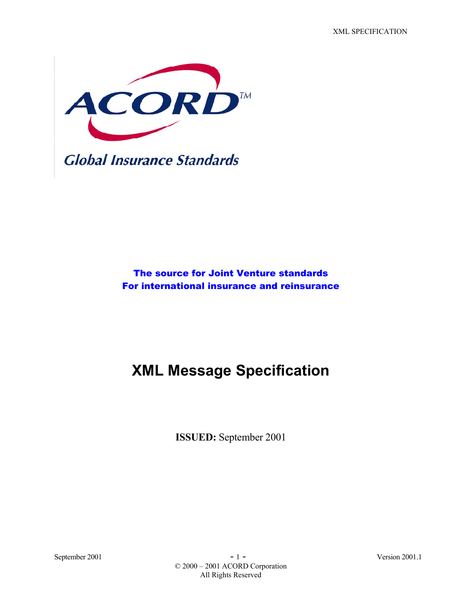XML SPECIFICATION



The source for Joint Venture standards For international insurance and reinsurance

# **XML Message Specification**

**ISSUED:** September 2001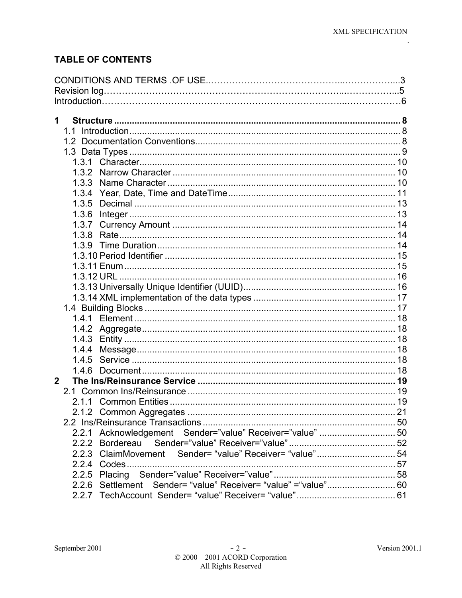$\ddot{\phantom{a}}$ 

## **TABLE OF CONTENTS**

| 1                                                         |  |
|-----------------------------------------------------------|--|
|                                                           |  |
|                                                           |  |
|                                                           |  |
| 1.3.1                                                     |  |
|                                                           |  |
|                                                           |  |
| 1.3.4                                                     |  |
| 1.3.5                                                     |  |
| 1.3.6                                                     |  |
| 1.3.7                                                     |  |
| 1.3.8                                                     |  |
|                                                           |  |
|                                                           |  |
|                                                           |  |
|                                                           |  |
|                                                           |  |
|                                                           |  |
|                                                           |  |
|                                                           |  |
| 1.4.3                                                     |  |
| 1.4.4                                                     |  |
| 1.4.5                                                     |  |
| 1.4.6                                                     |  |
| $\mathbf{2}$                                              |  |
|                                                           |  |
|                                                           |  |
|                                                           |  |
|                                                           |  |
| 2.2.1 Acknowledgement Sender="value" Receiver="value"  50 |  |
| 2.2.2                                                     |  |
| 2.2.3 ClaimMovement Sender= "value" Receiver= "value"54   |  |
| 2.2.4 Codes                                               |  |
|                                                           |  |
| 2.2.6 Settlement                                          |  |
|                                                           |  |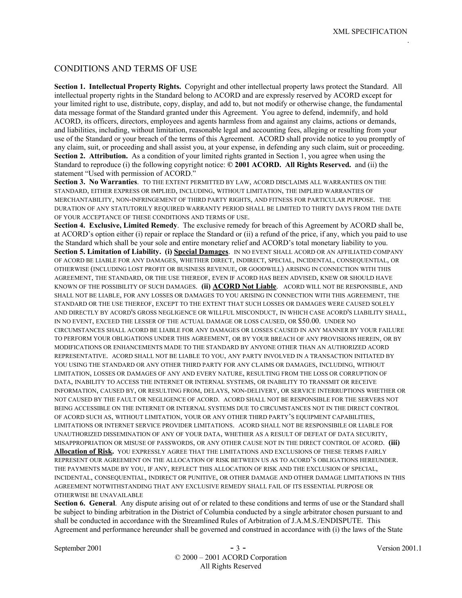#### CONDITIONS AND TERMS OF USE

**Section 1. Intellectual Property Rights.** Copyright and other intellectual property laws protect the Standard. All intellectual property rights in the Standard belong to ACORD and are expressly reserved by ACORD except for your limited right to use, distribute, copy, display, and add to, but not modify or otherwise change, the fundamental data message format of the Standard granted under this Agreement. You agree to defend, indemnify, and hold ACORD, its officers, directors, employees and agents harmless from and against any claims, actions or demands, and liabilities, including, without limitation, reasonable legal and accounting fees, alleging or resulting from your use of the Standard or your breach of the terms of this Agreement. ACORD shall provide notice to you promptly of any claim, suit, or proceeding and shall assist you, at your expense, in defending any such claim, suit or proceeding. **Section 2. Attribution.** As a condition of your limited rights granted in Section 1, you agree when using the Standard to reproduce (i) the following copyright notice: **© 2001 ACORD. All Rights Reserved.** and (ii) the statement "Used with permission of ACORD."

**Section 3. No Warranties**. TO THE EXTENT PERMITTED BY LAW, ACORD DISCLAIMS ALL WARRANTIES ON THE STANDARD, EITHER EXPRESS OR IMPLIED, INCLUDING, WITHOUT LIMITATION, THE IMPLIED WARRANTIES OF MERCHANTABILITY, NON-INFRINGEMENT OF THIRD PARTY RIGHTS, AND FITNESS FOR PARTICULAR PURPOSE. THE DURATION OF ANY STATUTORILY REQUIRED WARRANTY PERIOD SHALL BE LIMITED TO THIRTY DAYS FROM THE DATE OF YOUR ACCEPTANCE OF THESE CONDITIONS AND TERMS OF USE.

**Section 4. Exclusive, Limited Remedy**. The exclusive remedy for breach of this Agreement by ACORD shall be, at ACORD's option either (i) repair or replace the Standard or (ii) a refund of the price, if any, which you paid to use the Standard which shall be your sole and entire monetary relief and ACORD's total monetary liability to you. **Section 5. Limitation of Liability. (i) Special Damages**. IN NO EVENT SHALL ACORD OR AN AFFILIATED COMPANY OF ACORD BE LIABLE FOR ANY DAMAGES, WHETHER DIRECT, INDIRECT, SPECIAL, INCIDENTAL, CONSEQUENTIAL, OR OTHERWISE (INCLUDING LOST PROFIT OR BUSINESS REVENUE, OR GOODWILL) ARISING IN CONNECTION WITH THIS AGREEMENT, THE STANDARD, OR THE USE THEREOF, EVEN IF ACORD HAS BEEN ADVISED, KNEW OR SHOULD HAVE KNOWN OF THE POSSIBILITY OF SUCH DAMAGES. **(ii) ACORD Not Liable**. ACORD WILL NOT BE RESPONSIBLE, AND SHALL NOT BE LIABLE, FOR ANY LOSSES OR DAMAGES TO YOU ARISING IN CONNECTION WITH THIS AGREEMENT, THE STANDARD OR THE USE THEREOF, EXCEPT TO THE EXTENT THAT SUCH LOSSES OR DAMAGES WERE CAUSED SOLELY AND DIRECTLY BY ACORD'S GROSS NEGLIGENCE OR WILLFUL MISCONDUCT, IN WHICH CASE ACORD'S LIABILITY SHALL, IN NO EVENT, EXCEED THE LESSER OF THE ACTUAL DAMAGE OR LOSS CAUSED, OR \$50.00. UNDER NO CIRCUMSTANCES SHALL ACORD BE LIABLE FOR ANY DAMAGES OR LOSSES CAUSED IN ANY MANNER BY YOUR FAILURE TO PERFORM YOUR OBLIGATIONS UNDER THIS AGREEMENT, OR BY YOUR BREACH OF ANY PROVISIONS HEREIN, OR BY MODIFICATIONS OR ENHANCEMENTS MADE TO THE STANDARD BY ANYONE OTHER THAN AN AUTHORIZED ACORD REPRESENTATIVE. ACORD SHALL NOT BE LIABLE TO YOU, ANY PARTY INVOLVED IN A TRANSACTION INITIATED BY YOU USING THE STANDARD OR ANY OTHER THIRD PARTY FOR ANY CLAIMS OR DAMAGES, INCLUDING, WITHOUT LIMITATION, LOSSES OR DAMAGES OF ANY AND EVERY NATURE, RESULTING FROM THE LOSS OR CORRUPTION OF DATA, INABILITY TO ACCESS THE INTERNET OR INTERNAL SYSTEMS, OR INABILITY TO TRANSMIT OR RECEIVE INFORMATION, CAUSED BY, OR RESULTING FROM, DELAYS, NON-DELIVERY, OR SERVICE INTERRUPTIONS WHETHER OR NOT CAUSED BY THE FAULT OR NEGLIGENCE OF ACORD. ACORD SHALL NOT BE RESPONSIBLE FOR THE SERVERS NOT BEING ACCESSIBLE ON THE INTERNET OR INTERNAL SYSTEMS DUE TO CIRCUMSTANCES NOT IN THE DIRECT CONTROL OF ACORD SUCH AS, WITHOUT LIMITATION, YOUR OR ANY OTHER THIRD PARTY'S EQUIPMENT CAPABILITIES, LIMITATIONS OR INTERNET SERVICE PROVIDER LIMITATIONS. ACORD SHALL NOT BE RESPONSIBILE OR LIABLE FOR UNAUTHORIZED DISSEMINATION OF ANY OF YOUR DATA, WHETHER AS A RESULT OF DEFEAT OF DATA SECURITY, MISAPPROPRIATION OR MISUSE OF PASSWORDS, OR ANY OTHER CAUSE NOT IN THE DIRECT CONTROL OF ACORD. **(iii) Allocation of Risk.** YOU EXPRESSLY AGREE THAT THE LIMITATIONS AND EXCLUSIONS OF THESE TERMS FAIRLY REPRESENT OUR AGREEMENT ON THE ALLOCATION OF RISK BETWEEN US AS TO ACORD'S OBLIGATIONS HEREUNDER. THE PAYMENTS MADE BY YOU, IF ANY, REFLECT THIS ALLOCATION OF RISK AND THE EXCLUSION OF SPECIAL, INCIDENTAL, CONSEQUENTIAL, INDIRECT OR PUNITIVE, OR OTHER DAMAGE AND OTHER DAMAGE LIMITATIONS IN THIS AGREEMENT NOTWITHSTANDING THAT ANY EXCLUSIVE REMEDY SHALL FAIL OF ITS ESSENTIAL PURPOSE OR OTHERWISE BE UNAVAILABLE

**Section 6. General.** Any dispute arising out of or related to these conditions and terms of use or the Standard shall be subject to binding arbitration in the District of Columbia conducted by a single arbitrator chosen pursuant to and shall be conducted in accordance with the Streamlined Rules of Arbitration of J.A.M.S./ENDISPUTE. This Agreement and performance hereunder shall be governed and construed in accordance with (i) the laws of the State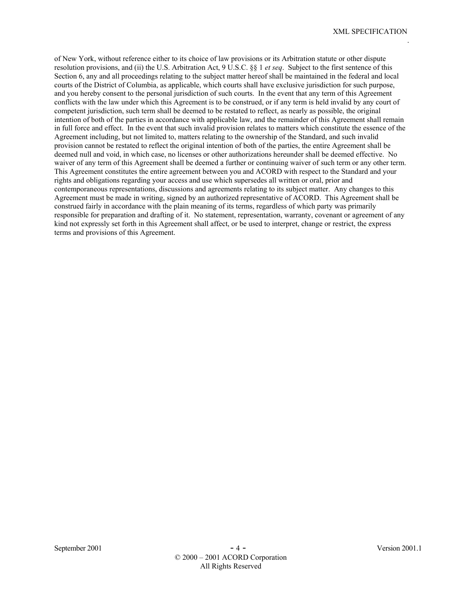of New York, without reference either to its choice of law provisions or its Arbitration statute or other dispute resolution provisions, and (ii) the U.S. Arbitration Act, 9 U.S.C. §§ 1 *et seq*. Subject to the first sentence of this Section 6, any and all proceedings relating to the subject matter hereof shall be maintained in the federal and local courts of the District of Columbia, as applicable, which courts shall have exclusive jurisdiction for such purpose, and you hereby consent to the personal jurisdiction of such courts. In the event that any term of this Agreement conflicts with the law under which this Agreement is to be construed, or if any term is held invalid by any court of competent jurisdiction, such term shall be deemed to be restated to reflect, as nearly as possible, the original intention of both of the parties in accordance with applicable law, and the remainder of this Agreement shall remain in full force and effect. In the event that such invalid provision relates to matters which constitute the essence of the Agreement including, but not limited to, matters relating to the ownership of the Standard, and such invalid provision cannot be restated to reflect the original intention of both of the parties, the entire Agreement shall be deemed null and void, in which case, no licenses or other authorizations hereunder shall be deemed effective. No waiver of any term of this Agreement shall be deemed a further or continuing waiver of such term or any other term. This Agreement constitutes the entire agreement between you and ACORD with respect to the Standard and your rights and obligations regarding your access and use which supersedes all written or oral, prior and contemporaneous representations, discussions and agreements relating to its subject matter. Any changes to this Agreement must be made in writing, signed by an authorized representative of ACORD. This Agreement shall be construed fairly in accordance with the plain meaning of its terms, regardless of which party was primarily responsible for preparation and drafting of it. No statement, representation, warranty, covenant or agreement of any kind not expressly set forth in this Agreement shall affect, or be used to interpret, change or restrict, the express terms and provisions of this Agreement.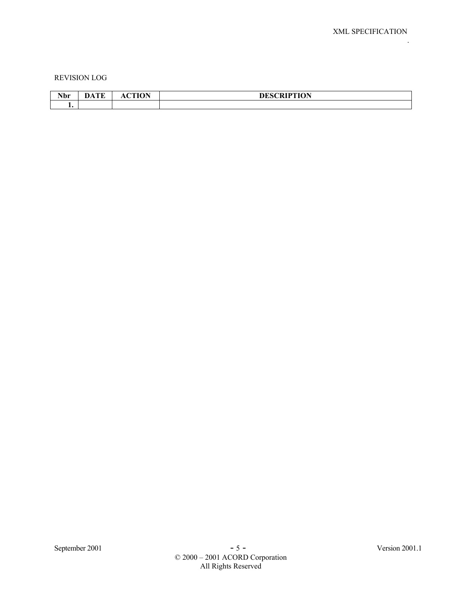#### REVISION LOG

| N <sub>L</sub><br>TANT | $\sim$ | $\sim$ TIL $\bigcap$ Mi | DESCRIPTION<br>◥ |
|------------------------|--------|-------------------------|------------------|
|                        |        |                         |                  |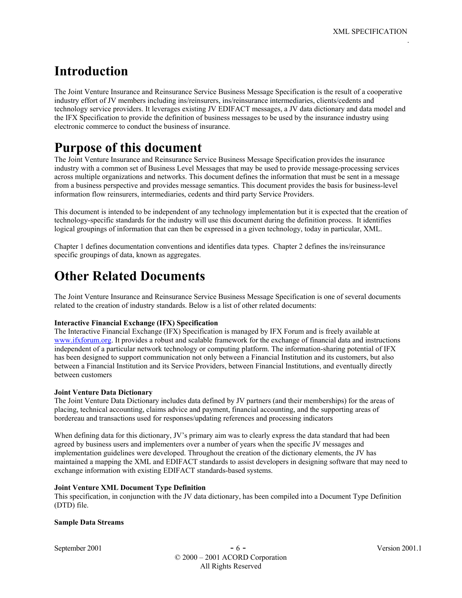## **Introduction**

The Joint Venture Insurance and Reinsurance Service Business Message Specification is the result of a cooperative industry effort of JV members including ins/reinsurers, ins/reinsurance intermediaries, clients/cedents and technology service providers. It leverages existing JV EDIFACT messages, a JV data dictionary and data model and the IFX Specification to provide the definition of business messages to be used by the insurance industry using electronic commerce to conduct the business of insurance.

# **Purpose of this document**

The Joint Venture Insurance and Reinsurance Service Business Message Specification provides the insurance industry with a common set of Business Level Messages that may be used to provide message-processing services across multiple organizations and networks. This document defines the information that must be sent in a message from a business perspective and provides message semantics. This document provides the basis for business-level information flow reinsurers, intermediaries, cedents and third party Service Providers.

This document is intended to be independent of any technology implementation but it is expected that the creation of technology-specific standards for the industry will use this document during the definition process. It identifies logical groupings of information that can then be expressed in a given technology, today in particular, XML.

Chapter 1 defines documentation conventions and identifies data types. Chapter 2 defines the ins/reinsurance specific groupings of data, known as aggregates.

## **Other Related Documents**

The Joint Venture Insurance and Reinsurance Service Business Message Specification is one of several documents related to the creation of industry standards. Below is a list of other related documents:

#### **Interactive Financial Exchange (IFX) Specification**

The Interactive Financial Exchange (IFX) Specification is managed by IFX Forum and is freely available at www.ifxforum.org. It provides a robust and scalable framework for the exchange of financial data and instructions independent of a particular network technology or computing platform. The information-sharing potential of IFX has been designed to support communication not only between a Financial Institution and its customers, but also between a Financial Institution and its Service Providers, between Financial Institutions, and eventually directly between customers

#### **Joint Venture Data Dictionary**

The Joint Venture Data Dictionary includes data defined by JV partners (and their memberships) for the areas of placing, technical accounting, claims advice and payment, financial accounting, and the supporting areas of bordereau and transactions used for responses/updating references and processing indicators

When defining data for this dictionary, JV's primary aim was to clearly express the data standard that had been agreed by business users and implementers over a number of years when the specific JV messages and implementation guidelines were developed. Throughout the creation of the dictionary elements, the JV has maintained a mapping the XML and EDIFACT standards to assist developers in designing software that may need to exchange information with existing EDIFACT standards-based systems.

#### **Joint Venture XML Document Type Definition**

This specification, in conjunction with the JV data dictionary, has been compiled into a Document Type Definition (DTD) file.

#### **Sample Data Streams**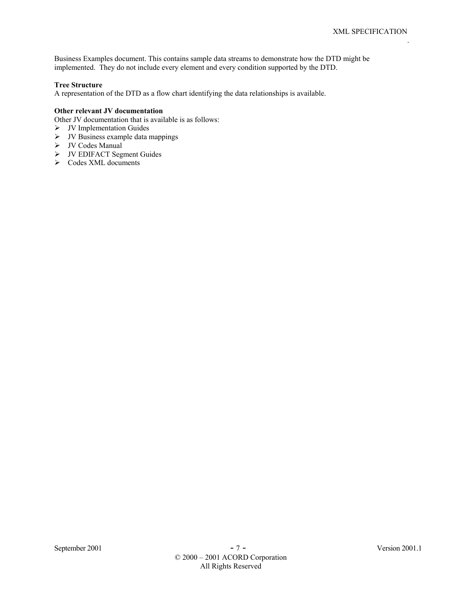Business Examples document. This contains sample data streams to demonstrate how the DTD might be implemented. They do not include every element and every condition supported by the DTD.

#### **Tree Structure**

A representation of the DTD as a flow chart identifying the data relationships is available.

#### **Other relevant JV documentation**

Other JV documentation that is available is as follows:

- $\triangleright$  JV Implementation Guides
- $\triangleright$  JV Business example data mappings
- ¾ JV Codes Manual
- ¾ JV EDIFACT Segment Guides
- $\triangleright$  Codes XML documents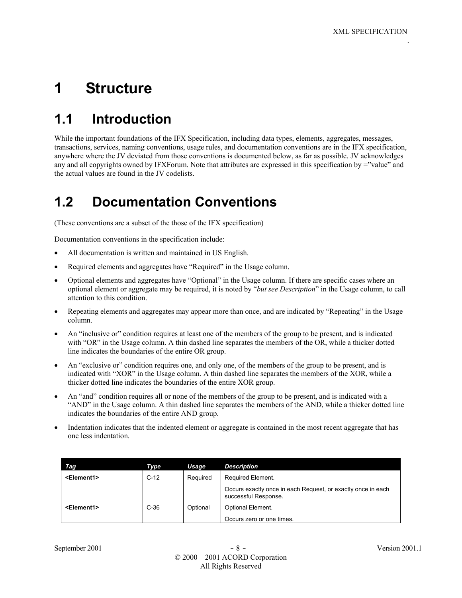# **1 Structure**

# **1.1 Introduction**

While the important foundations of the IFX Specification, including data types, elements, aggregates, messages, transactions, services, naming conventions, usage rules, and documentation conventions are in the IFX specification, anywhere where the JV deviated from those conventions is documented below, as far as possible. JV acknowledges any and all copyrights owned by IFXForum. Note that attributes are expressed in this specification by ="value" and the actual values are found in the JV codelists.

# **1.2 Documentation Conventions**

(These conventions are a subset of the those of the IFX specification)

Documentation conventions in the specification include:

- All documentation is written and maintained in US English.
- Required elements and aggregates have "Required" in the Usage column.
- Optional elements and aggregates have "Optional" in the Usage column. If there are specific cases where an optional element or aggregate may be required, it is noted by "*but see Description*" in the Usage column, to call attention to this condition.
- Repeating elements and aggregates may appear more than once, and are indicated by "Repeating" in the Usage column.
- An "inclusive or" condition requires at least one of the members of the group to be present, and is indicated with "OR" in the Usage column. A thin dashed line separates the members of the OR, while a thicker dotted line indicates the boundaries of the entire OR group.
- An "exclusive or" condition requires one, and only one, of the members of the group to be present, and is indicated with "XOR" in the Usage column. A thin dashed line separates the members of the XOR, while a thicker dotted line indicates the boundaries of the entire XOR group.
- An "and" condition requires all or none of the members of the group to be present, and is indicated with a "AND" in the Usage column. A thin dashed line separates the members of the AND, while a thicker dotted line indicates the boundaries of the entire AND group.
- Indentation indicates that the indented element or aggregate is contained in the most recent aggregate that has one less indentation.

| Taq                   | Type   | Usage    | <b>Description</b>                                                                   |
|-----------------------|--------|----------|--------------------------------------------------------------------------------------|
| <element1></element1> | $C-12$ | Required | Required Element.                                                                    |
|                       |        |          | Occurs exactly once in each Request, or exactly once in each<br>successful Response. |
| <element1></element1> | $C-36$ | Optional | Optional Element.                                                                    |
|                       |        |          | Occurs zero or one times.                                                            |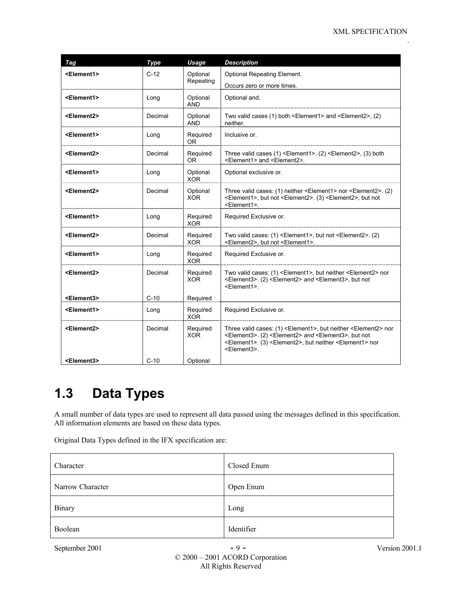| Tag                   | Type      | Usage                  | <b>Description</b>                                                                                                                                                                                                                                                                                 |
|-----------------------|-----------|------------------------|----------------------------------------------------------------------------------------------------------------------------------------------------------------------------------------------------------------------------------------------------------------------------------------------------|
| <element1></element1> | $C-12$    | Optional               | <b>Optional Repeating Element.</b>                                                                                                                                                                                                                                                                 |
|                       | Repeating |                        | Occurs zero or more times.                                                                                                                                                                                                                                                                         |
| <element1></element1> | Long      | Optional<br><b>AND</b> | Optional and.                                                                                                                                                                                                                                                                                      |
| <element2></element2> | Decimal   | Optional<br><b>AND</b> | Two valid cases (1) both <element1> and <element2>, (2)<br/>neither.</element2></element1>                                                                                                                                                                                                         |
| <element1></element1> | Long      | Required<br><b>OR</b>  | Inclusive or.                                                                                                                                                                                                                                                                                      |
| <element2></element2> | Decimal   | Required<br><b>OR</b>  | Three valid cases $(1)$ <element1>, <math>(2)</math> <element2>, <math>(3)</math> both<br/><element1> and <element2>.</element2></element1></element2></element1>                                                                                                                                  |
| <element1></element1> | Long      | Optional<br><b>XOR</b> | Optional exclusive or.                                                                                                                                                                                                                                                                             |
| <element2></element2> | Decimal   | Optional<br>XOR.       | Three valid cases: (1) neither <element1> nor <element2>. (2)<br/><element1>, but not <element2>. (3) <element2>, but not<br/><element1>.</element1></element2></element2></element1></element2></element1>                                                                                        |
| <element1></element1> | Long      | Required<br><b>XOR</b> | Required Exclusive or.                                                                                                                                                                                                                                                                             |
| <element2></element2> | Decimal   | Required<br>XOR.       | Two valid cases: (1) <element1>, but not <element2>. (2)<br/><element2>, but not <element1>.</element1></element2></element2></element1>                                                                                                                                                           |
| <element1></element1> | Long      | Required<br><b>XOR</b> | Required Exclusive or.                                                                                                                                                                                                                                                                             |
| <element2></element2> | Decimal   | Required<br><b>XOR</b> | Two valid cases: (1) <element1>, but neither <element2> nor<br/><element3>. (2) <element2> and <element3>, but not<br/><element1>.</element1></element3></element2></element3></element2></element1>                                                                                               |
| <element3></element3> | $C-10$    | Required               |                                                                                                                                                                                                                                                                                                    |
| <element1></element1> | Long      | Required<br><b>XOR</b> | Required Exclusive or.                                                                                                                                                                                                                                                                             |
| <element2></element2> | Decimal   | Required<br><b>XOR</b> | Three valid cases: (1) <element1>, but neither <element2> nor<br/><element3>. (2) <element2> and <element3>, but not<br/><element1>. (3) <element2>, but neither <element1> nor<br/><element3>.</element3></element1></element2></element1></element3></element2></element3></element2></element1> |
| <element3></element3> | $C-10$    | Optional               |                                                                                                                                                                                                                                                                                                    |

# **1.3 Data Types**

A small number of data types are used to represent all data passed using the messages defined in this specification. All information elements are based on these data types.

Original Data Types defined in the IFX specification are:

| Character        | Closed Enum |
|------------------|-------------|
| Narrow Character | Open Enum   |
| Binary           | Long        |
| Boolean          | Identifier  |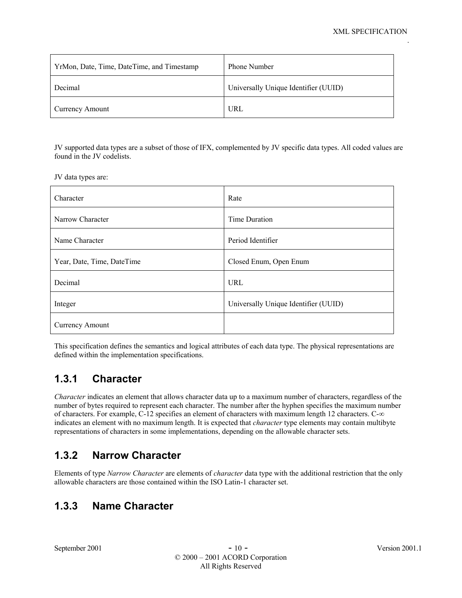| YrMon, Date, Time, DateTime, and Timestamp | <b>Phone Number</b>                  |
|--------------------------------------------|--------------------------------------|
| Decimal                                    | Universally Unique Identifier (UUID) |
| Currency Amount                            | URL                                  |

JV supported data types are a subset of those of IFX, complemented by JV specific data types. All coded values are found in the JV codelists.

JV data types are:

| Character                  | Rate                                 |
|----------------------------|--------------------------------------|
| Narrow Character           | Time Duration                        |
| Name Character             | Period Identifier                    |
| Year, Date, Time, DateTime | Closed Enum, Open Enum               |
| Decimal                    | <b>URL</b>                           |
| Integer                    | Universally Unique Identifier (UUID) |
| <b>Currency Amount</b>     |                                      |

This specification defines the semantics and logical attributes of each data type. The physical representations are defined within the implementation specifications.

## **1.3.1 Character**

*Character* indicates an element that allows character data up to a maximum number of characters, regardless of the number of bytes required to represent each character. The number after the hyphen specifies the maximum number of characters. For example, C-12 specifies an element of characters with maximum length 12 characters. C-∞ indicates an element with no maximum length. It is expected that *character* type elements may contain multibyte representations of characters in some implementations, depending on the allowable character sets.

## **1.3.2 Narrow Character**

Elements of type *Narrow Character* are elements of *character* data type with the additional restriction that the only allowable characters are those contained within the ISO Latin-1 character set.

## **1.3.3 Name Character**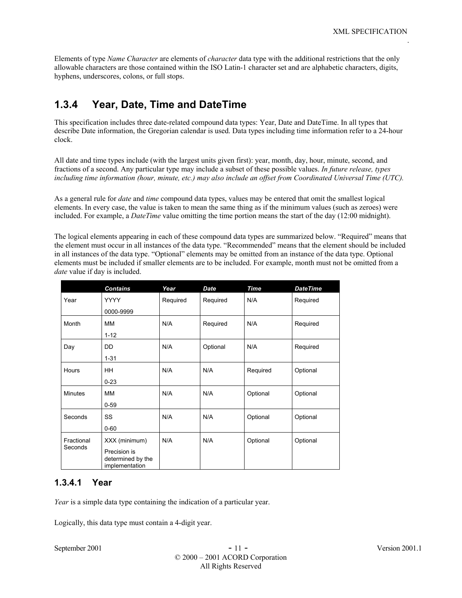Elements of type *Name Character* are elements of *character* data type with the additional restrictions that the only allowable characters are those contained within the ISO Latin-1 character set and are alphabetic characters, digits, hyphens, underscores, colons, or full stops.

## **1.3.4 Year, Date, Time and DateTime**

This specification includes three date-related compound data types: Year, Date and DateTime. In all types that describe Date information, the Gregorian calendar is used. Data types including time information refer to a 24-hour clock.

All date and time types include (with the largest units given first): year, month, day, hour, minute, second, and fractions of a second. Any particular type may include a subset of these possible values. *In future release, types including time information (hour, minute, etc.) may also include an offset from Coordinated Universal Time (UTC).*

As a general rule for *date* and *time* compound data types, values may be entered that omit the smallest logical elements. In every case, the value is taken to mean the same thing as if the minimum values (such as zeroes) were included. For example, a *DateTime* value omitting the time portion means the start of the day (12:00 midnight).

The logical elements appearing in each of these compound data types are summarized below. "Required" means that the element must occur in all instances of the data type. "Recommended" means that the element should be included in all instances of the data type. "Optional" elements may be omitted from an instance of the data type. Optional elements must be included if smaller elements are to be included. For example, month must not be omitted from a *date* value if day is included.

|                | <b>Contains</b>                                     | Year     | <b>Date</b> | <b>Time</b> | <b>DateTime</b> |
|----------------|-----------------------------------------------------|----------|-------------|-------------|-----------------|
| Year           | <b>YYYY</b>                                         | Required | Required    | N/A         | Required        |
|                | 0000-9999                                           |          |             |             |                 |
| Month          | MМ                                                  | N/A      | Required    | N/A         | Required        |
|                | $1 - 12$                                            |          |             |             |                 |
| Day            | DD                                                  | N/A      | Optional    | N/A         | Required        |
|                | $1 - 31$                                            |          |             |             |                 |
| Hours          | HH                                                  | N/A      | N/A         | Required    | Optional        |
|                | $0 - 23$                                            |          |             |             |                 |
| <b>Minutes</b> | MМ                                                  | N/A      | N/A         | Optional    | Optional        |
|                | $0 - 59$                                            |          |             |             |                 |
| Seconds        | SS                                                  | N/A      | N/A         | Optional    | Optional        |
|                | $0 - 60$                                            |          |             |             |                 |
| Fractional     | XXX (minimum)                                       | N/A      | N/A         | Optional    | Optional        |
| Seconds        | Precision is<br>determined by the<br>implementation |          |             |             |                 |

#### **1.3.4.1 Year**

*Year* is a simple data type containing the indication of a particular year.

Logically, this data type must contain a 4-digit year.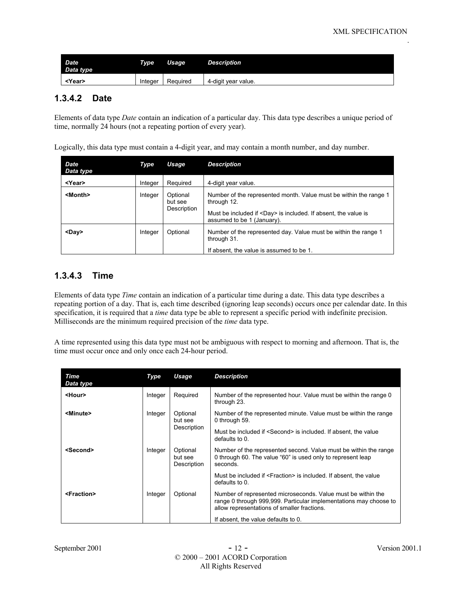| <b>Date</b><br>Data type | <b>Type</b> | Usage    | <b>Description</b>  |
|--------------------------|-------------|----------|---------------------|
| <year></year>            | Integer     | Required | 4-digit year value. |

#### **1.3.4.2 Date**

Elements of data type *Date* contain an indication of a particular day. This data type describes a unique period of time, normally 24 hours (not a repeating portion of every year).

Logically, this data type must contain a 4-digit year, and may contain a month number, and day number.

| <b>Date</b><br>Data type | Type    | Usage                              | <b>Description</b>                                                                                                                                                                      |
|--------------------------|---------|------------------------------------|-----------------------------------------------------------------------------------------------------------------------------------------------------------------------------------------|
| <year></year>            | Integer | Required                           | 4-digit year value.                                                                                                                                                                     |
| <month></month>          | Integer | Optional<br>but see<br>Description | Number of the represented month. Value must be within the range 1<br>through 12.<br>Must be included if <day> is included. If absent, the value is<br/>assumed to be 1 (January).</day> |
| <day></day>              | Integer | Optional                           | Number of the represented day. Value must be within the range 1<br>through 31.<br>If absent, the value is assumed to be 1.                                                              |

#### **1.3.4.3 Time**

Elements of data type *Time* contain an indication of a particular time during a date. This data type describes a repeating portion of a day. That is, each time described (ignoring leap seconds) occurs once per calendar date. In this specification, it is required that a *time* data type be able to represent a specific period with indefinite precision. Milliseconds are the minimum required precision of the *time* data type.

A time represented using this data type must not be ambiguous with respect to morning and afternoon. That is, the time must occur once and only once each 24-hour period.

| Time<br>Data type     | Type    | Usage                              | <b>Description</b>                                                                                                                                                               |
|-----------------------|---------|------------------------------------|----------------------------------------------------------------------------------------------------------------------------------------------------------------------------------|
| <hour></hour>         | Integer | Required                           | Number of the represented hour. Value must be within the range 0<br>through 23.                                                                                                  |
| <minute></minute>     | Integer | Optional<br>but see                | Number of the represented minute. Value must be within the range<br>0 through 59.                                                                                                |
|                       |         | Description                        | Must be included if <second> is included. If absent, the value<br/>defaults to 0.</second>                                                                                       |
| <second></second>     | Integer | Optional<br>but see<br>Description | Number of the represented second. Value must be within the range<br>0 through 60. The value "60" is used only to represent leap<br>seconds.                                      |
|                       |         |                                    | Must be included if <fraction> is included. If absent, the value<br/>defaults to 0.</fraction>                                                                                   |
| <fraction></fraction> | Integer | Optional                           | Number of represented microseconds. Value must be within the<br>range 0 through 999,999. Particular implementations may choose to<br>allow representations of smaller fractions. |
|                       |         |                                    | If absent, the value defaults to 0.                                                                                                                                              |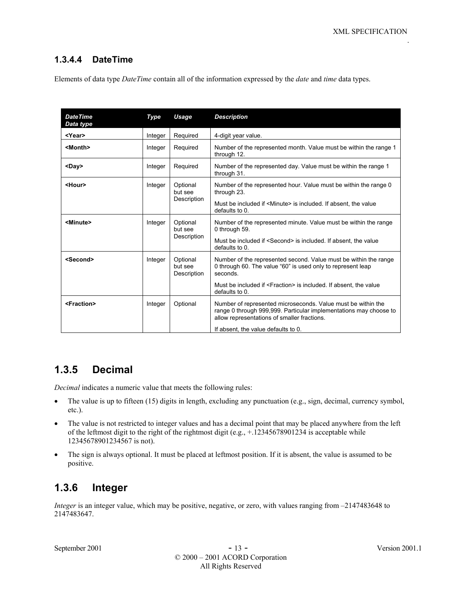#### **1.3.4.4 DateTime**

Elements of data type *DateTime* contain all of the information expressed by the *date* and *time* data types.

| <b>DateTime</b><br>Data type | Type    | Usage                              | <b>Description</b>                                                                                                                                                                                                                            |
|------------------------------|---------|------------------------------------|-----------------------------------------------------------------------------------------------------------------------------------------------------------------------------------------------------------------------------------------------|
| <year></year>                | Integer | Required                           | 4-digit year value.                                                                                                                                                                                                                           |
| <month></month>              | Integer | Required                           | Number of the represented month. Value must be within the range 1<br>through 12.                                                                                                                                                              |
| <day></day>                  | Integer | Required                           | Number of the represented day. Value must be within the range 1<br>through 31.                                                                                                                                                                |
| <hour></hour>                | Integer | Optional<br>but see<br>Description | Number of the represented hour. Value must be within the range 0<br>through 23.<br>Must be included if <minute> is included. If absent, the value<br/>defaults to 0.</minute>                                                                 |
| <minute></minute>            | Integer | Optional<br>but see<br>Description | Number of the represented minute. Value must be within the range<br>0 through 59.<br>Must be included if <second> is included. If absent, the value<br/>defaults to 0.</second>                                                               |
| <second></second>            | Integer | Optional<br>but see<br>Description | Number of the represented second. Value must be within the range<br>0 through 60. The value "60" is used only to represent leap<br>seconds.<br>Must be included if <fraction> is included. If absent, the value<br/>defaults to 0.</fraction> |
| <fraction></fraction>        | Integer | Optional                           | Number of represented microseconds. Value must be within the<br>range 0 through 999,999. Particular implementations may choose to<br>allow representations of smaller fractions.<br>If absent, the value defaults to 0.                       |

## **1.3.5 Decimal**

*Decimal* indicates a numeric value that meets the following rules:

- The value is up to fifteen (15) digits in length, excluding any punctuation (e.g., sign, decimal, currency symbol, etc.).
- The value is not restricted to integer values and has a decimal point that may be placed anywhere from the left of the leftmost digit to the right of the rightmost digit (e.g., +.12345678901234 is acceptable while 12345678901234567 is not).
- The sign is always optional. It must be placed at leftmost position. If it is absent, the value is assumed to be positive.

## **1.3.6 Integer**

*Integer* is an integer value, which may be positive, negative, or zero, with values ranging from  $-2147483648$  to 2147483647.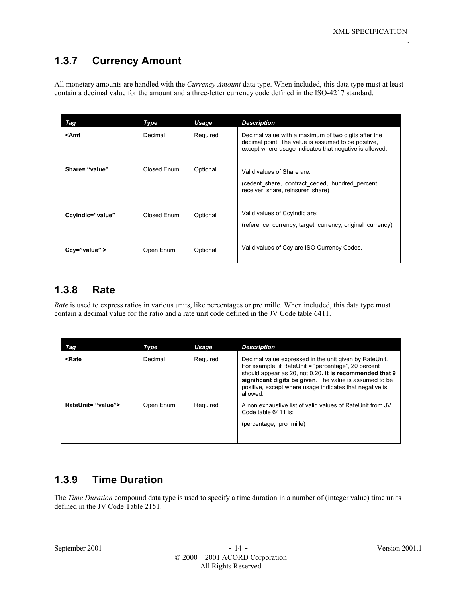## **1.3.7 Currency Amount**

All monetary amounts are handled with the *Currency Amount* data type. When included, this data type must at least contain a decimal value for the amount and a three-letter currency code defined in the ISO-4217 standard.

| Tag                                                                                                                                                                                                                                  | Type        | Usage    | <b>Description</b>                                                                                                                                                    |
|--------------------------------------------------------------------------------------------------------------------------------------------------------------------------------------------------------------------------------------|-------------|----------|-----------------------------------------------------------------------------------------------------------------------------------------------------------------------|
| <amt< th=""><th>Decimal</th><th>Required</th><th>Decimal value with a maximum of two digits after the<br/>decimal point. The value is assumed to be positive,<br/>except where usage indicates that negative is allowed.</th></amt<> | Decimal     | Required | Decimal value with a maximum of two digits after the<br>decimal point. The value is assumed to be positive,<br>except where usage indicates that negative is allowed. |
| Share= "value"                                                                                                                                                                                                                       | Closed Fnum | Optional | Valid values of Share are:<br>(cedent share, contract ceded, hundred percent,<br>receiver_share, reinsurer_share)                                                     |
| Ccylndic="value"                                                                                                                                                                                                                     | Closed Enum | Optional | Valid values of Ccylndic are:<br>(reference currency, target currency, original currency)                                                                             |
| $Ccy="value"$                                                                                                                                                                                                                        | Open Enum   | Optional | Valid values of Ccy are ISO Currency Codes.                                                                                                                           |

## **1.3.8 Rate**

*Rate* is used to express ratios in various units, like percentages or pro mille. When included, this data type must contain a decimal value for the ratio and a rate unit code defined in the JV Code table 6411.

| Tag                                                                                                                                                                                                                                                                                                                                                                            | Type      | Usage    | <b>Description</b>                                                                                                                                                                                                                                                                                         |
|--------------------------------------------------------------------------------------------------------------------------------------------------------------------------------------------------------------------------------------------------------------------------------------------------------------------------------------------------------------------------------|-----------|----------|------------------------------------------------------------------------------------------------------------------------------------------------------------------------------------------------------------------------------------------------------------------------------------------------------------|
| <rate< th=""><th>Decimal</th><th>Required</th><th>Decimal value expressed in the unit given by RateUnit.<br/>For example, if RateUnit = "percentage", 20 percent<br/>should appear as 20, not 0.20. It is recommended that 9<br/>significant digits be given. The value is assumed to be<br/>positive, except where usage indicates that negative is<br/>allowed.</th></rate<> | Decimal   | Required | Decimal value expressed in the unit given by RateUnit.<br>For example, if RateUnit = "percentage", 20 percent<br>should appear as 20, not 0.20. It is recommended that 9<br>significant digits be given. The value is assumed to be<br>positive, except where usage indicates that negative is<br>allowed. |
| RateUnit= "value">                                                                                                                                                                                                                                                                                                                                                             | Open Enum | Reguired | A non exhaustive list of valid values of RateUnit from JV<br>Code table 6411 is:<br>(percentage, pro mille)                                                                                                                                                                                                |

## **1.3.9 Time Duration**

The *Time Duration* compound data type is used to specify a time duration in a number of (integer value) time units defined in the JV Code Table 2151.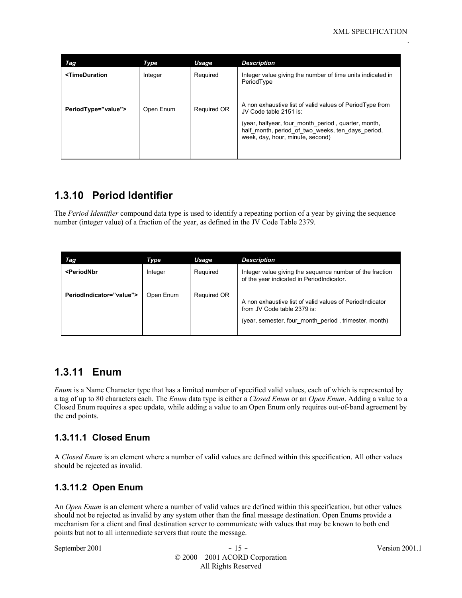| Tag                                                                                                                                                      | Type      | Usage              | <b>Description</b>                                                                                                                                                                                                                 |
|----------------------------------------------------------------------------------------------------------------------------------------------------------|-----------|--------------------|------------------------------------------------------------------------------------------------------------------------------------------------------------------------------------------------------------------------------------|
| <timeduration< th=""><th>Integer</th><th>Required</th><th>Integer value giving the number of time units indicated in<br/>PeriodType</th></timeduration<> | Integer   | Required           | Integer value giving the number of time units indicated in<br>PeriodType                                                                                                                                                           |
| PeriodType="value">                                                                                                                                      | Open Enum | <b>Required OR</b> | A non exhaustive list of valid values of PeriodType from<br>JV Code table 2151 is:<br>(year, halfyear, four month period, quarter, month,<br>half month, period of two weeks, ten days period,<br>week, day, hour, minute, second) |

## **1.3.10 Period Identifier**

The *Period Identifier* compound data type is used to identify a repeating portion of a year by giving the sequence number (integer value) of a fraction of the year, as defined in the JV Code Table 2379.

| Tag                                                                                                                                                                             | Type      | Usage       | <b>Description</b>                                                                                                                               |
|---------------------------------------------------------------------------------------------------------------------------------------------------------------------------------|-----------|-------------|--------------------------------------------------------------------------------------------------------------------------------------------------|
| <periodnbr< th=""><th>Integer</th><th>Required</th><th>Integer value giving the sequence number of the fraction<br/>of the year indicated in PeriodIndicator.</th></periodnbr<> | Integer   | Required    | Integer value giving the sequence number of the fraction<br>of the year indicated in PeriodIndicator.                                            |
| PeriodIndicator="value">                                                                                                                                                        | Open Enum | Required OR | A non exhaustive list of valid values of PeriodIndicator<br>from JV Code table 2379 is:<br>(year, semester, four month period, trimester, month) |

### **1.3.11 Enum**

*Enum* is a Name Character type that has a limited number of specified valid values, each of which is represented by a tag of up to 80 characters each. The *Enum* data type is either a *Closed Enum* or an *Open Enum*. Adding a value to a Closed Enum requires a spec update, while adding a value to an Open Enum only requires out-of-band agreement by the end points.

#### **1.3.11.1 Closed Enum**

A *Closed Enum* is an element where a number of valid values are defined within this specification. All other values should be rejected as invalid.

#### **1.3.11.2 Open Enum**

An *Open Enum* is an element where a number of valid values are defined within this specification, but other values should not be rejected as invalid by any system other than the final message destination. Open Enums provide a mechanism for a client and final destination server to communicate with values that may be known to both end points but not to all intermediate servers that route the message.

September 2001 - 15 - Version 2001.1 © 2000 – 2001 ACORD Corporation All Rights Reserved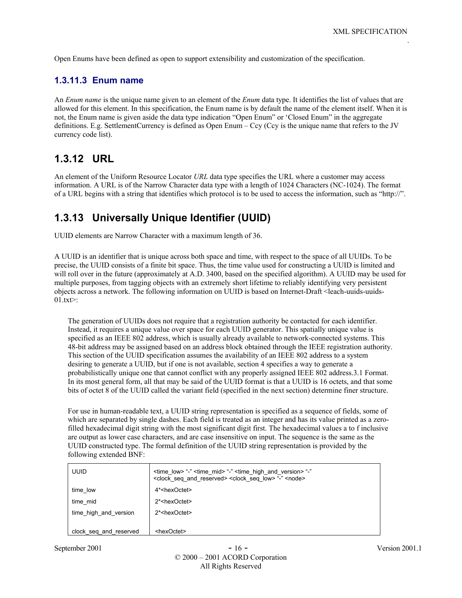Open Enums have been defined as open to support extensibility and customization of the specification.

#### **1.3.11.3 Enum name**

An *Enum name* is the unique name given to an element of the *Enum* data type. It identifies the list of values that are allowed for this element. In this specification, the Enum name is by default the name of the element itself. When it is not, the Enum name is given aside the data type indication "Open Enum" or 'Closed Enum" in the aggregate definitions. E.g. SettlementCurrency is defined as Open Enum – Ccy (Ccy is the unique name that refers to the JV currency code list).

## **1.3.12 URL**

An element of the Uniform Resource Locator *URL* data type specifies the URL where a customer may access information. A URL is of the Narrow Character data type with a length of 1024 Characters (NC-1024). The format of a URL begins with a string that identifies which protocol is to be used to access the information, such as "http://".

## **1.3.13 Universally Unique Identifier (UUID)**

UUID elements are Narrow Character with a maximum length of 36.

A UUID is an identifier that is unique across both space and time, with respect to the space of all UUIDs. To be precise, the UUID consists of a finite bit space. Thus, the time value used for constructing a UUID is limited and will roll over in the future (approximately at A.D. 3400, based on the specified algorithm). A UUID may be used for multiple purposes, from tagging objects with an extremely short lifetime to reliably identifying very persistent objects across a network. The following information on UUID is based on Internet-Draft <leach-uuids-uuids- $01.txt$ :

The generation of UUIDs does not require that a registration authority be contacted for each identifier. Instead, it requires a unique value over space for each UUID generator. This spatially unique value is specified as an IEEE 802 address, which is usually already available to network-connected systems. This 48-bit address may be assigned based on an address block obtained through the IEEE registration authority. This section of the UUID specification assumes the availability of an IEEE 802 address to a system desiring to generate a UUID, but if one is not available, section 4 specifies a way to generate a probabilistically unique one that cannot conflict with any properly assigned IEEE 802 address.3.1 Format. In its most general form, all that may be said of the UUID format is that a UUID is 16 octets, and that some bits of octet 8 of the UUID called the variant field (specified in the next section) determine finer structure.

For use in human-readable text, a UUID string representation is specified as a sequence of fields, some of which are separated by single dashes. Each field is treated as an integer and has its value printed as a zerofilled hexadecimal digit string with the most significant digit first. The hexadecimal values a to f inclusive are output as lower case characters, and are case insensitive on input. The sequence is the same as the UUID constructed type. The formal definition of the UUID string representation is provided by the following extended BNF:

| <b>UUID</b>            | $\le$ time low> "-" $\le$ time mid> "-" $\le$ time high and version> "-"<br><clock and="" reserved="" seq=""> <clock low="" seq=""> "-" <node></node></clock></clock> |  |  |
|------------------------|-----------------------------------------------------------------------------------------------------------------------------------------------------------------------|--|--|
| time low               | 4* <hexoctet></hexoctet>                                                                                                                                              |  |  |
| time mid               | 2* <hexoctet></hexoctet>                                                                                                                                              |  |  |
| time high and version  | 2* <hexoctet></hexoctet>                                                                                                                                              |  |  |
|                        |                                                                                                                                                                       |  |  |
| clock_seq_and_reserved | <hexoctet></hexoctet>                                                                                                                                                 |  |  |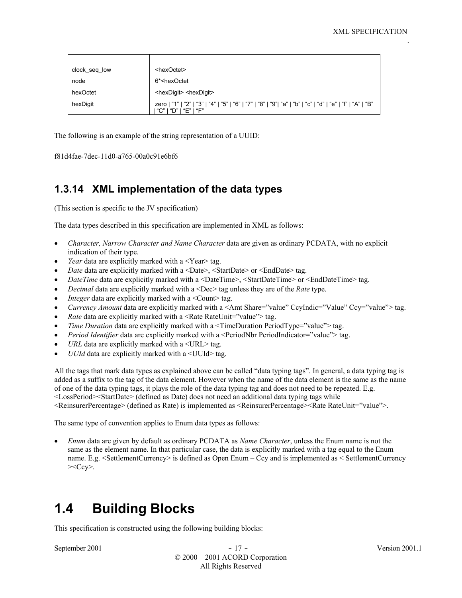| clock_seq_low | <hexoctet></hexoctet>                                                                                                              |
|---------------|------------------------------------------------------------------------------------------------------------------------------------|
| node          | 6* <hexoctet< td=""></hexoctet<>                                                                                                   |
| hexOctet      | <hexdigit> <hexdigit></hexdigit></hexdigit>                                                                                        |
| hexDigit      | zero   "1"   "2"   "3"   "4"   "5"   "6"   "7"   "8"   "9"  "a"   "b"   "c"   "d"   "e"   "f"   "A"   "B"<br>"C"   "D"   "E"   "F" |

The following is an example of the string representation of a UUID:

```
f81d4fae-7dec-11d0-a765-00a0c91e6bf6
```
## **1.3.14 XML implementation of the data types**

(This section is specific to the JV specification)

The data types described in this specification are implemented in XML as follows:

- *Character, Narrow Character and Name Character* data are given as ordinary PCDATA, with no explicit indication of their type.
- *Year* data are explicitly marked with a <Year> tag.
- *Date* data are explicitly marked with a <Date>, <StartDate> or <EndDate> tag.
- *DateTime* data are explicitly marked with a <DateTime>, <StartDateTime> or <EndDateTime> tag.
- *Decimal* data are explicitly marked with a <Dec> tag unless they are of the *Rate* type.
- *Integer* data are explicitly marked with a <Count>tag.
- *Currency Amount* data are explicitly marked with a <Amt Share="value" CcyIndic="Value" Ccy="value"> tag.
- *Rate* data are explicitly marked with a <Rate RateUnit="value"> tag.
- *Time Duration* data are explicitly marked with a <TimeDuration PeriodType="value"> tag.
- *Period Identifier* data are explicitly marked with a <PeriodNbr PeriodIndicator="value"> tag.
- URL data are explicitly marked with a <URL>tag.
- *UUId* data are explicitly marked with a <UUId> tag.

All the tags that mark data types as explained above can be called "data typing tags". In general, a data typing tag is added as a suffix to the tag of the data element. However when the name of the data element is the same as the name of one of the data typing tags, it plays the role of the data typing tag and does not need to be repeated. E.g. <LossPeriod><StartDate> (defined as Date) does not need an additional data typing tags while <ReinsurerPercentage> (defined as Rate) is implemented as <ReinsurerPercentage><Rate RateUnit="value">.

The same type of convention applies to Enum data types as follows:

• *Enum* data are given by default as ordinary PCDATA as *Name Character*, unless the Enum name is not the same as the element name. In that particular case, the data is explicitly marked with a tag equal to the Enum name. E.g. <SettlementCurrency> is defined as Open Enum – Ccy and is implemented as < SettlementCurrency  $>\langle Ccy \rangle$ .

# **1.4 Building Blocks**

This specification is constructed using the following building blocks:

September 2001 - 17 - Version 2001.1 © 2000 – 2001 ACORD Corporation All Rights Reserved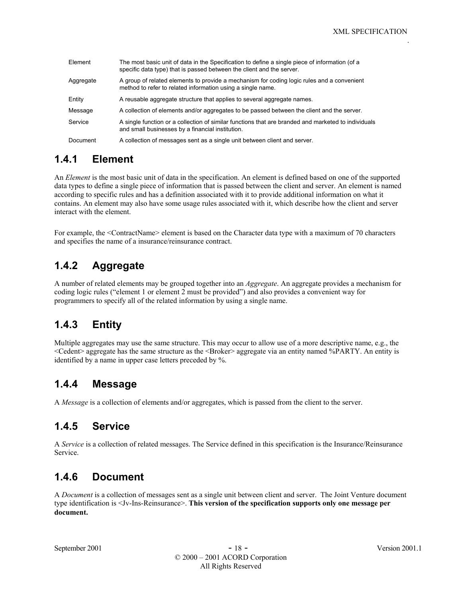| Element   | The most basic unit of data in the Specification to define a single piece of information (of a<br>specific data type) that is passed between the client and the server. |
|-----------|-------------------------------------------------------------------------------------------------------------------------------------------------------------------------|
| Aggregate | A group of related elements to provide a mechanism for coding logic rules and a convenient<br>method to refer to related information using a single name.               |
| Entity    | A reusable aggregate structure that applies to several aggregate names.                                                                                                 |
| Message   | A collection of elements and/or aggregates to be passed between the client and the server.                                                                              |
| Service   | A single function or a collection of similar functions that are branded and marketed to individuals<br>and small businesses by a financial institution.                 |
| Document  | A collection of messages sent as a single unit between client and server.                                                                                               |

## **1.4.1 Element**

An *Element* is the most basic unit of data in the specification. An element is defined based on one of the supported data types to define a single piece of information that is passed between the client and server. An element is named according to specific rules and has a definition associated with it to provide additional information on what it contains. An element may also have some usage rules associated with it, which describe how the client and server interact with the element.

For example, the <ContractName> element is based on the Character data type with a maximum of 70 characters and specifies the name of a insurance/reinsurance contract.

## **1.4.2 Aggregate**

A number of related elements may be grouped together into an *Aggregate*. An aggregate provides a mechanism for coding logic rules ("element 1 or element 2 must be provided") and also provides a convenient way for programmers to specify all of the related information by using a single name.

## **1.4.3 Entity**

Multiple aggregates may use the same structure. This may occur to allow use of a more descriptive name, e.g., the <Cedent> aggregate has the same structure as the <Broker> aggregate via an entity named %PARTY. An entity is identified by a name in upper case letters preceded by %.

## **1.4.4 Message**

A *Message* is a collection of elements and/or aggregates, which is passed from the client to the server.

## **1.4.5 Service**

A *Service* is a collection of related messages. The Service defined in this specification is the Insurance/Reinsurance Service.

## **1.4.6 Document**

A *Document* is a collection of messages sent as a single unit between client and server. The Joint Venture document type identification is <Jv-Ins-Reinsurance>. **This version of the specification supports only one message per document.**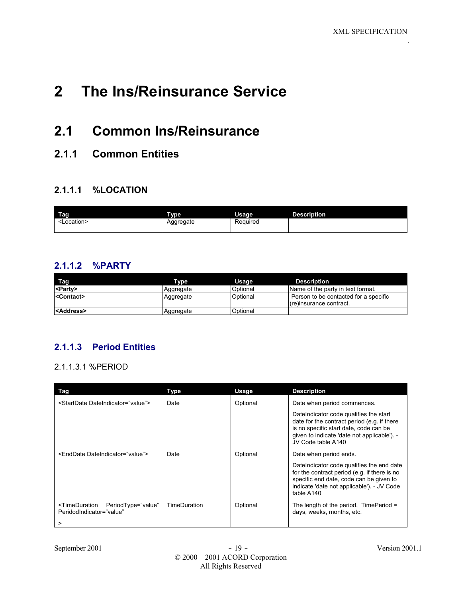# **2 The Ins/Reinsurance Service**

## **2.1 Common Ins/Reinsurance**

## **2.1.1 Common Entities**

#### **2.1.1.1 %LOCATION**

| Tag       | <b>Type</b> | Usage    | <b>Description</b> |
|-----------|-------------|----------|--------------------|
| ∟ocation> | Aggregate   | Required |                    |

#### **2.1.1.2 %PARTY**

| Tag                 | Type      | Usage    | <b>Description</b>                                                 |
|---------------------|-----------|----------|--------------------------------------------------------------------|
| <party></party>     | Aggregate | Optional | Name of the party in text format.                                  |
| <contact></contact> | Aggregate | Optional | Person to be contacted for a specific<br>l (re)insurance contract. |
| <address></address> | Aggregate | Optional |                                                                    |

### **2.1.1.3 Period Entities**

#### 2.1.1.3.1 %PERIOD

| Tag                                                                                      | Type         | Usage    | <b>Description</b>                                                                                                                                                                                   |
|------------------------------------------------------------------------------------------|--------------|----------|------------------------------------------------------------------------------------------------------------------------------------------------------------------------------------------------------|
| <startdate dateindicator="value"></startdate>                                            | Date         | Optional | Date when period commences.                                                                                                                                                                          |
|                                                                                          |              |          | DateIndicator code qualifies the start<br>date for the contract period (e.g. if there<br>is no specific start date, code can be<br>given to indicate 'date not applicable'). -<br>JV Code table A140 |
| <enddate dateindicator="value"></enddate>                                                | Date         | Optional | Date when period ends.                                                                                                                                                                               |
|                                                                                          |              |          | DateIndicator code qualifies the end date<br>for the contract period (e.g. if there is no<br>specific end date, code can be given to<br>indicate 'date not applicable'). - JV Code<br>table A140     |
| <timeduration <br="" periodtype="value">PeridodIndicator="value"<br/>&gt;</timeduration> | TimeDuration | Optional | The length of the period. TimePeriod =<br>days, weeks, months, etc.                                                                                                                                  |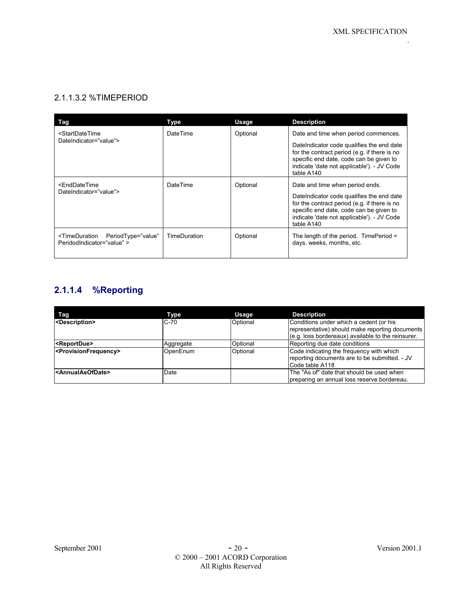#### 2.1.1.3.2 %TIMEPERIOD

| Tag                                                                                                                    | Type                | Usage    | <b>Description</b>                                                                                                                                                                                                                  |
|------------------------------------------------------------------------------------------------------------------------|---------------------|----------|-------------------------------------------------------------------------------------------------------------------------------------------------------------------------------------------------------------------------------------|
| <startdatetime< td=""><td>DateTime</td><td>Optional</td><td>Date and time when period commences.</td></startdatetime<> | DateTime            | Optional | Date and time when period commences.                                                                                                                                                                                                |
| DateIndicator="value">                                                                                                 |                     |          | DateIndicator code qualifies the end date<br>for the contract period (e.g. if there is no<br>specific end date, code can be given to<br>indicate 'date not applicable'). - JV Code<br>table A140                                    |
| <enddatetime<br>DateIndicator="value"&gt;</enddatetime<br>                                                             | DateTime            | Optional | Date and time when period ends.<br>DateIndicator code qualifies the end date<br>for the contract period (e.g. if there is no<br>specific end date, code can be given to<br>indicate 'date not applicable'). - JV Code<br>table A140 |
| <timeduration <br="" periodtype="value">PeridodIndicator="value" &gt;</timeduration>                                   | <b>TimeDuration</b> | Optional | The length of the period. Time Period $=$<br>days, weeks, months, etc.                                                                                                                                                              |

## **2.1.1.4 %Reporting**

| Tag                                       | Type      | Usage    | <b>Description</b>                                                                                                                               |
|-------------------------------------------|-----------|----------|--------------------------------------------------------------------------------------------------------------------------------------------------|
| <description></description>               | $C-70$    | Optional | Conditions under which a cedent (or his<br>representative) should make reporting documents<br>(e.g. loss bordereaux) available to the reinsurer. |
| <reportdue></reportdue>                   | Aggregate | Optional | Reporting due date conditions                                                                                                                    |
| <provisionfrequency></provisionfrequency> | OpenEnum  | Optional | Code indicating the frequency with which<br>reporting documents are to be submitted. - JV<br>ICode table A118                                    |
| <annualasofdate></annualasofdate>         | Date      |          | The "As of" date that should be used when<br>preparing an annual loss reserve bordereau.                                                         |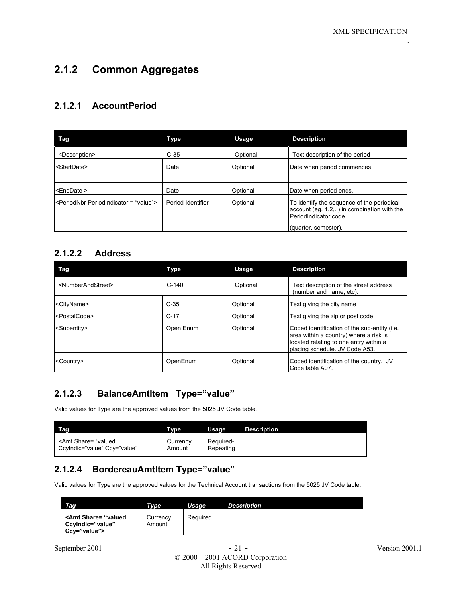## **2.1.2 Common Aggregates**

#### **2.1.2.1 AccountPeriod**

| Tag                                             | <b>Type</b>       | Usage    | <b>Description</b>                                                                                                                          |
|-------------------------------------------------|-------------------|----------|---------------------------------------------------------------------------------------------------------------------------------------------|
| <description></description>                     | $C-35$            | Optional | Text description of the period                                                                                                              |
| <startdate></startdate>                         | Date              | Optional | Date when period commences.                                                                                                                 |
| <enddate></enddate>                             | Date              | Optional | Date when period ends.                                                                                                                      |
| <periodnbr periodindicator="value"></periodnbr> | Period Identifier | Optional | To identify the sequence of the periodical<br>$account (eg. 1,2, )$ in combination with the<br>PeriodIndicator code<br>(quarter, semester). |

### **2.1.2.2 Address**

| Tag                                 | <b>Type</b> | Usage    | <b>Description</b>                                                                                                                                                         |
|-------------------------------------|-------------|----------|----------------------------------------------------------------------------------------------------------------------------------------------------------------------------|
| <numberandstreet></numberandstreet> | $C-140$     | Optional | Text description of the street address<br>(number and name, etc).                                                                                                          |
| <cityname></cityname>               | $C-35$      | Optional | Text giving the city name                                                                                                                                                  |
| <postalcode></postalcode>           | $C-17$      | Optional | Text giving the zip or post code.                                                                                                                                          |
| <subentity></subentity>             | Open Enum   | Optional | Coded identification of the sub-entity ( <i>i.e.</i><br>area within a country) where a risk is<br>located relating to one entry within a<br>placing schedule. JV Code A53. |
| <country></country>                 | OpenEnum    | Optional | Coded identification of the country. JV<br>Code table A07.                                                                                                                 |

#### **2.1.2.3 BalanceAmtItem Type="value"**

Valid values for Type are the approved values from the 5025 JV Code table.

| Tag                                                                                                                                                                                                                                      | Tvpe   | Usage     | <b>Description</b> |
|------------------------------------------------------------------------------------------------------------------------------------------------------------------------------------------------------------------------------------------|--------|-----------|--------------------|
| <amt <="" ccy="value" share="valued&lt;/td&gt;&lt;td&gt;Currency&lt;/td&gt;&lt;td&gt;Required-&lt;/td&gt;&lt;td&gt;&lt;/td&gt;&lt;/tr&gt;&lt;tr&gt;&lt;td&gt;Ccylndic=" td="" value"=""><td>Amount</td><td>Repeating</td><td></td></amt> | Amount | Repeating |                    |

#### **2.1.2.4 BordereauAmtItem Type="value"**

Valid values for Type are the approved values for the Technical Account transactions from the 5025 JV Code table.

| Tag <sub></sub>                                                           | Tvpe               | Usage    | <b>Description</b> |
|---------------------------------------------------------------------------|--------------------|----------|--------------------|
| <amt share="valued&lt;br&gt;CcvIndic=" value"<br="">Ccv="value"&gt;</amt> | Currency<br>Amount | Required |                    |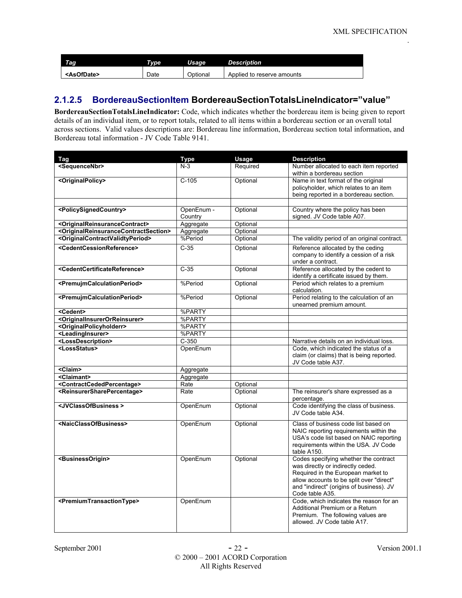| Tag                   | Type | Usage    | <b>Description</b>         |
|-----------------------|------|----------|----------------------------|
| <asofdate></asofdate> | Date | Optional | Applied to reserve amounts |

#### **2.1.2.5 BordereauSectionItem BordereauSectionTotalsLineIndicator="value"**

**BordereauSectionTotalsLineIndicator:** Code, which indicates whether the bordereau item is being given to report details of an individual item, or to report totals, related to all items within a bordereau section or an overall total across sections. Valid values descriptions are: Bordereau line information, Bordereau section total information, and Bordereau total information - JV Code Table 9141.

| Tag                                                                       | <b>Type</b>           | Usage    | <b>Description</b>                                                                                                                                                                                                          |
|---------------------------------------------------------------------------|-----------------------|----------|-----------------------------------------------------------------------------------------------------------------------------------------------------------------------------------------------------------------------------|
| <sequencenbr></sequencenbr>                                               | $N-3$                 | Required | Number allocated to each item reported<br>within a bordereau section                                                                                                                                                        |
| <originalpolicy></originalpolicy>                                         | $C-105$               | Optional | Name in text format of the original<br>policyholder, which relates to an item<br>being reported in a bordereau section.                                                                                                     |
|                                                                           |                       |          |                                                                                                                                                                                                                             |
| <policysignedcountry></policysignedcountry>                               | OpenEnum -<br>Country | Optional | Country where the policy has been<br>signed. JV Code table A07.                                                                                                                                                             |
| <originalreinsurancecontract></originalreinsurancecontract>               | Aggregate             | Optional |                                                                                                                                                                                                                             |
| <originalreinsurancecontractsection></originalreinsurancecontractsection> | Aggregate             | Optional |                                                                                                                                                                                                                             |
| <originalcontractvalidtyperiod></originalcontractvalidtyperiod>           | %Period               | Optional | The validity period of an original contract.                                                                                                                                                                                |
| <cedentcessionreference></cedentcessionreference>                         | $C-35$                | Optional | Reference allocated by the ceding<br>company to identify a cession of a risk<br>under a contract.                                                                                                                           |
| <cedentcertificatereference></cedentcertificatereference>                 | $C-35$                | Optional | Reference allocated by the cedent to<br>identify a certificate issued by them.                                                                                                                                              |
| <premujmcalculationperiod></premujmcalculationperiod>                     | %Period               | Optional | Period which relates to a premium<br>calculation.                                                                                                                                                                           |
| <premujmcalculationperiod></premujmcalculationperiod>                     | %Period               | Optional | Period relating to the calculation of an<br>unearned premium amount.                                                                                                                                                        |
| <cedent></cedent>                                                         | %PARTY                |          |                                                                                                                                                                                                                             |
| <originalinsurerorreinsurer></originalinsurerorreinsurer>                 | %PARTY                |          |                                                                                                                                                                                                                             |
| <originalpolicyholderr></originalpolicyholderr>                           | %PARTY                |          |                                                                                                                                                                                                                             |
| <leadinginsurer></leadinginsurer>                                         | %PARTY                |          |                                                                                                                                                                                                                             |
| <lossdescription></lossdescription>                                       | $C-350$               |          | Narrative details on an individual loss.                                                                                                                                                                                    |
| <lossstatus></lossstatus>                                                 | OpenEnum              |          | Code, which indicated the status of a<br>claim (or claims) that is being reported.<br>JV Code table A37.                                                                                                                    |
| <claim></claim>                                                           | Aggregate             |          |                                                                                                                                                                                                                             |
| <claimant></claimant>                                                     | Aggregate             |          |                                                                                                                                                                                                                             |
| <contractcededpercentage></contractcededpercentage>                       | Rate                  | Optional |                                                                                                                                                                                                                             |
| <reinsurersharepercentage></reinsurersharepercentage>                     | Rate                  | Optional | The reinsurer's share expressed as a<br>percentage.                                                                                                                                                                         |
| <jvclassofbusiness></jvclassofbusiness>                                   | OpenEnum              | Optional | Code identifying the class of business.<br>JV Code table A34.                                                                                                                                                               |
| <naicclassofbusiness></naicclassofbusiness>                               | OpenEnum              | Optional | Class of business code list based on<br>NAIC reporting requirements within the<br>USA's code list based on NAIC reporting<br>requirements within the USA. JV Code<br>table A150.                                            |
| <businessorigin></businessorigin>                                         | OpenEnum              | Optional | Codes specifying whether the contract<br>was directly or indirectly ceded.<br>Required in the European market to<br>allow accounts to be split over "direct"<br>and "indirect" (origins of business). JV<br>Code table A35. |
| <premiumtransactiontype></premiumtransactiontype>                         | OpenEnum              |          | Code, which indicates the reason for an<br>Additional Premium or a Return<br>Premium. The following values are<br>allowed. JV Code table A17.                                                                               |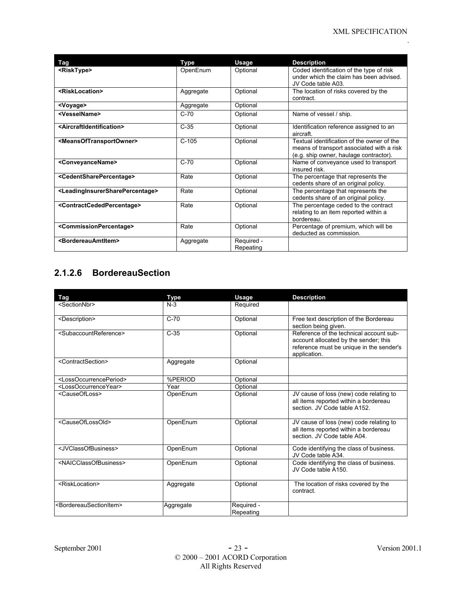| Tag                                                             | Type      | Usage                   | <b>Description</b>                                                                                                                |
|-----------------------------------------------------------------|-----------|-------------------------|-----------------------------------------------------------------------------------------------------------------------------------|
| <risktype></risktype>                                           | OpenEnum  | Optional                | Coded identification of the type of risk<br>under which the claim has been advised.<br>JV Code table A03.                         |
| <risklocation></risklocation>                                   | Aggregate | Optional                | The location of risks covered by the<br>contract.                                                                                 |
| <voyage></voyage>                                               | Aggregate | Optional                |                                                                                                                                   |
| <vesselname></vesselname>                                       | $C-70$    | Optional                | Name of vessel / ship.                                                                                                            |
| <aircraftidentification></aircraftidentification>               | $C-35$    | Optional                | Identification reference assigned to an<br>aircraft                                                                               |
| <meansoftransportowner></meansoftransportowner>                 | $C-105$   | Optional                | Textual identification of the owner of the<br>means of transport associated with a risk<br>(e.g. ship owner, haulage contractor). |
| <conveyancename></conveyancename>                               | $C-70$    | Optional                | Name of conveyance used to transport<br>insured risk.                                                                             |
| <cedentsharepercentage></cedentsharepercentage>                 | Rate      | Optional                | The percentage that represents the<br>cedents share of an original policy.                                                        |
| <leadinginsurersharepercentage></leadinginsurersharepercentage> | Rate      | Optional                | The percentage that represents the<br>cedents share of an original policy.                                                        |
| <contractcededpercentage></contractcededpercentage>             | Rate      | Optional                | The percentage ceded to the contract<br>relating to an item reported within a<br>bordereau.                                       |
| <commissionpercentage></commissionpercentage>                   | Rate      | Optional                | Percentage of premium, which will be<br>deducted as commission.                                                                   |
| <bordereauamtitem></bordereauamtitem>                           | Aggregate | Required -<br>Repeating |                                                                                                                                   |

## **2.1.2.6 BordereauSection**

| <b>Tag</b>                                    | <b>Type</b> | Usage                   | <b>Description</b>                                                                                                                           |
|-----------------------------------------------|-------------|-------------------------|----------------------------------------------------------------------------------------------------------------------------------------------|
| <sectionnbr></sectionnbr>                     | $N-3$       | Required                |                                                                                                                                              |
| <description></description>                   | $C-70$      | Optional                | Free text description of the Bordereau<br>section being given.                                                                               |
| <subaccountreference></subaccountreference>   | $C-35$      | Optional                | Reference of the technical account sub-<br>account allocated by the sender; this<br>reference must be unique in the sender's<br>application. |
| <contractsection></contractsection>           | Aggregate   | Optional                |                                                                                                                                              |
| <lossoccurrenceperiod></lossoccurrenceperiod> | %PERIOD     | Optional                |                                                                                                                                              |
| <lossoccurrenceyear></lossoccurrenceyear>     | Year        | Optional                |                                                                                                                                              |
| <causeofloss></causeofloss>                   | OpenEnum    | Optional                | JV cause of loss (new) code relating to<br>all items reported within a bordereau<br>section. JV Code table A152.                             |
| <causeoflossold></causeoflossold>             | OpenEnum    | Optional                | JV cause of loss (new) code relating to<br>all items reported within a bordereau<br>section. JV Code table A04.                              |
| <jvclassofbusiness></jvclassofbusiness>       | OpenEnum    | Optional                | Code identifying the class of business.<br>JV Code table A34.                                                                                |
| <naicclassofbusiness></naicclassofbusiness>   | OpenEnum    | Optional                | Code identifying the class of business.<br>JV Code table A150.                                                                               |
| <risklocation></risklocation>                 | Aggregate   | Optional                | The location of risks covered by the<br>contract.                                                                                            |
| <bordereausectionitem></bordereausectionitem> | Aggregate   | Required -<br>Repeating |                                                                                                                                              |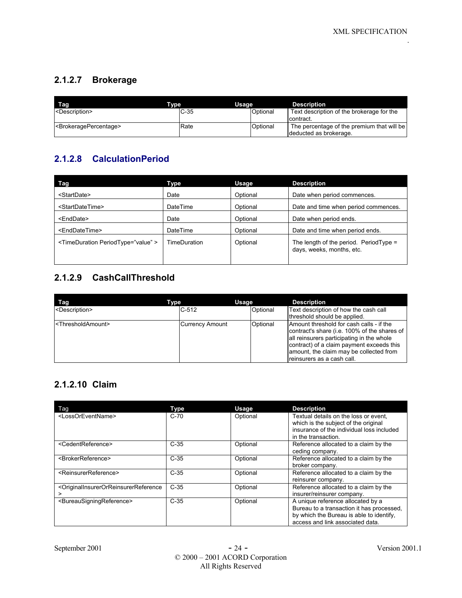## **2.1.2.7 Brokerage**

| Tag                         | <b>Tvpe</b> | Usage    | <b>Description</b>                                                   |
|-----------------------------|-------------|----------|----------------------------------------------------------------------|
| <description></description> | $C-35$      | Optional | Text description of the brokerage for the<br>contract.               |
| SProkeragePercentage>       | Rate        | Optional | The percentage of the premium that will be<br>deducted as brokerage. |

## **2.1.2.8 CalculationPeriod**

| Tag                                              | Type         | Usage    | <b>Description</b>                                                     |
|--------------------------------------------------|--------------|----------|------------------------------------------------------------------------|
| <startdate></startdate>                          | Date         | Optional | Date when period commences.                                            |
| <startdatetime></startdatetime>                  | DateTime     | Optional | Date and time when period commences.                                   |
| <enddate></enddate>                              | Date         | Optional | Date when period ends.                                                 |
| <enddatetime></enddatetime>                      | DateTime     | Optional | Date and time when period ends.                                        |
| <timeduration periodtype="value"></timeduration> | TimeDuration | Optional | The length of the period. Period $Type =$<br>days, weeks, months, etc. |

## **2.1.2.9 CashCallThreshold**

| Tag                                 | Type            | Usage    | <b>Description</b>                                                                                                                                                                                                                                          |
|-------------------------------------|-----------------|----------|-------------------------------------------------------------------------------------------------------------------------------------------------------------------------------------------------------------------------------------------------------------|
| <description></description>         | $C-512$         | Optional | Text description of how the cash call<br>threshold should be applied.                                                                                                                                                                                       |
| <thresholdamount></thresholdamount> | Currency Amount | Optional | Amount threshold for cash calls - if the<br>contract's share (i.e. 100% of the shares of<br>all reinsurers participating in the whole<br>contract) of a claim payment exceeds this<br>amount, the claim may be collected from<br>reinsurers as a cash call. |

## **2.1.2.10 Claim**

| Tag                                                                                   | Type   | Usage    | <b>Description</b>                                                                                                                                             |
|---------------------------------------------------------------------------------------|--------|----------|----------------------------------------------------------------------------------------------------------------------------------------------------------------|
| <lossoreventname></lossoreventname>                                                   | $C-70$ | Optional | Textual details on the loss or event,<br>which is the subject of the original                                                                                  |
|                                                                                       |        |          | insurance of the individual loss included<br>in the transaction.                                                                                               |
| <cedentreference></cedentreference>                                                   | $C-35$ | Optional | Reference allocated to a claim by the<br>ceding company.                                                                                                       |
| <brokerreference></brokerreference>                                                   | $C-35$ | Optional | Reference allocated to a claim by the<br>broker company.                                                                                                       |
| <reinsurerreference></reinsurerreference>                                             | $C-35$ | Optional | Reference allocated to a claim by the<br>reinsurer company.                                                                                                    |
| <originalinsurerorreinsurerreference<br>&gt;</originalinsurerorreinsurerreference<br> | $C-35$ | Optional | Reference allocated to a claim by the<br>insurer/reinsurer company.                                                                                            |
| <bureausigningreference></bureausigningreference>                                     | $C-35$ | Optional | A unique reference allocated by a<br>Bureau to a transaction it has processed.<br>by which the Bureau is able to identify,<br>access and link associated data. |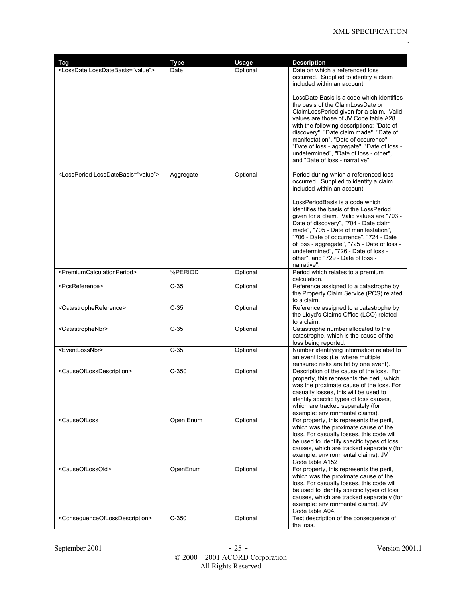| Tag                                                                                                                                                                                                                                                                                                                                                                    | <b>Type</b> | Usage    | <b>Description</b>                                                                                                                                                                                                                                                                                                                                                                              |
|------------------------------------------------------------------------------------------------------------------------------------------------------------------------------------------------------------------------------------------------------------------------------------------------------------------------------------------------------------------------|-------------|----------|-------------------------------------------------------------------------------------------------------------------------------------------------------------------------------------------------------------------------------------------------------------------------------------------------------------------------------------------------------------------------------------------------|
| <lossdate lossdatebasis="value"></lossdate>                                                                                                                                                                                                                                                                                                                            | Date        | Optional | Date on which a referenced loss<br>occurred. Supplied to identify a claim<br>included within an account.<br>LossDate Basis is a code which identifies<br>the basis of the ClaimLossDate or                                                                                                                                                                                                      |
|                                                                                                                                                                                                                                                                                                                                                                        |             |          | ClaimLossPeriod given for a claim. Valid<br>values are those of JV Code table A28<br>with the following descriptions: "Date of<br>discovery", "Date claim made", "Date of<br>manifestation", "Date of occurence",<br>"Date of loss - aggregate", "Date of loss -<br>undetermined", "Date of loss - other",<br>and "Date of loss - narrative".                                                   |
| <lossperiod lossdatebasis="value"></lossperiod>                                                                                                                                                                                                                                                                                                                        | Aggregate   | Optional | Period during which a referenced loss<br>occurred. Supplied to identify a claim<br>included within an account.                                                                                                                                                                                                                                                                                  |
|                                                                                                                                                                                                                                                                                                                                                                        |             |          | LossPeriodBasis is a code which<br>identifies the basis of the LossPeriod<br>given for a claim. Valid values are "703 -<br>Date of discovery", "704 - Date claim<br>made", "705 - Date of manifestation",<br>"706 - Date of occurrence", "724 - Date<br>of loss - aggregate", "725 - Date of loss -<br>undetermined", "726 - Date of loss -<br>other", and "729 - Date of loss -<br>narrative". |
| <premiumcalculationperiod></premiumcalculationperiod>                                                                                                                                                                                                                                                                                                                  | %PERIOD     | Optional | Period which relates to a premium<br>calculation.                                                                                                                                                                                                                                                                                                                                               |
| <pcsreference></pcsreference>                                                                                                                                                                                                                                                                                                                                          | $C-35$      | Optional | Reference assigned to a catastrophe by<br>the Property Claim Service (PCS) related<br>to a claim.                                                                                                                                                                                                                                                                                               |
| <catastrophereference></catastrophereference>                                                                                                                                                                                                                                                                                                                          | $C-35$      | Optional | Reference assigned to a catastrophe by<br>the Lloyd's Claims Office (LCO) related<br>to a claim.                                                                                                                                                                                                                                                                                                |
| <catastrophenbr></catastrophenbr>                                                                                                                                                                                                                                                                                                                                      | $C-35$      | Optional | Catastrophe number allocated to the<br>catastrophe, which is the cause of the<br>loss being reported.                                                                                                                                                                                                                                                                                           |
| <eventlossnbr></eventlossnbr>                                                                                                                                                                                                                                                                                                                                          | $C-35$      | Optional | Number identifying information related to<br>an event loss (i.e. where multiple<br>reinsured risks are hit by one event).                                                                                                                                                                                                                                                                       |
| <causeoflossdescription></causeoflossdescription>                                                                                                                                                                                                                                                                                                                      | $C-350$     | Optional | Description of the cause of the loss. For<br>property, this represents the peril, which<br>was the proximate cause of the loss. For<br>casualty losses, this will be used to<br>identify specific types of loss causes,<br>which are tracked separately (for<br>example: environmental claims).                                                                                                 |
| <causeofloss< td=""><td>Open Enum</td><td>Optional</td><td>For property, this represents the peril,<br/>which was the proximate cause of the<br/>loss. For casualty losses, this code will<br/>be used to identify specific types of loss<br/>causes, which are tracked separately (for<br/>example: environmental claims). JV<br/>Code table A152</td></causeofloss<> | Open Enum   | Optional | For property, this represents the peril,<br>which was the proximate cause of the<br>loss. For casualty losses, this code will<br>be used to identify specific types of loss<br>causes, which are tracked separately (for<br>example: environmental claims). JV<br>Code table A152                                                                                                               |
| <causeoflossold></causeoflossold>                                                                                                                                                                                                                                                                                                                                      | OpenEnum    | Optional | For property, this represents the peril,<br>which was the proximate cause of the<br>loss. For casualty losses, this code will<br>be used to identify specific types of loss<br>causes, which are tracked separately (for<br>example: environmental claims). JV<br>Code table A04.                                                                                                               |
| <consequenceoflossdescription></consequenceoflossdescription>                                                                                                                                                                                                                                                                                                          | $C-350$     | Optional | Text description of the consequence of<br>the loss.                                                                                                                                                                                                                                                                                                                                             |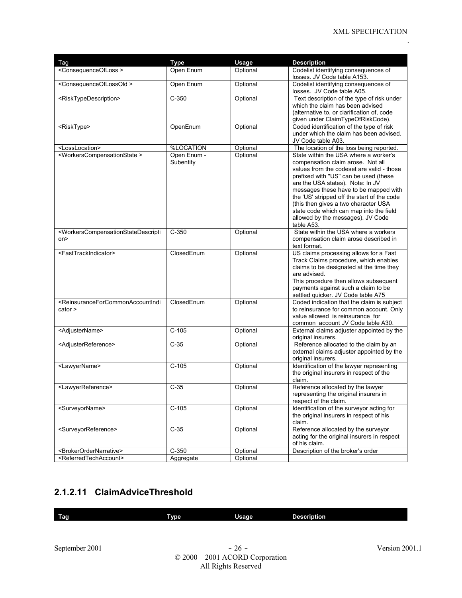| Tag                                                                                                                                                                      | <b>Type</b> | <b>Usage</b> | <b>Description</b>                                                                 |
|--------------------------------------------------------------------------------------------------------------------------------------------------------------------------|-------------|--------------|------------------------------------------------------------------------------------|
| <consequenceofloss></consequenceofloss>                                                                                                                                  | Open Enum   | Optional     | Codelist identifying consequences of                                               |
|                                                                                                                                                                          |             |              | losses. JV Code table A153.                                                        |
| <consequenceoflossold></consequenceoflossold>                                                                                                                            | Open Enum   | Optional     | Codelist identifying consequences of<br>losses. JV Code table A05.                 |
| <risktypedescription></risktypedescription>                                                                                                                              | $C-350$     | Optional     | Text description of the type of risk under                                         |
|                                                                                                                                                                          |             |              | which the claim has been advised                                                   |
|                                                                                                                                                                          |             |              | (alternative to, or clarification of, code                                         |
|                                                                                                                                                                          |             |              | given under ClaimTypeOfRiskCode).                                                  |
| <risktype></risktype>                                                                                                                                                    | OpenEnum    | Optional     | Coded identification of the type of risk                                           |
|                                                                                                                                                                          |             |              | under which the claim has been advised.<br>JV Code table A03.                      |
| <losslocation></losslocation>                                                                                                                                            | %LOCATION   | Optional     | The location of the loss being reported.                                           |
| <workerscompensationstate></workerscompensationstate>                                                                                                                    | Open Enum - | Optional     | State within the USA where a worker's                                              |
|                                                                                                                                                                          | Subentity   |              | compensation claim arose. Not all                                                  |
|                                                                                                                                                                          |             |              | values from the codeset are valid - those                                          |
|                                                                                                                                                                          |             |              | prefixed with "US" can be used (these                                              |
|                                                                                                                                                                          |             |              | are the USA states). Note: In JV                                                   |
|                                                                                                                                                                          |             |              | messages these have to be mapped with                                              |
|                                                                                                                                                                          |             |              | the 'US' stripped off the start of the code                                        |
|                                                                                                                                                                          |             |              | (this then gives a two character USA                                               |
|                                                                                                                                                                          |             |              | state code which can map into the field                                            |
|                                                                                                                                                                          |             |              | allowed by the messages). JV Code                                                  |
|                                                                                                                                                                          |             |              | table A53.                                                                         |
| <workerscompensationstatedescripti< td=""><td><math>C-350</math></td><td>Optional</td><td>State within the USA where a workers</td></workerscompensationstatedescripti<> | $C-350$     | Optional     | State within the USA where a workers                                               |
| on>                                                                                                                                                                      |             |              | compensation claim arose described in                                              |
|                                                                                                                                                                          |             |              | text format.                                                                       |
| <fasttrackindicator></fasttrackindicator>                                                                                                                                | ClosedEnum  | Optional     | US claims processing allows for a Fast                                             |
|                                                                                                                                                                          |             |              | Track Claims procedure, which enables                                              |
|                                                                                                                                                                          |             |              | claims to be designated at the time they<br>are advised.                           |
|                                                                                                                                                                          |             |              | This procedure then allows subsequent                                              |
|                                                                                                                                                                          |             |              | payments against such a claim to be                                                |
|                                                                                                                                                                          |             |              | settled quicker. JV Code table A75                                                 |
| <reinsuranceforcommonaccountindi< td=""><td>ClosedEnum</td><td>Optional</td><td>Coded indication that the claim is subject</td></reinsuranceforcommonaccountindi<>       | ClosedEnum  | Optional     | Coded indication that the claim is subject                                         |
| cator                                                                                                                                                                    |             |              | to reinsurance for common account. Only                                            |
|                                                                                                                                                                          |             |              | value allowed is reinsurance for                                                   |
|                                                                                                                                                                          |             |              | common_account JV Code table A30.                                                  |
| <adjustername></adjustername>                                                                                                                                            | $C-105$     | Optional     | External claims adjuster appointed by the                                          |
|                                                                                                                                                                          |             |              | original insurers.                                                                 |
| <adjusterreference></adjusterreference>                                                                                                                                  | $C-35$      | Optional     | Reference allocated to the claim by an                                             |
|                                                                                                                                                                          |             |              | external claims adjuster appointed by the                                          |
|                                                                                                                                                                          |             |              | original insurers.                                                                 |
| <lawyername></lawyername>                                                                                                                                                | $C-105$     | Optional     | Identification of the lawyer representing                                          |
|                                                                                                                                                                          |             |              | the original insurers in respect of the                                            |
|                                                                                                                                                                          |             |              | claim.                                                                             |
| <lawyerreference></lawyerreference>                                                                                                                                      | $C-35$      | Optional     | Reference allocated by the lawyer                                                  |
|                                                                                                                                                                          |             |              | representing the original insurers in                                              |
|                                                                                                                                                                          |             |              | respect of the claim.                                                              |
| <surveyorname></surveyorname>                                                                                                                                            | $C-105$     | Optional     | Identification of the surveyor acting for                                          |
|                                                                                                                                                                          |             |              | the original insurers in respect of his                                            |
|                                                                                                                                                                          |             |              | claim.                                                                             |
| <surveyorreference></surveyorreference>                                                                                                                                  | $C-35$      | Optional     | Reference allocated by the surveyor<br>acting for the original insurers in respect |
|                                                                                                                                                                          |             |              | of his claim.                                                                      |
| <brokerordernarrative></brokerordernarrative>                                                                                                                            | $C-350$     | Optional     | Description of the broker's order                                                  |
| <referredtechaccount></referredtechaccount>                                                                                                                              | Aggregate   | Optional     |                                                                                    |
|                                                                                                                                                                          |             |              |                                                                                    |

## **2.1.2.11 ClaimAdviceThreshold**

| ۔     | -    | . .          | <b>Description</b> |
|-------|------|--------------|--------------------|
| . rae | Type | <b>Usage</b> |                    |
|       |      |              |                    |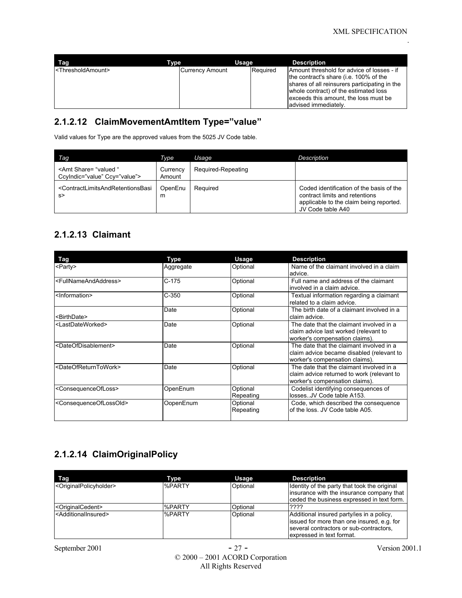| Tag                                 | Type                   | Usage    | <b>Description</b>                                                                                                                                                                                                                               |
|-------------------------------------|------------------------|----------|--------------------------------------------------------------------------------------------------------------------------------------------------------------------------------------------------------------------------------------------------|
| <thresholdamount></thresholdamount> | <b>Currency Amount</b> | Required | Amount threshold for advice of losses - if<br>the contract's share (i.e. 100% of the<br>shares of all reinsurers participating in the<br>whole contract) of the estimated loss<br>exceeds this amount, the loss must be<br>ladvised immediatelv. |

### **2.1.2.12 ClaimMovementAmtItem Type="value"**

Valid values for Type are the approved values from the 5025 JV Code table.

| Taq                                                                        | Type               | Usage              | <b>Description</b>                                                                                                                         |
|----------------------------------------------------------------------------|--------------------|--------------------|--------------------------------------------------------------------------------------------------------------------------------------------|
| <amt <br="" share="valued ">Ccylndic="value" Ccy="value"&gt;</amt>         | Currency<br>Amount | Required-Repeating |                                                                                                                                            |
| <contractlimitsandretentionsbasi<br>s</contractlimitsandretentionsbasi<br> | OpenEnu<br>m       | Required           | Coded identification of the basis of the<br>contract limits and retentions<br>applicable to the claim being reported.<br>JV Code table A40 |

## **2.1.2.13 Claimant**

| Tag                                           | Type      | <b>Usage</b> | <b>Description</b>                         |
|-----------------------------------------------|-----------|--------------|--------------------------------------------|
| <party></party>                               | Aggregate | Optional     | Name of the claimant involved in a claim   |
|                                               |           |              | advice.                                    |
| <fullnameandaddress></fullnameandaddress>     | $C-175$   | Optional     | Full name and address of the claimant      |
|                                               |           |              | involved in a claim advice.                |
| <information></information>                   | $C-350$   | Optional     | Textual information regarding a claimant   |
|                                               |           |              | related to a claim advice.                 |
|                                               | Date      | Optional     | The birth date of a claimant involved in a |
| <rirthdate></rirthdate>                       |           |              | claim advice.                              |
| <lastdateworked></lastdateworked>             | Date      | Optional     | The date that the claimant involved in a   |
|                                               |           |              | claim advice last worked (relevant to      |
|                                               |           |              | worker's compensation claims).             |
| <dateofdisablement></dateofdisablement>       | Date      | Optional     | The date that the claimant involved in a   |
|                                               |           |              | claim advice became disabled (relevant to  |
|                                               |           |              | worker's compensation claims).             |
| <dateofreturntowork></dateofreturntowork>     | Date      | Optional     | The date that the claimant involved in a   |
|                                               |           |              | claim advice returned to work (relevant to |
|                                               |           |              | worker's compensation claims).             |
| <consequenceofloss></consequenceofloss>       | OpenEnum  | Optional     | Codelist identifying consequences of       |
|                                               |           | Repeating    | lossesJV Code table A153.                  |
| <consequenceoflossold></consequenceoflossold> | OopenEnum | Optional     | Code, which described the consequence      |
|                                               |           | Repeating    | of the loss. JV Code table A05.            |
|                                               |           |              |                                            |

## **2.1.2.14 ClaimOriginalPolicy**

| Tag                                           | Type          | Usage    | <b>Description</b>                                                                                                                                              |
|-----------------------------------------------|---------------|----------|-----------------------------------------------------------------------------------------------------------------------------------------------------------------|
| <originalpolicyholder></originalpolicyholder> | %PARTY        | Optional | Identity of the party that took the original<br>insurance with the insurance company that<br>ceded the business expressed in text form.                         |
| <originalcedent></originalcedent>             | %PARTY        | Optional | 1????                                                                                                                                                           |
| <additionalinsured></additionalinsured>       | <b>%PARTY</b> | Optional | Additional insured party/ies in a policy.<br>issued for more than one insured, e.g. for<br>several contractors or sub-contractors.<br>expressed in text format. |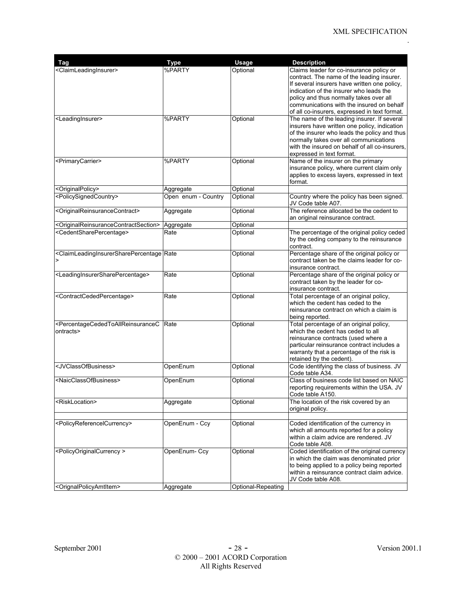| Tag                                                                                                                                                                                                                                           | <b>Type</b>         | <b>Usage</b>       | <b>Description</b>                                                                                                                                                                                                                                                                                                         |
|-----------------------------------------------------------------------------------------------------------------------------------------------------------------------------------------------------------------------------------------------|---------------------|--------------------|----------------------------------------------------------------------------------------------------------------------------------------------------------------------------------------------------------------------------------------------------------------------------------------------------------------------------|
| <claimleadinginsurer></claimleadinginsurer>                                                                                                                                                                                                   | %PARTY              | Optional           | Claims leader for co-insurance policy or<br>contract. The name of the leading insurer.<br>If several insurers have written one policy,<br>indication of the insurer who leads the<br>policy and thus normally takes over all<br>communications with the insured on behalf<br>of all co-insurers, expressed in text format. |
| <leadinginsurer></leadinginsurer>                                                                                                                                                                                                             | %PARTY              | Optional           | The name of the leading insurer. If several<br>insurers have written one policy, indication<br>of the insurer who leads the policy and thus<br>normally takes over all communications<br>with the insured on behalf of all co-insurers.<br>expressed in text format.                                                       |
| <primarycarrier></primarycarrier>                                                                                                                                                                                                             | %PARTY              | Optional           | Name of the insurer on the primary<br>insurance policy, where current claim only<br>applies to excess layers, expressed in text<br>format.                                                                                                                                                                                 |
| <originalpolicy></originalpolicy>                                                                                                                                                                                                             | Aggregate           | Optional           |                                                                                                                                                                                                                                                                                                                            |
| <policysignedcountry></policysignedcountry>                                                                                                                                                                                                   | Open enum - Country | Optional           | Country where the policy has been signed.<br>JV Code table A07.                                                                                                                                                                                                                                                            |
| <originalreinsurancecontract></originalreinsurancecontract>                                                                                                                                                                                   | Aggregate           | Optional           | The reference allocated be the cedent to<br>an original reinsurance contract.                                                                                                                                                                                                                                              |
| <originalreinsurancecontractsection></originalreinsurancecontractsection>                                                                                                                                                                     | Aggregate           | Optional           |                                                                                                                                                                                                                                                                                                                            |
| <cedentsharepercentage></cedentsharepercentage>                                                                                                                                                                                               | Rate                | Optional           | The percentage of the original policy ceded<br>by the ceding company to the reinsurance<br>contract.                                                                                                                                                                                                                       |
| <claimleadinginsurersharepercentage rate<="" td=""><td></td><td>Optional</td><td>Percentage share of the original policy or<br/>contract taken be the claims leader for co-<br/>insurance contract.</td></claimleadinginsurersharepercentage> |                     | Optional           | Percentage share of the original policy or<br>contract taken be the claims leader for co-<br>insurance contract.                                                                                                                                                                                                           |
| <leadinginsurersharepercentage></leadinginsurersharepercentage>                                                                                                                                                                               | Rate                | Optional           | Percentage share of the original policy or<br>contract taken by the leader for co-<br>insurance contract.                                                                                                                                                                                                                  |
| <contractcededpercentage></contractcededpercentage>                                                                                                                                                                                           | Rate                | Optional           | Total percentage of an original policy,<br>which the cedent has ceded to the<br>reinsurance contract on which a claim is<br>being reported.                                                                                                                                                                                |
| <percentagecededtoallreinsurancec<br>ontracts&gt;</percentagecededtoallreinsurancec<br>                                                                                                                                                       | Rate                | Optional           | Total percentage of an original policy,<br>which the cedent has ceded to all<br>reinsurance contracts (used where a<br>particular reinsurance contract includes a<br>warranty that a percentage of the risk is<br>retained by the cedent).                                                                                 |
| <jvclassofbusiness></jvclassofbusiness>                                                                                                                                                                                                       | OpenEnum            | Optional           | Code identifying the class of business. JV<br>Code table A34.                                                                                                                                                                                                                                                              |
| <naicclassofbusiness></naicclassofbusiness>                                                                                                                                                                                                   | OpenEnum            | Optional           | Class of business code list based on NAIC<br>reporting requirements within the USA. JV<br>Code table A150.                                                                                                                                                                                                                 |
| <risklocation></risklocation>                                                                                                                                                                                                                 | Aggregate           | Optional           | The location of the risk covered by an<br>original policy.                                                                                                                                                                                                                                                                 |
| <policyreferencelcurrency></policyreferencelcurrency>                                                                                                                                                                                         | OpenEnum - Ccy      | Optional           | Coded identification of the currency in                                                                                                                                                                                                                                                                                    |
|                                                                                                                                                                                                                                               |                     |                    | which all amounts reported for a policy<br>within a claim advice are rendered. JV<br>Code table A08.                                                                                                                                                                                                                       |
| <policyoriginalcurrency></policyoriginalcurrency>                                                                                                                                                                                             | OpenEnum- Ccy       | Optional           | Coded identification of the original currency<br>in which the claim was denominated prior<br>to being applied to a policy being reported<br>within a reinsurance contract claim advice.<br>JV Code table A08.                                                                                                              |
| <orignalpolicyamtitem></orignalpolicyamtitem>                                                                                                                                                                                                 | Aggregate           | Optional-Repeating |                                                                                                                                                                                                                                                                                                                            |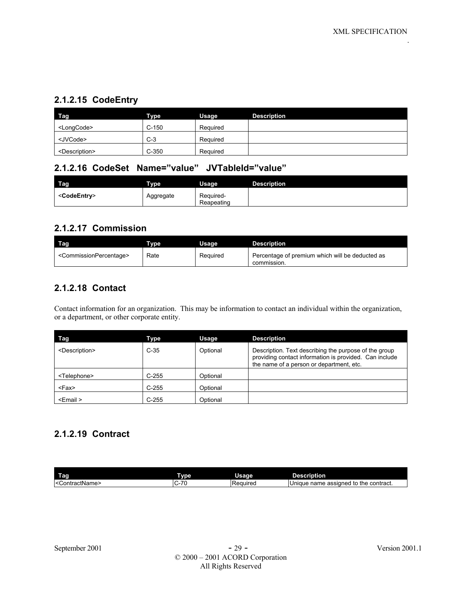#### **2.1.2.15 CodeEntry**

| Tag                         | <b>Type</b> | Usage    | <b>Description</b> |
|-----------------------------|-------------|----------|--------------------|
| <longcode></longcode>       | $C-150$     | Required |                    |
| <jvcode></jvcode>           | $C-3$       | Required |                    |
| <description></description> | $C-350$     | Required |                    |

#### **2.1.2.16 CodeSet Name="value" JVTableId="value"**

| <b>Tag</b>              | <b>Type</b> | Usage                   | <b>Description</b> |
|-------------------------|-------------|-------------------------|--------------------|
| <codeentry></codeentry> | Aggregate   | Required-<br>Reapeating |                    |

#### **2.1.2.17 Commission**

| Tag                                           | Tvne : | Usaɑe    | <b>Description</b>                                             |
|-----------------------------------------------|--------|----------|----------------------------------------------------------------|
| <commissionpercentage></commissionpercentage> | Rate   | Required | Percentage of premium which will be deducted as<br>commission. |

#### **2.1.2.18 Contact**

Contact information for an organization. This may be information to contact an individual within the organization, or a department, or other corporate entity.

| Tag                         | Type    | Usage    | <b>Description</b>                                                                                                                                          |
|-----------------------------|---------|----------|-------------------------------------------------------------------------------------------------------------------------------------------------------------|
| <description></description> | $C-35$  | Optional | Description. Text describing the purpose of the group<br>providing contact information is provided. Can include<br>the name of a person or department, etc. |
| <telephone></telephone>     | $C-255$ | Optional |                                                                                                                                                             |
| <fax></fax>                 | $C-255$ | Optional |                                                                                                                                                             |
| <email></email>             | $C-255$ | Optional |                                                                                                                                                             |

### **2.1.2.19 Contract**

| I<br>rag           | vpe                           | Usage           | -<br>Description                                     |
|--------------------|-------------------------------|-----------------|------------------------------------------------------|
| ContractName><br>← | $\rightarrow$<br>-<br>ັບ<br>∼ | <b>Required</b> | contract.<br>assigned<br>name<br>the<br>to<br>Unique |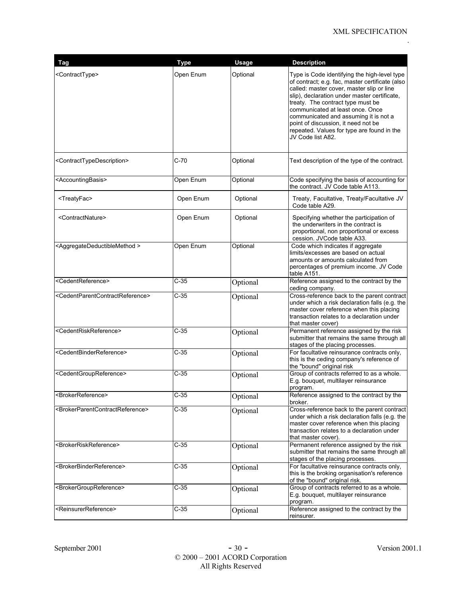| Tag                                                             | <b>Type</b> | Usage    | <b>Description</b>                                                                                                                                                                                                                                                                                                                                                                                                       |
|-----------------------------------------------------------------|-------------|----------|--------------------------------------------------------------------------------------------------------------------------------------------------------------------------------------------------------------------------------------------------------------------------------------------------------------------------------------------------------------------------------------------------------------------------|
| <contracttype></contracttype>                                   | Open Enum   | Optional | Type is Code identifying the high-level type<br>of contract; e.g. fac, master certificate (also<br>called: master cover, master slip or line<br>slip), declaration under master certificate,<br>treaty. The contract type must be<br>communicated at least once. Once<br>communicated and assuming it is not a<br>point of discussion, it need not be<br>repeated. Values for type are found in the<br>JV Code list A82. |
| <contracttypedescription></contracttypedescription>             | $C-70$      | Optional | Text description of the type of the contract.                                                                                                                                                                                                                                                                                                                                                                            |
| <accountingbasis></accountingbasis>                             | Open Enum   | Optional | Code specifying the basis of accounting for<br>the contract. JV Code table A113.                                                                                                                                                                                                                                                                                                                                         |
| <treatyfac></treatyfac>                                         | Open Enum   | Optional | Treaty, Facultative, Treaty/Facultative JV<br>Code table A29.                                                                                                                                                                                                                                                                                                                                                            |
| <contractnature></contractnature>                               | Open Enum   | Optional | Specifying whether the participation of<br>the underwriters in the contract is<br>proportional, non proportional or excess<br>cession. JVCode table A33.                                                                                                                                                                                                                                                                 |
| <aggregatedeductiblemethod></aggregatedeductiblemethod>         | Open Enum   | Optional | Code which indicates if aggregate<br>limits/excesses are based on actual<br>amounts or amounts calculated from<br>percentages of premium income. JV Code<br>table A151.                                                                                                                                                                                                                                                  |
| <cedentreference></cedentreference>                             | $C-35$      | Optional | Reference assigned to the contract by the<br>ceding company.                                                                                                                                                                                                                                                                                                                                                             |
| <cedentparentcontractreference></cedentparentcontractreference> | $C-35$      | Optional | Cross-reference back to the parent contract<br>under which a risk declaration falls (e.g. the<br>master cover reference when this placing<br>transaction relates to a declaration under<br>that master cover)                                                                                                                                                                                                            |
| <cedentriskreference></cedentriskreference>                     | $C-35$      | Optional | Permanent reference assigned by the risk<br>submitter that remains the same through all<br>stages of the placing processes.                                                                                                                                                                                                                                                                                              |
| <cedentbinderreference></cedentbinderreference>                 | $C-35$      | Optional | For facultative reinsurance contracts only,<br>this is the ceding company's reference of<br>the "bound" original risk                                                                                                                                                                                                                                                                                                    |
| <cedentgroupreference></cedentgroupreference>                   | $C-35$      | Optional | Group of contracts referred to as a whole.<br>E.g. bouquet, multilayer reinsurance<br>program.                                                                                                                                                                                                                                                                                                                           |
| <brokerreference></brokerreference>                             | C-35        | Optional | Reference assigned to the contract by the<br>broker.                                                                                                                                                                                                                                                                                                                                                                     |
| <brokerparentcontractreference></brokerparentcontractreference> | $C-35$      | Optional | Cross-reference back to the parent contract<br>under which a risk declaration falls (e.g. the<br>master cover reference when this placing<br>transaction relates to a declaration under<br>that master cover).                                                                                                                                                                                                           |
| <brokerriskreference></brokerriskreference>                     | $C-35$      | Optional | Permanent reference assigned by the risk<br>submitter that remains the same through all<br>stages of the placing processes.                                                                                                                                                                                                                                                                                              |
| <brokerbinderreference></brokerbinderreference>                 | $C-35$      | Optional | For facultative reinsurance contracts only,<br>this is the broking organisation's reference<br>of the "bound" original risk.                                                                                                                                                                                                                                                                                             |
| <brokergroupreference></brokergroupreference>                   | C-35        | Optional | Group of contracts referred to as a whole.<br>E.g. bouquet, multilayer reinsurance<br>program.                                                                                                                                                                                                                                                                                                                           |
| <reinsurerreference></reinsurerreference>                       | $C-35$      | Optional | Reference assigned to the contract by the<br>reinsurer.                                                                                                                                                                                                                                                                                                                                                                  |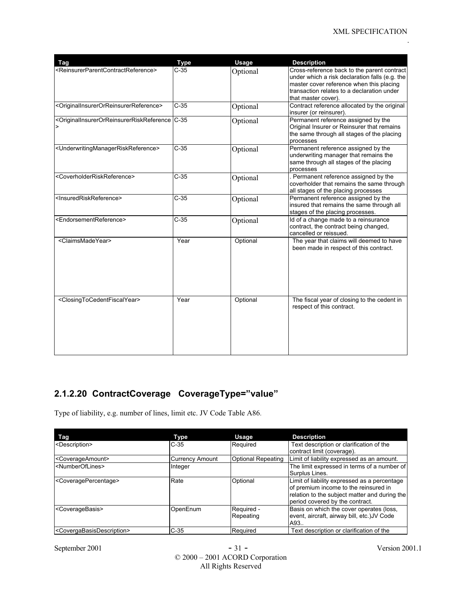| Tag                                                                                                                                                                                                                                                                                  | <b>Type</b> | <b>Usage</b> | <b>Description</b>                                                                                                                                                                                             |
|--------------------------------------------------------------------------------------------------------------------------------------------------------------------------------------------------------------------------------------------------------------------------------------|-------------|--------------|----------------------------------------------------------------------------------------------------------------------------------------------------------------------------------------------------------------|
| <reinsurerparentcontractreference></reinsurerparentcontractreference>                                                                                                                                                                                                                | $C-35$      | Optional     | Cross-reference back to the parent contract<br>under which a risk declaration falls (e.g. the<br>master cover reference when this placing<br>transaction relates to a declaration under<br>that master cover). |
| <originalinsurerorreinsurerreference></originalinsurerorreinsurerreference>                                                                                                                                                                                                          | $C-35$      | Optional     | Contract reference allocated by the original<br>insurer (or reinsurer).                                                                                                                                        |
| <originalinsurerorreinsurerriskreference c-35<="" td=""><td></td><td>Optional</td><td>Permanent reference assigned by the<br/>Original Insurer or Reinsurer that remains<br/>the same through all stages of the placing<br/>processes</td></originalinsurerorreinsurerriskreference> |             | Optional     | Permanent reference assigned by the<br>Original Insurer or Reinsurer that remains<br>the same through all stages of the placing<br>processes                                                                   |
| <underwritingmanagerriskreference></underwritingmanagerriskreference>                                                                                                                                                                                                                | $C-35$      | Optional     | Permanent reference assigned by the<br>underwriting manager that remains the<br>same through all stages of the placing<br>processes                                                                            |
| <coverholderriskreference></coverholderriskreference>                                                                                                                                                                                                                                | $C-35$      | Optional     | . Permanent reference assigned by the<br>coverholder that remains the same through<br>all stages of the placing processes                                                                                      |
| <insuredriskreference></insuredriskreference>                                                                                                                                                                                                                                        | $C-35$      | Optional     | Permanent reference assigned by the<br>insured that remains the same through all<br>stages of the placing processes.                                                                                           |
| <endorsementreference></endorsementreference>                                                                                                                                                                                                                                        | $C-35$      | Optional     | Id of a change made to a reinsurance<br>contract, the contract being changed,<br>cancelled or reissued.                                                                                                        |
| <claimsmadeyear></claimsmadeyear>                                                                                                                                                                                                                                                    | Year        | Optional     | The year that claims will deemed to have<br>been made in respect of this contract.                                                                                                                             |
| <closingtocedentfiscalyear></closingtocedentfiscalyear>                                                                                                                                                                                                                              | Year        | Optional     | The fiscal year of closing to the cedent in<br>respect of this contract.                                                                                                                                       |

## **2.1.2.20 ContractCoverage CoverageType="value"**

Type of liability, e.g. number of lines, limit etc. JV Code Table A86.

| Tag                                                 | Type                   | <b>Usage</b>              | <b>Description</b>                                                                                                                                                        |
|-----------------------------------------------------|------------------------|---------------------------|---------------------------------------------------------------------------------------------------------------------------------------------------------------------------|
| <description></description>                         | $C-35$                 | Required                  | Text description or clarification of the<br>contract limit (coverage).                                                                                                    |
| <coverageamount></coverageamount>                   | <b>Currency Amount</b> | <b>Optional Repeating</b> | Limit of liability expressed as an amount.                                                                                                                                |
| <numberoflines></numberoflines>                     | Integer                |                           | The limit expressed in terms of a number of<br>Surplus Lines.                                                                                                             |
| <coveragepercentage></coveragepercentage>           | Rate                   | Optional                  | Limit of liability expressed as a percentage<br>of premium income to the reinsured in<br>relation to the subject matter and during the<br>period covered by the contract. |
| <coveragebasis></coveragebasis>                     | OpenEnum               | Required -<br>Repeating   | Basis on which the cover operates (loss,<br>event, aircraft, airway bill, etc.) JV Code<br>A93                                                                            |
| <covergabasisdescription></covergabasisdescription> | $C-35$                 | Required                  | Text description or clarification of the                                                                                                                                  |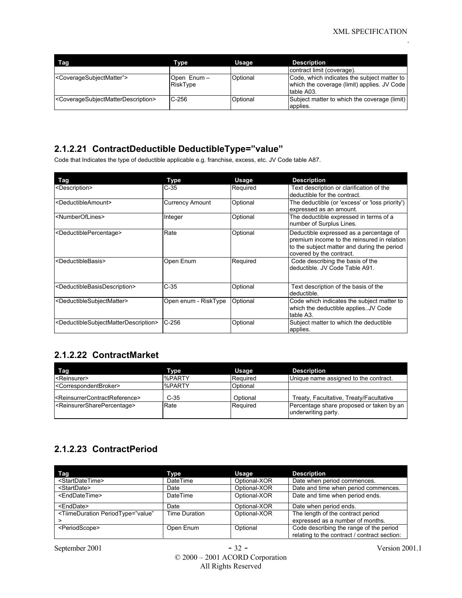| Tag                                                                   | Type                   | Usage    | <b>Description</b>                                                                                       |
|-----------------------------------------------------------------------|------------------------|----------|----------------------------------------------------------------------------------------------------------|
|                                                                       |                        |          | contract limit (coverage).                                                                               |
| <coveragesubjectmatter"></coveragesubjectmatter">                     | Open Enum-<br>RiskType | Optional | Code, which indicates the subject matter to<br>which the coverage (limit) applies. JV Code<br>table A03. |
| <coveragesubjectmatterdescription></coveragesubjectmatterdescription> | $C-256$                | Optional | Subject matter to which the coverage (limit)<br>applies.                                                 |

#### **2.1.2.21 ContractDeductible DeductibleType="value"**

Code that Indicates the type of deductible applicable e.g. franchise, excess, etc. JV Code table A87.

| <b>Tag</b>                                                                | Type                   | <b>Usage</b> | <b>Description</b>                                                                                                                                                |
|---------------------------------------------------------------------------|------------------------|--------------|-------------------------------------------------------------------------------------------------------------------------------------------------------------------|
| <description></description>                                               | $C-35$                 | Required     | Text description or clarification of the<br>deductible for the contract.                                                                                          |
| <deductibleamount></deductibleamount>                                     | <b>Currency Amount</b> | Optional     | The deductible (or 'excess' or 'loss priority')<br>expressed as an amount.                                                                                        |
| <numberoflines></numberoflines>                                           | Integer                | Optional     | The deductible expressed in terms of a<br>number of Surplus Lines.                                                                                                |
| <deductiblepercentage></deductiblepercentage>                             | Rate                   | Optional     | Deductible expressed as a percentage of<br>premium income to the reinsured in relation<br>to the subject matter and during the period<br>covered by the contract. |
| <deductiblebasis></deductiblebasis>                                       | Open Enum              | Required     | Code describing the basis of the<br>deductible. JV Code Table A91.                                                                                                |
| <deductiblebasisdescription></deductiblebasisdescription>                 | $C-35$                 | Optional     | Text description of the basis of the<br>deductible.                                                                                                               |
| <deductiblesubjectmatter></deductiblesubjectmatter>                       | Open enum - RiskType   | Optional     | Code which indicates the subject matter to<br>which the deductible appliesJV Code<br>table A3.                                                                    |
| <deductiblesubjectmatterdescription></deductiblesubjectmatterdescription> | $C-256$                | Optional     | Subject matter to which the deductible<br>applies.                                                                                                                |

### **2.1.2.22 ContractMarket**

| Tag                                                         | Type          | Usage    | <b>Description</b>                                              |
|-------------------------------------------------------------|---------------|----------|-----------------------------------------------------------------|
| <b>KReinsurer&gt;</b>                                       | %PARTY        | Required | Unique name assigned to the contract.                           |
| <correspondentbroker></correspondentbroker>                 | <b>%PARTY</b> | Optional |                                                                 |
| <reinsurrercontractreference></reinsurrercontractreference> | $C-35$        | Optional | Treaty, Facultative, Treaty/Facultative                         |
| <reinsurersharepercentage></reinsurersharepercentage>       | Rate          | Required | Percentage share proposed or taken by an<br>underwriting party. |

## **2.1.2.23 ContractPeriod**

| Tag                                                                                                                                                                                     | Type          | Usage        | <b>Description</b>                                                                      |
|-----------------------------------------------------------------------------------------------------------------------------------------------------------------------------------------|---------------|--------------|-----------------------------------------------------------------------------------------|
| <startdatetime></startdatetime>                                                                                                                                                         | DateTime      | Optional-XOR | Date when period commences.                                                             |
| <startdate></startdate>                                                                                                                                                                 | Date          | Optional-XOR | Date and time when period commences.                                                    |
| <enddatetime></enddatetime>                                                                                                                                                             | DateTime      | Optional-XOR | Date and time when period ends.                                                         |
| <enddate></enddate>                                                                                                                                                                     | Date          | Optional-XOR | Date when period ends.                                                                  |
| <tiimeduration <="" periodtype="value" td=""><td>Time Duration</td><td>Optional-XOR</td><td>The length of the contract period<br/>expressed as a number of months.</td></tiimeduration> | Time Duration | Optional-XOR | The length of the contract period<br>expressed as a number of months.                   |
| <periodscope></periodscope>                                                                                                                                                             | Open Enum     | Optional     | Code describing the range of the period<br>relating to the contract / contract section: |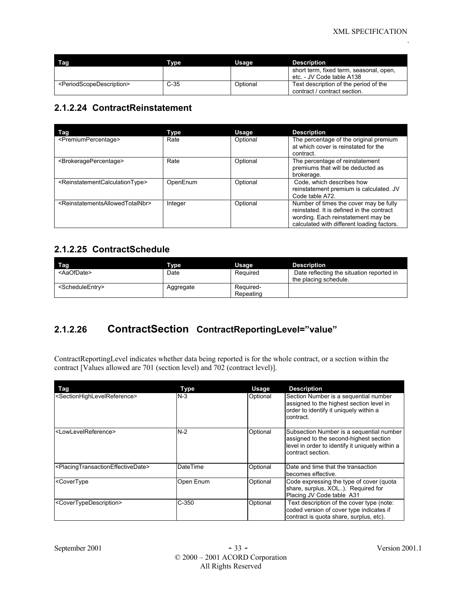| Tag                                               | Tvpe   | Usage    | <b>Description</b>                                                    |
|---------------------------------------------------|--------|----------|-----------------------------------------------------------------------|
|                                                   |        |          | short term, fixed term, seasonal, open,<br>etc. - JV Code table A138  |
| <periodscopedescription></periodscopedescription> | $C-35$ | Optional | Text description of the period of the<br>contract / contract section. |

#### **2.1.2.24 ContractReinstatement**

| Tag                                                             | Type     | Usage    | <b>Description</b>                                                                                                                                                      |
|-----------------------------------------------------------------|----------|----------|-------------------------------------------------------------------------------------------------------------------------------------------------------------------------|
| <premiumpercentage></premiumpercentage>                         | Rate     | Optional | The percentage of the original premium<br>at which cover is reinstated for the<br>contract.                                                                             |
| <brokeragepercentage></brokeragepercentage>                     | Rate     | Optional | The percentage of reinstatement<br>premiums that will be deducted as<br>brokerage.                                                                                      |
| <reinstatementcalculationtype></reinstatementcalculationtype>   | OpenEnum | Optional | Code, which describes how<br>reinstatement premium is calculated. JV<br>Code table A72.                                                                                 |
| <reinstatementsallowedtotalnbr></reinstatementsallowedtotalnbr> | Integer  | Optional | Number of times the cover may be fully<br>reinstated. It is defined in the contract<br>wording. Each reinstatement may be<br>calculated with different loading factors. |

#### **2.1.2.25 ContractSchedule**

| Tag                             | <b>Type</b> | Usage                  | Description                                                        |
|---------------------------------|-------------|------------------------|--------------------------------------------------------------------|
| <aaofdate></aaofdate>           | Date        | Required               | Date reflecting the situation reported in<br>the placing schedule. |
| <scheduleentry></scheduleentry> | Aggregate   | Required-<br>Repeating |                                                                    |

## **2.1.2.26 ContractSection ContractReportingLevel="value"**

ContractReportingLevel indicates whether data being reported is for the whole contract, or a section within the contract [Values allowed are 701 (section level) and 702 (contract level)].

| Tag                                                                                                                                                                                      | Type      | Usage    | <b>Description</b>                                                                                                                                         |
|------------------------------------------------------------------------------------------------------------------------------------------------------------------------------------------|-----------|----------|------------------------------------------------------------------------------------------------------------------------------------------------------------|
| <sectionhighlevelreference></sectionhighlevelreference>                                                                                                                                  | $N-3$     | Optional | Section Number is a sequential number<br>assigned to the highest section level in<br>order to identify it uniquely within a<br>contract.                   |
| <lowlevelreference></lowlevelreference>                                                                                                                                                  | N-2       | Optional | Subsection Number is a sequential number<br>assigned to the second-highest section<br>level in order to identify it uniquely within a<br>contract section. |
| <placingtransactioneffectivedate></placingtransactioneffectivedate>                                                                                                                      | DateTime  | Optional | Date and time that the transaction<br>becomes effective.                                                                                                   |
| <covertype< td=""><td>Open Enum</td><td>Optional</td><td>Code expressing the type of cover (quota<br/>share, surplus, XOL). Required for<br/>Placing JV Code table A31</td></covertype<> | Open Enum | Optional | Code expressing the type of cover (quota<br>share, surplus, XOL). Required for<br>Placing JV Code table A31                                                |
| <covertypedescription></covertypedescription>                                                                                                                                            | $C-350$   | Optional | Text description of the cover type (note:<br>coded version of cover type indicates if<br>contract is quota share, surplus, etc).                           |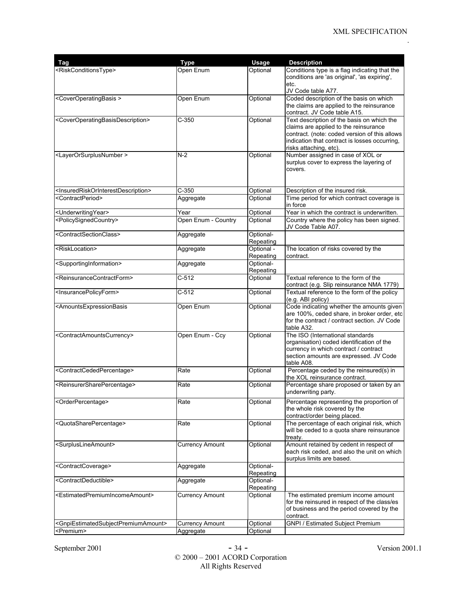| <b>Tag</b>                                                                                                                                                                                                                                                     | <b>Type</b>            | Usage                   | <b>Description</b>                                                                                                                                                                                              |
|----------------------------------------------------------------------------------------------------------------------------------------------------------------------------------------------------------------------------------------------------------------|------------------------|-------------------------|-----------------------------------------------------------------------------------------------------------------------------------------------------------------------------------------------------------------|
| <riskconditionstype></riskconditionstype>                                                                                                                                                                                                                      | Open Enum              | Optional                | Conditions type is a flag indicating that the<br>conditions are 'as original', 'as expiring',<br>etc.                                                                                                           |
|                                                                                                                                                                                                                                                                |                        |                         | JV Code table A77.                                                                                                                                                                                              |
| <coveroperatingbasis></coveroperatingbasis>                                                                                                                                                                                                                    | Open Enum              | Optional                | Coded description of the basis on which<br>the claims are applied to the reinsurance<br>contract. JV Code table A15.                                                                                            |
| <coveroperatingbasisdescription></coveroperatingbasisdescription>                                                                                                                                                                                              | $C-350$                | Optional                | Text description of the basis on which the<br>claims are applied to the reinsurance<br>contract. (note: coded version of this allows<br>indication that contract is losses occurring,<br>risks attaching, etc). |
| <layerorsurplusnumber></layerorsurplusnumber>                                                                                                                                                                                                                  | $N-2$                  | Optional                | Number assigned in case of XOL or<br>surplus cover to express the layering of<br>covers.                                                                                                                        |
| <insuredriskorinterestdescription></insuredriskorinterestdescription>                                                                                                                                                                                          | $C-350$                | Optional                | Description of the insured risk.                                                                                                                                                                                |
| <contractperiod></contractperiod>                                                                                                                                                                                                                              | Aggregate              | Optional                | Time period for which contract coverage is<br>in force                                                                                                                                                          |
| <underwritingyear></underwritingyear>                                                                                                                                                                                                                          | Year                   | Optional                | Year in which the contract is underwritten.                                                                                                                                                                     |
| <policysignedcountry></policysignedcountry>                                                                                                                                                                                                                    | Open Enum - Country    | Optional                | Country where the policy has been signed.<br>JV Code Table A07.                                                                                                                                                 |
| <contractsectionclass></contractsectionclass>                                                                                                                                                                                                                  | Aggregate              | Optional-<br>Repeating  |                                                                                                                                                                                                                 |
| <risklocation></risklocation>                                                                                                                                                                                                                                  | Aggregate              | Optional -<br>Repeating | The location of risks covered by the<br>contract.                                                                                                                                                               |
| <supportinginformation></supportinginformation>                                                                                                                                                                                                                | Aggregate              | Optional-<br>Repeating  |                                                                                                                                                                                                                 |
| <reinsurancecontractform></reinsurancecontractform>                                                                                                                                                                                                            | C-512                  | Optional                | Textual reference to the form of the<br>contract (e.g. Slip reinsurance NMA 1779)                                                                                                                               |
| <insurancepolicyform></insurancepolicyform>                                                                                                                                                                                                                    | $C-512$                | Optional                | Textual reference to the form of the policy<br>(e.g. ABI policy)                                                                                                                                                |
| <amountsexpressionbasis< td=""><td>Open Enum</td><td>Optional</td><td>Code indicating whether the amounts given<br/>are 100%, ceded share, in broker order, etc<br/>for the contract / contract section. JV Code<br/>table A32.</td></amountsexpressionbasis<> | Open Enum              | Optional                | Code indicating whether the amounts given<br>are 100%, ceded share, in broker order, etc<br>for the contract / contract section. JV Code<br>table A32.                                                          |
| <contractamountscurrency></contractamountscurrency>                                                                                                                                                                                                            | Open Enum - Ccy        | Optional                | The ISO (International standards<br>organisation) coded identification of the<br>currency in which contract / contract<br>section amounts are expressed. JV Code<br>table A08.                                  |
| <contractcededpercentage></contractcededpercentage>                                                                                                                                                                                                            | Rate                   | Optional                | Percentage ceded by the reinsured(s) in<br>the XOL reinsurance contract.                                                                                                                                        |
| <reinsurersharepercentage></reinsurersharepercentage>                                                                                                                                                                                                          | Rate                   | Optional                | Percentage share proposed or taken by an<br>underwriting party.                                                                                                                                                 |
| <orderpercentage></orderpercentage>                                                                                                                                                                                                                            | Rate                   | Optional                | Percentage representing the proportion of<br>the whole risk covered by the<br>contract/order being placed.                                                                                                      |
| <quotasharepercentage></quotasharepercentage>                                                                                                                                                                                                                  | Rate                   | Optional                | The percentage of each original risk, which<br>will be ceded to a quota share reinsurance<br>treaty.                                                                                                            |
| <surpluslineamount></surpluslineamount>                                                                                                                                                                                                                        | <b>Currency Amount</b> | Optional                | Amount retained by cedent in respect of<br>each risk ceded, and also the unit on which<br>surplus limits are based.                                                                                             |
| <contractcoverage></contractcoverage>                                                                                                                                                                                                                          | Aggregate              | Optional-<br>Repeating  |                                                                                                                                                                                                                 |
| <contractdeductible></contractdeductible>                                                                                                                                                                                                                      | Aggregate              | Optional-<br>Repeating  |                                                                                                                                                                                                                 |
| <estimatedpremiumincomeamount></estimatedpremiumincomeamount>                                                                                                                                                                                                  | Currency Amount        | Optional                | The estimated premium income amount<br>for the reinsured in respect of the class/es<br>of business and the period covered by the<br>contract.                                                                   |
| <gnpiestimatedsubjectpremiumamount></gnpiestimatedsubjectpremiumamount>                                                                                                                                                                                        | <b>Currency Amount</b> | Optional                | <b>GNPI / Estimated Subject Premium</b>                                                                                                                                                                         |
| <premium></premium>                                                                                                                                                                                                                                            | Aggregate              | Optional                |                                                                                                                                                                                                                 |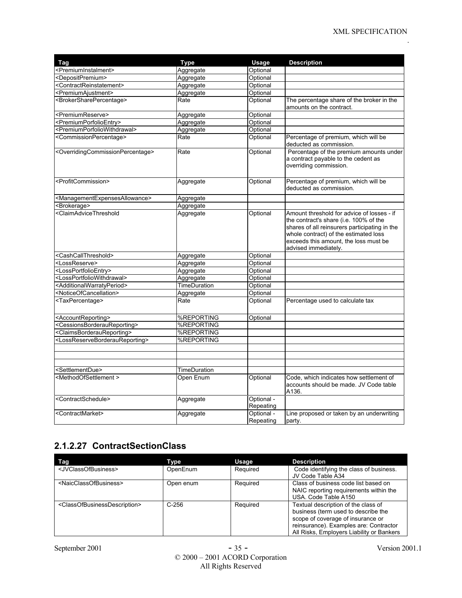| Tag                                                                                                                                                                                                                                                                                                                                                   | <b>Type</b>         | Usage                   | <b>Description</b>                                                                                                                                                                                                                              |
|-------------------------------------------------------------------------------------------------------------------------------------------------------------------------------------------------------------------------------------------------------------------------------------------------------------------------------------------------------|---------------------|-------------------------|-------------------------------------------------------------------------------------------------------------------------------------------------------------------------------------------------------------------------------------------------|
| <premiuminstalment></premiuminstalment>                                                                                                                                                                                                                                                                                                               | Aggregate           | Optional                |                                                                                                                                                                                                                                                 |
| <depositpremium></depositpremium>                                                                                                                                                                                                                                                                                                                     | Aggregate           | Optional                |                                                                                                                                                                                                                                                 |
| <contractreinstatement></contractreinstatement>                                                                                                                                                                                                                                                                                                       | Aggregate           | Optional                |                                                                                                                                                                                                                                                 |
| <premiumajustment></premiumajustment>                                                                                                                                                                                                                                                                                                                 | Aggregate           | Optional                |                                                                                                                                                                                                                                                 |
| <brokersharepercentage></brokersharepercentage>                                                                                                                                                                                                                                                                                                       | Rate                | Optional                | The percentage share of the broker in the<br>amounts on the contract.                                                                                                                                                                           |
| <premiumreserve></premiumreserve>                                                                                                                                                                                                                                                                                                                     | Aggregate           | Optional                |                                                                                                                                                                                                                                                 |
| <premiumporfolioentry></premiumporfolioentry>                                                                                                                                                                                                                                                                                                         | Aggregate           | Optional                |                                                                                                                                                                                                                                                 |
| <premiumporfoliowithdrawal></premiumporfoliowithdrawal>                                                                                                                                                                                                                                                                                               | Aggregate           | Optional                |                                                                                                                                                                                                                                                 |
| <commissionpercentage></commissionpercentage>                                                                                                                                                                                                                                                                                                         | Rate                | Optional                | Percentage of premium, which will be<br>deducted as commission.                                                                                                                                                                                 |
| <overridingcommissionpercentage></overridingcommissionpercentage>                                                                                                                                                                                                                                                                                     | Rate                | Optional                | Percentage of the premium amounts under<br>a contract payable to the cedent as<br>overriding commission.                                                                                                                                        |
| <profitcommission></profitcommission>                                                                                                                                                                                                                                                                                                                 | Aggregate           | Optional                | Percentage of premium, which will be<br>deducted as commission.                                                                                                                                                                                 |
| <managementexpensesallowance></managementexpensesallowance>                                                                                                                                                                                                                                                                                           | Aggregate           |                         |                                                                                                                                                                                                                                                 |
| <brokerage></brokerage>                                                                                                                                                                                                                                                                                                                               | Aggregate           |                         |                                                                                                                                                                                                                                                 |
| <claimadvicethreshold< td=""><td>Aggregate</td><td>Optional</td><td>Amount threshold for advice of losses - if<br/>the contract's share (i.e. 100% of the<br/>shares of all reinsurers participating in the<br/>whole contract) of the estimated loss<br/>exceeds this amount, the loss must be<br/>advised immediately.</td></claimadvicethreshold<> | Aggregate           | Optional                | Amount threshold for advice of losses - if<br>the contract's share (i.e. 100% of the<br>shares of all reinsurers participating in the<br>whole contract) of the estimated loss<br>exceeds this amount, the loss must be<br>advised immediately. |
| <cashcallthreshold></cashcallthreshold>                                                                                                                                                                                                                                                                                                               | Aggregate           | Optional                |                                                                                                                                                                                                                                                 |
| <lossreserve></lossreserve>                                                                                                                                                                                                                                                                                                                           | Aggregate           | Optional                |                                                                                                                                                                                                                                                 |
| <lossportfolioentry></lossportfolioentry>                                                                                                                                                                                                                                                                                                             | Aggregate           | Optional                |                                                                                                                                                                                                                                                 |
| <lossportfoliowithdrawal></lossportfoliowithdrawal>                                                                                                                                                                                                                                                                                                   | Aggregate           | Optional                |                                                                                                                                                                                                                                                 |
| <additionalwarratyperiod></additionalwarratyperiod>                                                                                                                                                                                                                                                                                                   | <b>TimeDuration</b> | Optional                |                                                                                                                                                                                                                                                 |
| <noticeofcancellation></noticeofcancellation>                                                                                                                                                                                                                                                                                                         | Aggregate           | Optional                |                                                                                                                                                                                                                                                 |
| <taxpercentage></taxpercentage>                                                                                                                                                                                                                                                                                                                       | Rate                | Optional                | Percentage used to calculate tax                                                                                                                                                                                                                |
| <accountreporting></accountreporting>                                                                                                                                                                                                                                                                                                                 | %REPORTING          | Optional                |                                                                                                                                                                                                                                                 |
| <cessionsborderaureporting></cessionsborderaureporting>                                                                                                                                                                                                                                                                                               | %REPORTING          |                         |                                                                                                                                                                                                                                                 |
| <claimsborderaureporting></claimsborderaureporting>                                                                                                                                                                                                                                                                                                   | <b>%REPORTING</b>   |                         |                                                                                                                                                                                                                                                 |
| <lossreserveborderaureporting></lossreserveborderaureporting>                                                                                                                                                                                                                                                                                         | %REPORTING          |                         |                                                                                                                                                                                                                                                 |
|                                                                                                                                                                                                                                                                                                                                                       |                     |                         |                                                                                                                                                                                                                                                 |
|                                                                                                                                                                                                                                                                                                                                                       |                     |                         |                                                                                                                                                                                                                                                 |
|                                                                                                                                                                                                                                                                                                                                                       |                     |                         |                                                                                                                                                                                                                                                 |
| <settlementdue></settlementdue>                                                                                                                                                                                                                                                                                                                       | TimeDuration        |                         |                                                                                                                                                                                                                                                 |
| <methodofsettlement></methodofsettlement>                                                                                                                                                                                                                                                                                                             | Open Enum           | Optional                | Code, which indicates how settlement of<br>accounts should be made. JV Code table<br>A136.                                                                                                                                                      |
| <contractschedule></contractschedule>                                                                                                                                                                                                                                                                                                                 | Aggregate           | Optional -<br>Repeating |                                                                                                                                                                                                                                                 |
| <contractmarket></contractmarket>                                                                                                                                                                                                                                                                                                                     | Aggregate           | Optional -<br>Repeating | Line proposed or taken by an underwriting<br>party.                                                                                                                                                                                             |

## **2.1.2.27 ContractSectionClass**

| Tag                                                       | Type      | Usage    | <b>Description</b>                                                                                                                                                                                     |
|-----------------------------------------------------------|-----------|----------|--------------------------------------------------------------------------------------------------------------------------------------------------------------------------------------------------------|
| <jvclassofbusiness></jvclassofbusiness>                   | OpenEnum  | Required | Code identifying the class of business.<br>JV Code Table A34                                                                                                                                           |
| <naicclassofbusiness></naicclassofbusiness>               | Open enum | Required | Class of business code list based on<br>NAIC reporting requirements within the<br>USA. Code Table A150                                                                                                 |
| <classofbusinessdescription></classofbusinessdescription> | $C-256$   | Required | Textual description of the class of<br>business (term used to describe the<br>scope of coverage of insurance or<br>reinsurance). Examples are: Contractor<br>All Risks, Employers Liability or Bankers |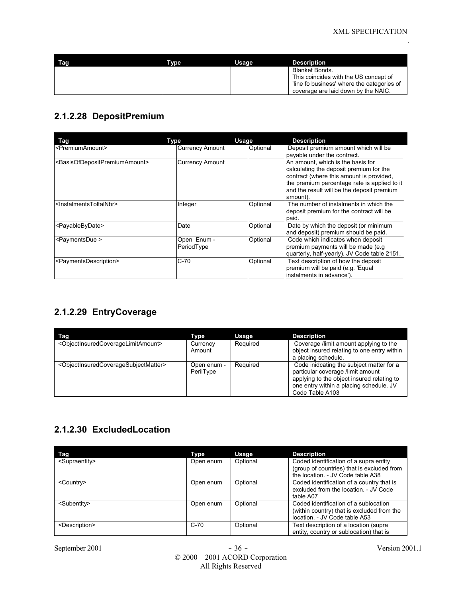| Tag | Tvpe | Usage | Description                                                                                                                                 |
|-----|------|-------|---------------------------------------------------------------------------------------------------------------------------------------------|
|     |      |       | Blanket Bonds.<br>This coincides with the US concept of<br>line fo business' where the categories of<br>coverage are laid down by the NAIC. |

#### **2.1.2.28 DepositPremium**

| Tag                                                         | Type                      | <b>Usage</b> | <b>Description</b>                                                                                                                                                                                                                 |
|-------------------------------------------------------------|---------------------------|--------------|------------------------------------------------------------------------------------------------------------------------------------------------------------------------------------------------------------------------------------|
| <premiumamount></premiumamount>                             | <b>Currency Amount</b>    | Optional     | Deposit premium amount which will be<br>payable under the contract.                                                                                                                                                                |
| <basisofdepositpremiumamount></basisofdepositpremiumamount> | <b>Currency Amount</b>    |              | An amount, which is the basis for<br>calculating the deposit premium for the<br>contract (where this amount is provided,<br>the premium percentage rate is applied to it<br>and the result will be the deposit premium<br>amount). |
| <lnstalmentstoltalnbr></lnstalmentstoltalnbr>               | Integer                   | Optional     | The number of instalments in which the<br>deposit premium for the contract will be<br>paid.                                                                                                                                        |
| <payablebydate></payablebydate>                             | Date                      | Optional     | Date by which the deposit (or minimum<br>and deposit) premium should be paid.                                                                                                                                                      |
| <paymentsdue></paymentsdue>                                 | Open Enum -<br>PeriodType | Optional     | Code which indicates when deposit<br>premium payments will be made (e.g.<br>quarterly, half-yearly). JV Code table 2151.                                                                                                           |
| <paymentsdescription></paymentsdescription>                 | $C-70$                    | Optional     | Text description of how the deposit<br>premium will be paid (e.g. 'Equal<br>instalments in advance').                                                                                                                              |

## **2.1.2.29 EntryCoverage**

| Tag                                                                       | Type                     | Usage    | <b>Description</b>                                                                                                                                                                        |
|---------------------------------------------------------------------------|--------------------------|----------|-------------------------------------------------------------------------------------------------------------------------------------------------------------------------------------------|
| <objectinsuredcoveragelimitamount></objectinsuredcoveragelimitamount>     | Currency<br>Amount       | Required | Coverage /limit amount applying to the<br>object insured relating to one entry within<br>a placing schedule.                                                                              |
| <objectinsuredcoveragesubjectmatter></objectinsuredcoveragesubjectmatter> | Open enum -<br>PerilType | Required | Code inidcating the subject matter for a<br>particular coverage /limit amount<br>applying to the object insured relating to<br>one entry within a placing schedule. JV<br>Code Table A103 |

### **2.1.2.30 ExcludedLocation**

| Tag                         | Type      | Usage    | <b>Description</b>                                                                                                        |
|-----------------------------|-----------|----------|---------------------------------------------------------------------------------------------------------------------------|
| <supraentity></supraentity> | Open enum | Optional | Coded identification of a supra entity<br>(group of countries) that is excluded from<br>the location. - JV Code table A38 |
| <country></country>         | Open enum | Optional | Coded identification of a country that is<br>excluded from the location. - JV Code<br>table A07                           |
| <subentity></subentity>     | Open enum | Optional | Coded identification of a sublocation<br>(within country) that is excluded from the<br>location. - JV Code table A53      |
| <description></description> | $C-70$    | Optional | Text description of a location (supra<br>entity, country or sublocation) that is                                          |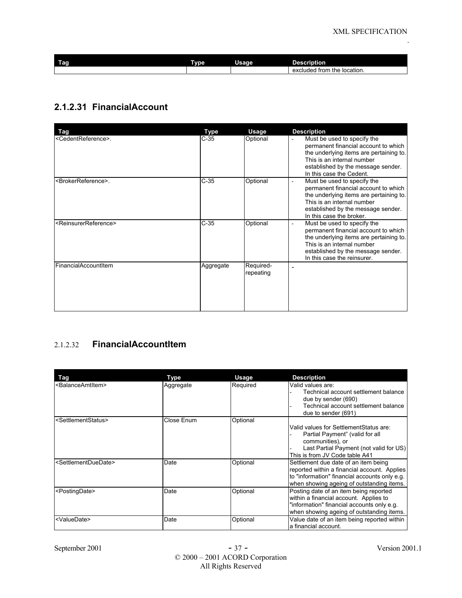| I<br>Tag | <b>Type</b> | . .<br>Usage | <b>Description</b>                  |
|----------|-------------|--------------|-------------------------------------|
|          |             |              | the location.<br>excluded<br>∣ from |

### **2.1.2.31 FinancialAccount**

| Tag                                       | Type      | Usage                  | <b>Description</b>                                                                                                                                                                                                                         |
|-------------------------------------------|-----------|------------------------|--------------------------------------------------------------------------------------------------------------------------------------------------------------------------------------------------------------------------------------------|
| <cedentreference>.</cedentreference>      | $C-35$    | Optional               | Must be used to specify the<br>permanent financial account to which<br>the underlying items are pertaining to.<br>This is an internal number<br>established by the message sender.<br>In this case the Cedent.                             |
| <brokerreference>.</brokerreference>      | $C-35$    | Optional               | Must be used to specify the<br>$\overline{\phantom{a}}$<br>permanent financial account to which<br>the underlying items are pertaining to.<br>This is an internal number<br>established by the message sender.<br>In this case the broker. |
| <reinsurerreference></reinsurerreference> | $C-35$    | Optional               | Must be used to specify the<br>$\blacksquare$<br>permanent financial account to which<br>the underlying items are pertaining to.<br>This is an internal number<br>established by the message sender.<br>In this case the reinsurer.        |
| FinancialAccountItem                      | Aggregate | Required-<br>repeating | -                                                                                                                                                                                                                                          |

#### 2.1.2.32 **FinancialAccountItem**

| Tag                                     | Type       | Usage    | <b>Description</b>                                                                                                                                                                 |
|-----------------------------------------|------------|----------|------------------------------------------------------------------------------------------------------------------------------------------------------------------------------------|
| <balanceamtitem></balanceamtitem>       | Aggregate  | Required | Valid values are:<br>Technical account settlement balance<br>due by sender (690)<br>Technical account settlement balance<br>due to sender (691)                                    |
| <settlementstatus></settlementstatus>   | Close Enum | Optional | Valid values for SettlementStatus are:<br>Partial Payment" (valid for all<br>communities), or<br>Last Partial Payment (not valid for US)<br>This is from JV Code table A41         |
| <settlementduedate></settlementduedate> | Date       | Optional | Settlement due date of an item being<br>reported within a financial account. Applies<br>to "information" financial accounts only e.g.<br>when showing ageing of outstanding items. |
| <postingdate></postingdate>             | Date       | Optional | Posting date of an item being reported<br>within a financial account. Applies to<br>"information" financial accounts only e.g.<br>when showing ageing of outstanding items.        |
| <valuedate></valuedate>                 | Date       | Optional | Value date of an item being reported within<br>a financial account.                                                                                                                |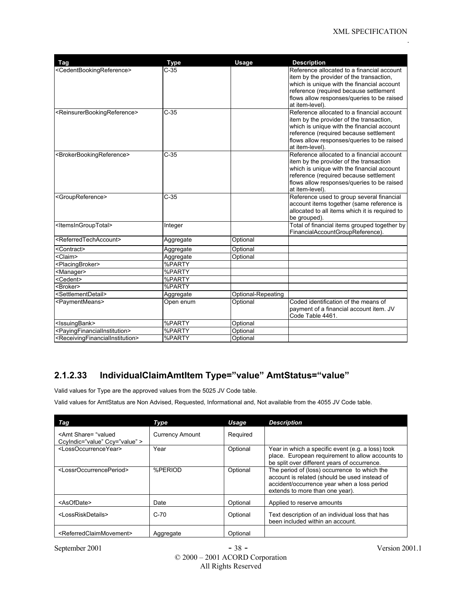| Tag                                                             | <b>Type</b> | <b>Usage</b>       | <b>Description</b>                                                                   |
|-----------------------------------------------------------------|-------------|--------------------|--------------------------------------------------------------------------------------|
| <cedentbookingreference></cedentbookingreference>               | $C-35$      |                    | Reference allocated to a financial account                                           |
|                                                                 |             |                    | item by the provider of the transaction,                                             |
|                                                                 |             |                    | which is unique with the financial account                                           |
|                                                                 |             |                    | reference (required because settlement                                               |
|                                                                 |             |                    | flows allow responses/queries to be raised<br>at item-level).                        |
| <reinsurerbookingreference></reinsurerbookingreference>         | $C-35$      |                    | Reference allocated to a financial account                                           |
|                                                                 |             |                    | item by the provider of the transaction,                                             |
|                                                                 |             |                    | which is unique with the financial account                                           |
|                                                                 |             |                    | reference (required because settlement                                               |
|                                                                 |             |                    | flows allow responses/queries to be raised<br>at item-level).                        |
| <brokerbookingreference></brokerbookingreference>               | $C-35$      |                    | Reference allocated to a financial account                                           |
|                                                                 |             |                    | item by the provider of the transaction                                              |
|                                                                 |             |                    | which is unique with the financial account                                           |
|                                                                 |             |                    | reference (required because settlement<br>flows allow responses/queries to be raised |
|                                                                 |             |                    | at item-level).                                                                      |
| <groupreference></groupreference>                               | $C-35$      |                    | Reference used to group several financial                                            |
|                                                                 |             |                    | account items together (same reference is                                            |
|                                                                 |             |                    | allocated to all items which it is required to                                       |
|                                                                 |             |                    | be grouped).                                                                         |
| <ltemsingrouptotal></ltemsingrouptotal>                         | Integer     |                    | Total of financial items grouped together by                                         |
|                                                                 |             |                    | FinancialAccountGroupReference).                                                     |
| <referredtechaccount></referredtechaccount>                     | Aggregate   | Optional           |                                                                                      |
| <contract></contract>                                           | Aggregate   | Optional           |                                                                                      |
| <claim></claim>                                                 | Aggregate   | Optional           |                                                                                      |
| <placingbroker></placingbroker>                                 | %PARTY      |                    |                                                                                      |
| <manager></manager>                                             | %PARTY      |                    |                                                                                      |
| <cedent></cedent>                                               | %PARTY      |                    |                                                                                      |
| <broker></broker>                                               | %PARTY      |                    |                                                                                      |
| <settlementdetail></settlementdetail>                           | Aggregate   | Optional-Repeating |                                                                                      |
| <paymentmeans></paymentmeans>                                   | Open enum   | Optional           | Coded identification of the means of                                                 |
|                                                                 |             |                    | payment of a financial account item. JV                                              |
|                                                                 | %PARTY      | Optional           | Code Table 4461.                                                                     |
| <lssuingbank></lssuingbank>                                     |             |                    |                                                                                      |
| <payingfinancialinstitution></payingfinancialinstitution>       | %PARTY      | Optional           |                                                                                      |
| <receivingfinancialinstitution></receivingfinancialinstitution> | %PARTY      | Optional           |                                                                                      |

## **2.1.2.33 IndividualClaimAmtItem Type="value" AmtStatus="value"**

Valid values for Type are the approved values from the 5025 JV Code table.

Valid values for AmtStatus are Non Advised, Requested, Informational and, Not available from the 4055 JV Code table.

| Taq                                                                | Type                   | Usage    | <b>Description</b>                                                                                                                                                              |
|--------------------------------------------------------------------|------------------------|----------|---------------------------------------------------------------------------------------------------------------------------------------------------------------------------------|
| <amt <br="" share="valued">Ccylndic="value" Ccy="value" &gt;</amt> | <b>Currency Amount</b> | Required |                                                                                                                                                                                 |
| <lossoccurrenceyear></lossoccurrenceyear>                          | Year                   | Optional | Year in which a specific event (e.g. a loss) took<br>place. European requirement to allow accounts to<br>be split over different years of occurrence.                           |
| <lossroccurrenceperiod></lossroccurrenceperiod>                    | %PERIOD                | Optional | The period of (loss) occurrence to which the<br>account is related (should be used instead of<br>accident/occurrence year when a loss period<br>extends to more than one year). |
| <asofdate></asofdate>                                              | Date                   | Optional | Applied to reserve amounts                                                                                                                                                      |
| <lossriskdetails></lossriskdetails>                                | C-70                   | Optional | Text description of an individual loss that has<br>been included within an account.                                                                                             |
| <referredclaimmovement></referredclaimmovement>                    | Aggregate              | Optional |                                                                                                                                                                                 |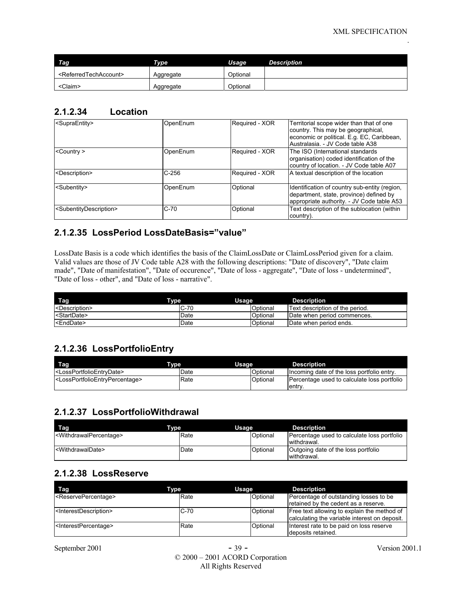| Tag                                         | Type      | Usage    | <b>Description</b> |
|---------------------------------------------|-----------|----------|--------------------|
| <referredtechaccount></referredtechaccount> | Aggregate | Optional |                    |
| <claim></claim>                             | Aggregate | Optional |                    |

#### **2.1.2.34 Location**

| <supraentity></supraentity>                   | OpenEnum | Required - XOR | Territorial scope wider than that of one<br>country. This may be geographical,<br>economic or political. E.g. EC, Caribbean,<br>Australasia. - JV Code table A38 |
|-----------------------------------------------|----------|----------------|------------------------------------------------------------------------------------------------------------------------------------------------------------------|
| $<$ Country $>$                               | OpenEnum | Required - XOR | The ISO (International standards)<br>organisation) coded identification of the<br>country of location. - JV Code table A07                                       |
| <description></description>                   | C-256    | Required - XOR | A textual description of the location                                                                                                                            |
| <subentity></subentity>                       | OpenEnum | Optional       | Identification of country sub-entity (region,<br>department, state, province) defined by<br>appropriate authority. - JV Code table A53                           |
| <subentitydescription></subentitydescription> | $C-70$   | Optional       | Text description of the sublocation (within<br>country).                                                                                                         |

#### **2.1.2.35 LossPeriod LossDateBasis="value"**

LossDate Basis is a code which identifies the basis of the ClaimLossDate or ClaimLossPeriod given for a claim. Valid values are those of JV Code table A28 with the following descriptions: "Date of discovery", "Date claim made", "Date of manifestation", "Date of occurence", "Date of loss - aggregate", "Date of loss - undetermined", "Date of loss - other", and "Date of loss - narrative".

| Tag<br><b>Type</b>          | Usage  |          | <b>Description</b>              |
|-----------------------------|--------|----------|---------------------------------|
| <description></description> | $C-70$ | Optional | Text description of the period. |
| <b>StartDate&gt;</b>        | Date   | Optional | Date when period commences.     |
| <enddate></enddate>         | Date   | Optional | Date when period ends.          |

### **2.1.2.36 LossPortfolioEntry**

| Tag                                                             | Tvpe ' | Usage    | <b>Description</b>                                    |
|-----------------------------------------------------------------|--------|----------|-------------------------------------------------------|
| I <lossportfolioentrydate></lossportfolioentrydate>             | Date   | Optional | Incoming date of the loss portfolio entry.            |
| I <lossportfolioentrvpercentage></lossportfolioentrvpercentage> | Rate   | Optional | Percentage used to calculate loss portfolio<br>lentry |

#### **2.1.2.37 LossPortfolioWithdrawal**

| Tvpe<br>Tag                                   |      | Usage    | <b>Description</b>                                         |
|-----------------------------------------------|------|----------|------------------------------------------------------------|
| <withdrawalpercentage></withdrawalpercentage> | Rate | Optional | Percentage used to calculate loss portfolio<br>withdrawal. |
| <withdrawaldate></withdrawaldate>             | Date | Optional | Outgoing date of the loss portfolio<br>withdrawal.         |

#### **2.1.2.38 LossReserve**

| Tag<br>Type                                 |        | Usage    | <b>Description</b>                                                                           |
|---------------------------------------------|--------|----------|----------------------------------------------------------------------------------------------|
| <reservepercentage></reservepercentage>     | Rate   | Optional | Percentage of outstanding losses to be<br>retained by the cedent as a reserve.               |
| <interestdescription></interestdescription> | $C-70$ | Optional | Free text allowing to explain the method of<br>calculating the variable interest on deposit. |
| <lnterestpercentage></lnterestpercentage>   | Rate   | Optional | Interest rate to be paid on loss reserve<br>deposits retained.                               |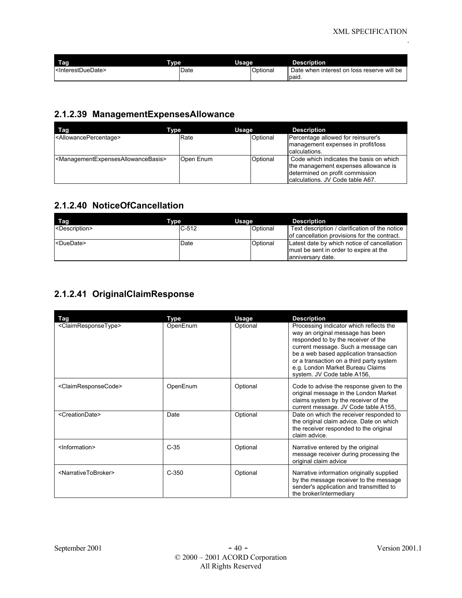| Tag                                 | <b>Type</b> | Usage    | <b>Description</b>                                  |
|-------------------------------------|-------------|----------|-----------------------------------------------------|
| <interestduedate></interestduedate> | Date        | Optional | Date when interest on loss reserve will be<br>paid. |

## **2.1.2.39 ManagementExpensesAllowance**

| Tag                                                                   | Type      | Usage    | <b>Description</b>                                                                                                                                      |
|-----------------------------------------------------------------------|-----------|----------|---------------------------------------------------------------------------------------------------------------------------------------------------------|
| <allowancepercentage></allowancepercentage>                           | Rate      | Optional | Percentage allowed for reinsurer's<br>management expenses in profit/loss<br>calculations.                                                               |
| <managementexpensesallowancebasis></managementexpensesallowancebasis> | Open Enum | Optional | Code which indicates the basis on which<br>the management expenses allowance is<br>determined on profit commission<br>Icalculations. JV Code table A67. |

#### **2.1.2.40 NoticeOfCancellation**

| Tag<br>Tvpe                 | Usage   |          | <b>Description</b>                                                                                         |
|-----------------------------|---------|----------|------------------------------------------------------------------------------------------------------------|
| <description></description> | $C-512$ | Optional | Text description / clarification of the notice<br>of cancellation provisions for the contract.             |
| <duedate></duedate>         | Date    | Optional | Latest date by which notice of cancellation<br>must be sent in order to expire at the<br>anniversary date. |

### **2.1.2.41 OriginalClaimResponse**

| Tag                                     | Type     | Usage    | <b>Description</b>                                                                                                                                                                                                                                                                                                 |
|-----------------------------------------|----------|----------|--------------------------------------------------------------------------------------------------------------------------------------------------------------------------------------------------------------------------------------------------------------------------------------------------------------------|
| <claimresponsetype></claimresponsetype> | OpenEnum | Optional | Processing indicator which reflects the<br>way an original message has been<br>responded to by the receiver of the<br>current message. Such a message can<br>be a web based application transaction<br>or a transaction on a third party system<br>e.g. London Market Bureau Claims<br>system. JV Code table A156, |
| <claimresponsecode></claimresponsecode> | OpenEnum | Optional | Code to advise the response given to the<br>original message in the London Market<br>claims system by the receiver of the<br>current message. JV Code table A155,                                                                                                                                                  |
| <creationdate></creationdate>           | Date     | Optional | Date on which the receiver responded to<br>the original claim advice. Date on which<br>the receiver responded to the original<br>claim advice.                                                                                                                                                                     |
| <information></information>             | $C-35$   | Optional | Narrative entered by the original<br>message receiver during processing the<br>original claim advice                                                                                                                                                                                                               |
| <narrativetobroker></narrativetobroker> | $C-350$  | Optional | Narrative information originally supplied<br>by the message receiver to the message<br>sender's application and transmitted to<br>the broker/intermediary                                                                                                                                                          |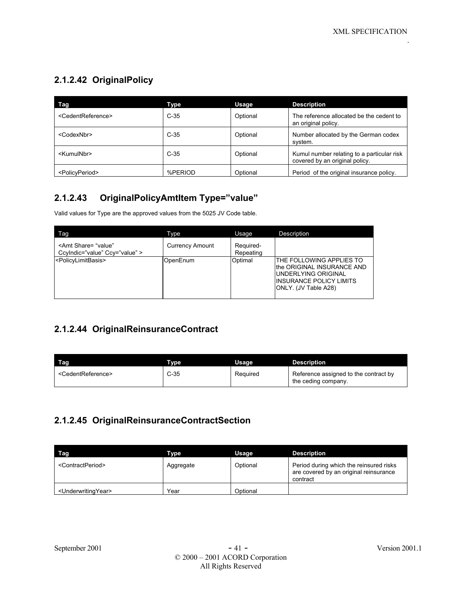## **2.1.2.42 OriginalPolicy**

| Tag                                 | Type    | Usage    | <b>Description</b>                                                           |
|-------------------------------------|---------|----------|------------------------------------------------------------------------------|
| <cedentreference></cedentreference> | $C-35$  | Optional | The reference allocated be the cedent to<br>an original policy.              |
| <codexnbr></codexnbr>               | $C-35$  | Optional | Number allocated by the German codex<br>system.                              |
| <kumulnbr></kumulnbr>               | $C-35$  | Optional | Kumul number relating to a particular risk<br>covered by an original policy. |
| <policyperiod></policyperiod>       | %PERIOD | Optional | Period of the original insurance policy.                                     |

## **2.1.2.43 OriginalPolicyAmtItem Type="value"**

Valid values for Type are the approved values from the 5025 JV Code table.

| Tag                                                               | Type                   | Usage                  | Description                                                                                                                                     |
|-------------------------------------------------------------------|------------------------|------------------------|-------------------------------------------------------------------------------------------------------------------------------------------------|
| <amt <br="" share="value">Ccylndic="value" Ccy="value" &gt;</amt> | <b>Currency Amount</b> | Required-<br>Repeating |                                                                                                                                                 |
| <policylimitbasis></policylimitbasis>                             | OpenEnum               | Optimal                | THE FOLLOWING APPLIES TO<br>the ORIGINAL INSURANCE AND<br>UNDERLYING ORIGINAL<br><b>INSURANCE POLICY LIMITS</b><br><b>IONLY. (JV Table A28)</b> |

### **2.1.2.44 OriginalReinsuranceContract**

| Tag                                 | <b>Type</b> | Usage    | <b>Description</b>                                           |
|-------------------------------------|-------------|----------|--------------------------------------------------------------|
| <cedentreference></cedentreference> | $C-35$      | Required | Reference assigned to the contract by<br>the ceding company. |

#### **2.1.2.45 OriginalReinsuranceContractSection**

| Tag                                   | Type      | Usage    | <b>Description</b>                                                                            |
|---------------------------------------|-----------|----------|-----------------------------------------------------------------------------------------------|
| <contractperiod></contractperiod>     | Aggregate | Optional | Period during which the reinsured risks<br>are covered by an original reinsurance<br>contract |
| <underwritingyear></underwritingyear> | Year      | Optional |                                                                                               |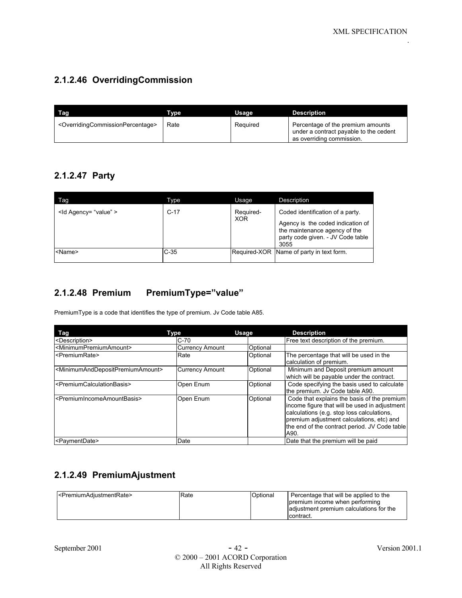### **2.1.2.46 OverridingCommission**

| Taɑ                                                               | Tvpe | Usage    | Description                                                                                              |
|-------------------------------------------------------------------|------|----------|----------------------------------------------------------------------------------------------------------|
| <overridingcommissionpercentage></overridingcommissionpercentage> | Rate | Required | Percentage of the premium amounts<br>under a contract payable to the cedent<br>as overriding commission. |

### **2.1.2.47 Party**

| Tag                      | Type   | Usage                   | Description                                                                                                                                         |
|--------------------------|--------|-------------------------|-----------------------------------------------------------------------------------------------------------------------------------------------------|
| <ld agency="value"></ld> | $C-17$ | Required-<br><b>XOR</b> | Coded identification of a party.<br>Agency is the coded indication of<br>the maintenance agency of the<br>party code given. - JV Code table<br>3055 |
| <name></name>            | $C-35$ |                         | Required-XOR Name of party in text form.                                                                                                            |

### **2.1.2.48 Premium PremiumType="value"**

PremiumType is a code that identifies the type of premium. Jv Code table A85.

| Tag                                                               | Type                   | Usage    | <b>Description</b>                                                                                                                                                                                                                                |
|-------------------------------------------------------------------|------------------------|----------|---------------------------------------------------------------------------------------------------------------------------------------------------------------------------------------------------------------------------------------------------|
| <description></description>                                       | $C-70$                 |          | Free text description of the premium.                                                                                                                                                                                                             |
| <minimumpremiumamount></minimumpremiumamount>                     | <b>Currency Amount</b> | Optional |                                                                                                                                                                                                                                                   |
| <premiumrate></premiumrate>                                       | Rate                   | Optional | The percentage that will be used in the<br>calculation of premium.                                                                                                                                                                                |
| <minimumanddepositpremiumamount></minimumanddepositpremiumamount> | <b>Currency Amount</b> | Optional | Minimum and Deposit premium amount<br>which will be payable under the contract.                                                                                                                                                                   |
| <premiumcalculationbasis></premiumcalculationbasis>               | Open Enum              | Optional | Code specifying the basis used to calculate<br>the premium. Jv Code table A90.                                                                                                                                                                    |
| <premiumincomeamountbasis></premiumincomeamountbasis>             | Open Enum              | Optional | Code that explains the basis of the premium<br>income figure that will be used in adjustment<br>calculations (e.g. stop loss calculations,<br>premium adjustment calculations, etc) and<br>the end of the contract period. JV Code table<br>IA90. |
| <paymentdate></paymentdate>                                       | Date                   |          | Date that the premium will be paid                                                                                                                                                                                                                |

## **2.1.2.49 PremiumAjustment**

| - <premiumadiustmentrate></premiumadiustmentrate> | <b>Rate</b> | Optional | Percentage that will be applied to the<br>premium income when performing<br>adiustment premium calculations for the<br>contract. |
|---------------------------------------------------|-------------|----------|----------------------------------------------------------------------------------------------------------------------------------|
|                                                   |             |          |                                                                                                                                  |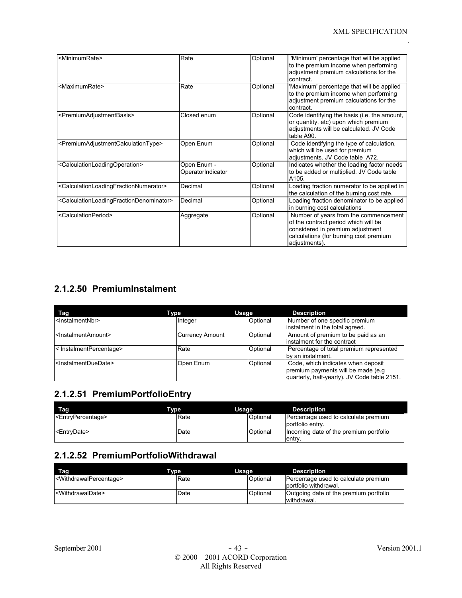| <minimumrate></minimumrate>                                                     | Rate                             | Optional | 'Minimum' percentage that will be applied<br>to the premium income when performing<br>adjustment premium calculations for the<br>contract.                                   |
|---------------------------------------------------------------------------------|----------------------------------|----------|------------------------------------------------------------------------------------------------------------------------------------------------------------------------------|
| <maximumrate></maximumrate>                                                     | Rate                             | Optional | 'Maximum' percentage that will be applied<br>to the premium income when performing<br>adjustment premium calculations for the<br>contract.                                   |
| <premiumadjustmentbasis></premiumadjustmentbasis>                               | Closed enum                      | Optional | Code identifying the basis (i.e. the amount,<br>or quantity, etc) upon which premium<br>adjustments will be calculated. JV Code<br>table A90.                                |
| <premiumadjustmentcalculationtype></premiumadjustmentcalculationtype>           | Open Enum                        | Optional | Code identifying the type of calculation,<br>which will be used for premium<br>adjustments. JV Code table A72.                                                               |
| <calculationloadingoperation></calculationloadingoperation>                     | Open Enum -<br>OperatorIndicator | Optional | Indicates whether the loading factor needs<br>to be added or multiplied. JV Code table<br>A105.                                                                              |
| <calculationloadingfractionnumerator></calculationloadingfractionnumerator>     | Decimal                          | Optional | Loading fraction numerator to be applied in<br>the calculation of the burning cost rate.                                                                                     |
| <calculationloadingfractiondenominator></calculationloadingfractiondenominator> | Decimal                          | Optional | Loading fraction denominator to be applied<br>in burning cost calculations                                                                                                   |
| <calculationperiod></calculationperiod>                                         | Aggregate                        | Optional | Number of years from the commencement<br>of the contract period which will be<br>considered in premium adjustment<br>calculations (for burning cost premium<br>adjustments). |

## **2.1.2.50 PremiumInstalment**

| Tag                                     | Type                   | Usage    | <b>Description</b>                                                                                                        |
|-----------------------------------------|------------------------|----------|---------------------------------------------------------------------------------------------------------------------------|
| <lnstalmentnbr></lnstalmentnbr>         | Integer                | Optional | Number of one specific premium<br>instalment in the total agreed.                                                         |
| <instalmentamount></instalmentamount>   | <b>Currency Amount</b> | Optional | Amount of premium to be paid as an<br>linstalment for the contract                                                        |
| < InstalmentPercentage>                 | Rate                   | Optional | Percentage of total premium represented<br>by an instalment.                                                              |
| <instalmentduedate></instalmentduedate> | Open Enum              | Optional | Code, which indicates when deposit<br>premium payments will be made (e.g.<br>quarterly, half-yearly). JV Code table 2151. |

## **2.1.2.51 PremiumPortfolioEntry**

| Tag                                 | Tvpe | Usage    | <b>Description</b>                                       |
|-------------------------------------|------|----------|----------------------------------------------------------|
| <entrypercentage></entrypercentage> | Rate | Optional | Percentage used to calculate premium<br>portfolio entry. |
| <entrydate></entrydate>             | Date | Optional | Incoming date of the premium portfolio<br>lentry.        |

#### **2.1.2.52 PremiumPortfolioWithdrawal**

| Tag<br><b>Type</b>                            |      | Usage    | <b>Description</b>                                            |
|-----------------------------------------------|------|----------|---------------------------------------------------------------|
| <withdrawalpercentage></withdrawalpercentage> | Rate | Optional | Percentage used to calculate premium<br>portfolio withdrawal. |
| <withdrawaldate></withdrawaldate>             | Date | Optional | Outgoing date of the premium portfolio<br>withdrawal.         |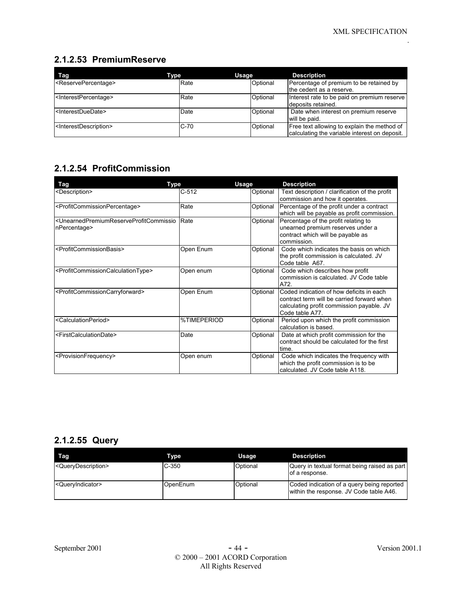### **2.1.2.53 PremiumReserve**

| Tag                                         | Type   | Usage    | <b>Description</b>                                                                           |
|---------------------------------------------|--------|----------|----------------------------------------------------------------------------------------------|
| <reservepercentage></reservepercentage>     | Rate   | Optional | Percentage of premium to be retained by<br>the cedent as a reserve.                          |
| <interestpercentage></interestpercentage>   | Rate   | Optional | Interest rate to be paid on premium reserve<br>deposits retained.                            |
| <interestduedate></interestduedate>         | Date   | Optional | Date when interest on premium reserve<br>will be paid.                                       |
| <interestdescription></interestdescription> | $C-70$ | Optional | Free text allowing to explain the method of<br>calculating the variable interest on deposit. |

## **2.1.2.54 ProfitCommission**

| Type<br><b>Tag</b>                                                                                   |             | <b>Usage</b> | <b>Description</b>                                                                                                                                     |
|------------------------------------------------------------------------------------------------------|-------------|--------------|--------------------------------------------------------------------------------------------------------------------------------------------------------|
| <description></description>                                                                          | $C-512$     | Optional     | Text description / clarification of the profit<br>commission and how it operates.                                                                      |
| <profitcommissionpercentage></profitcommissionpercentage>                                            | Rate        | Optional     | Percentage of the profit under a contract<br>which will be payable as profit commission.                                                               |
| <unearnedpremiumreserveprofitcommissio<br>nPercentage&gt;</unearnedpremiumreserveprofitcommissio<br> | Rate        | Optional     | Percentage of the profit relating to<br>unearned premium reserves under a<br>contract which will be payable as<br>commission.                          |
| <profitcommissionbasis></profitcommissionbasis>                                                      | Open Enum   | Optional     | Code which indicates the basis on which<br>the profit commission is calculated. JV<br>Code table A67.                                                  |
| <profitcommissioncalculationtype></profitcommissioncalculationtype>                                  | Open enum   | Optional     | Code which describes how profit<br>commission is calculated. JV Code table<br>A72.                                                                     |
| <profitcommissioncarryforward></profitcommissioncarryforward>                                        | Open Enum   | Optional     | Coded indication of how deficits in each<br>contract term will be carried forward when<br>calculating profit commission payable. JV<br>Code table A77. |
| <calculationperiod></calculationperiod>                                                              | %TIMEPERIOD | Optional     | Period upon which the profit commission<br>calculation is based.                                                                                       |
| <firstcalculationdate></firstcalculationdate>                                                        | Date        | Optional     | Date at which profit commission for the<br>contract should be calculated for the first<br>time.                                                        |
| <provisionfrequency></provisionfrequency>                                                            | Open enum   | Optional     | Code which indicates the frequency with<br>which the profit commission is to be<br>calculated. JV Code table A118.                                     |

## **2.1.2.55 Query**

| Tag                                   | Tvpe     | Usage    | <b>Description</b>                                                                    |
|---------------------------------------|----------|----------|---------------------------------------------------------------------------------------|
| <querydescription></querydescription> | $C-350$  | Optional | Query in textual format being raised as part<br>of a response.                        |
| <queryindicator></queryindicator>     | OpenEnum | Optional | Coded indication of a query being reported<br>within the response. JV Code table A46. |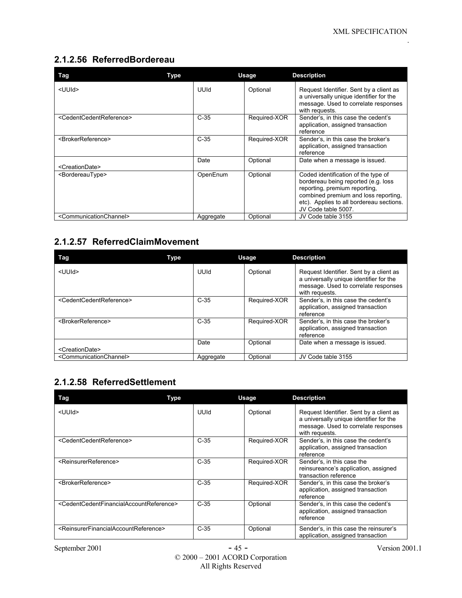#### **2.1.2.56 ReferredBordereau**

| Tag                                             | Type      | Usage        | <b>Description</b>                                                                                                                                                                                                     |
|-------------------------------------------------|-----------|--------------|------------------------------------------------------------------------------------------------------------------------------------------------------------------------------------------------------------------------|
| <uuid></uuid>                                   | UUId      | Optional     | Request Identifier. Sent by a client as<br>a universally unique identifier for the<br>message. Used to correlate responses<br>with requests.                                                                           |
| <cedentcedentreference></cedentcedentreference> | $C-35$    | Required-XOR | Sender's, in this case the cedent's<br>application, assigned transaction<br>reference                                                                                                                                  |
| <brokerreference></brokerreference>             | $C-35$    | Required-XOR | Sender's, in this case the broker's<br>application, assigned transaction<br>reference                                                                                                                                  |
| <creationdate></creationdate>                   | Date      | Optional     | Date when a message is issued.                                                                                                                                                                                         |
| <bordereautype></bordereautype>                 | OpenEnum  | Optional     | Coded identification of the type of<br>bordereau being reported (e.g. loss<br>reporting, premium reporting,<br>combined premium and loss reporting,<br>etc). Applies to all bordereau sections.<br>JV Code table 5007. |
| <communicationchannel></communicationchannel>   | Aggregate | Optional     | JV Code table 3155                                                                                                                                                                                                     |

## **2.1.2.57 ReferredClaimMovement**

| Tag                                             | Type      | <b>Usage</b> | <b>Description</b>                                                                                                                           |
|-------------------------------------------------|-----------|--------------|----------------------------------------------------------------------------------------------------------------------------------------------|
| <uuid></uuid>                                   | UUId      | Optional     | Request Identifier. Sent by a client as<br>a universally unique identifier for the<br>message. Used to correlate responses<br>with requests. |
| <cedentcedentreference></cedentcedentreference> | $C-35$    | Required-XOR | Sender's, in this case the cedent's<br>application, assigned transaction<br>reference                                                        |
| <brokerreference></brokerreference>             | $C-35$    | Required-XOR | Sender's, in this case the broker's<br>application, assigned transaction<br>reference                                                        |
|                                                 | Date      | Optional     | Date when a message is issued.                                                                                                               |
| <creationdate></creationdate>                   |           |              |                                                                                                                                              |
| <communicationchannel></communicationchannel>   | Aggregate | Optional     | JV Code table 3155                                                                                                                           |

### **2.1.2.58 ReferredSettlement**

| Tag                                                                             | Type   | <b>Usage</b> | <b>Description</b>                                                                                                                           |
|---------------------------------------------------------------------------------|--------|--------------|----------------------------------------------------------------------------------------------------------------------------------------------|
| <uuid></uuid>                                                                   | UUId   | Optional     | Request Identifier. Sent by a client as<br>a universally unique identifier for the<br>message. Used to correlate responses<br>with requests. |
| <cedentcedentreference></cedentcedentreference>                                 | $C-35$ | Required-XOR | Sender's, in this case the cedent's<br>application, assigned transaction<br>reference                                                        |
| <reinsurerreference></reinsurerreference>                                       | $C-35$ | Required-XOR | Sender's, in this case the<br>reinsureance's application, assigned<br>transaction reference                                                  |
| <brokerreference></brokerreference>                                             | $C-35$ | Required-XOR | Sender's, in this case the broker's<br>application, assigned transaction<br>reference                                                        |
| <cedentcedentfinancialaccountreference></cedentcedentfinancialaccountreference> | $C-35$ | Optional     | Sender's, in this case the cedent's<br>application, assigned transaction<br>reference                                                        |
| <reinsurerfinancialaccountreference></reinsurerfinancialaccountreference>       | $C-35$ | Optional     | Sender's, in this case the reinsurer's<br>application, assigned transaction                                                                  |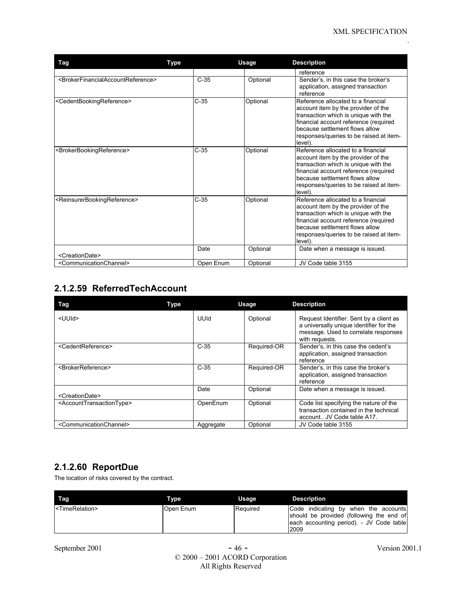| Tag                                                                             | Type      | Usage    | <b>Description</b>                                                                                                                                                                                                                                 |
|---------------------------------------------------------------------------------|-----------|----------|----------------------------------------------------------------------------------------------------------------------------------------------------------------------------------------------------------------------------------------------------|
|                                                                                 |           |          | reference                                                                                                                                                                                                                                          |
| <brokerfinancialaccountreference></brokerfinancialaccountreference>             | $C-35$    | Optional | Sender's, in this case the broker's<br>application, assigned transaction<br>reference                                                                                                                                                              |
| <cedentbookingreference></cedentbookingreference>                               | $C-35$    | Optional | Reference allocated to a financial<br>account item by the provider of the<br>transaction which is unique with the<br>financial account reference (required<br>because settlement flows allow<br>responses/queries to be raised at item-<br>level). |
| <brokerbookingreference></brokerbookingreference>                               | $C-35$    | Optional | Reference allocated to a financial<br>account item by the provider of the<br>transaction which is unique with the<br>financial account reference (required<br>because settlement flows allow<br>responses/queries to be raised at item-<br>level). |
| <reinsurerbookingreference></reinsurerbookingreference>                         | $C-35$    | Optional | Reference allocated to a financial<br>account item by the provider of the<br>transaction which is unique with the<br>financial account reference (required<br>because settlement flows allow<br>responses/queries to be raised at item-<br>level). |
|                                                                                 | Date      | Optional | Date when a message is issued.                                                                                                                                                                                                                     |
| <creationdate><br/><communicationchannel></communicationchannel></creationdate> | Open Enum | Optional | JV Code table 3155                                                                                                                                                                                                                                 |
|                                                                                 |           |          |                                                                                                                                                                                                                                                    |

## **2.1.2.59 ReferredTechAccount**

| Tag                                               | <b>Type</b> |           | Usage       | <b>Description</b>                                                                                                                           |
|---------------------------------------------------|-------------|-----------|-------------|----------------------------------------------------------------------------------------------------------------------------------------------|
| <uuid></uuid>                                     |             | UUId      | Optional    | Request Identifier. Sent by a client as<br>a universally unique identifier for the<br>message. Used to correlate responses<br>with requests. |
| <cedentreference></cedentreference>               |             | $C-35$    | Required-OR | Sender's, in this case the cedent's<br>application, assigned transaction<br>reference                                                        |
| <brokerreference></brokerreference>               |             | $C-35$    | Required-OR | Sender's, in this case the broker's<br>application, assigned transaction<br>reference                                                        |
| <creationdate></creationdate>                     |             | Date      | Optional    | Date when a message is issued.                                                                                                               |
| <accounttransactiontype></accounttransactiontype> |             | OpenEnum  | Optional    | Code list specifying the nature of the<br>transaction contained in the technical<br>account JV Code table A17.                               |
| <communicationchannel></communicationchannel>     |             | Aggregate | Optional    | JV Code table 3155                                                                                                                           |

### **2.1.2.60 ReportDue**

The location of risks covered by the contract.

| Tag                             | <b>Type</b> | Usage    | <b>Description</b>                                                                                                                   |
|---------------------------------|-------------|----------|--------------------------------------------------------------------------------------------------------------------------------------|
| I <timerelation></timerelation> | Open Enum   | Required | Code indicating by when the accounts<br>should be provided (following the end of<br>each accounting period). - JV Code table<br>2009 |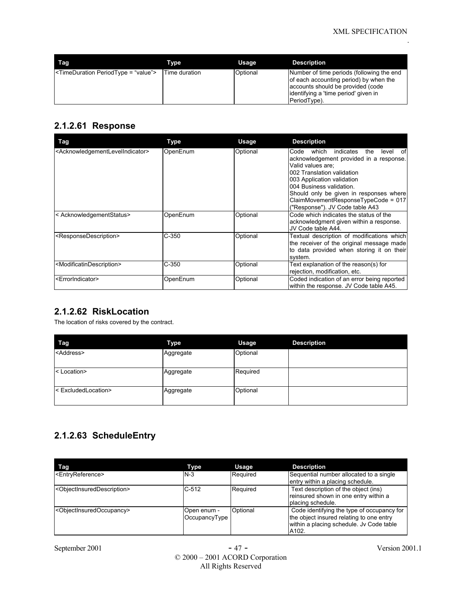| Tag                                              | Type          | Usage    | <b>Description</b>                                                                                                                                                                |
|--------------------------------------------------|---------------|----------|-----------------------------------------------------------------------------------------------------------------------------------------------------------------------------------|
| <timeduration periodtype="value"></timeduration> | Time duration | Optional | Number of time periods (following the end<br>of each accounting period) by when the<br>accounts should be provided (code<br>lidentifying a 'time period' given in<br>PeriodType). |

#### **2.1.2.61 Response**

| Tag                                                             | Type     | <b>Usage</b> | <b>Description</b>                                                                                                                                                                                                                                                                                                            |
|-----------------------------------------------------------------|----------|--------------|-------------------------------------------------------------------------------------------------------------------------------------------------------------------------------------------------------------------------------------------------------------------------------------------------------------------------------|
| <acknowledgementlevelindicator></acknowledgementlevelindicator> | OpenEnum | Optional     | which<br>indicates<br>Code<br>the<br>level<br>οf<br>acknowledgement provided in a response.<br>Valid values are:<br>002 Translation validation<br>003 Application validation<br>004 Business validation.<br>Should only be given in responses where<br>ClaimMovementResponseTypeCode = 017<br>("Response"). JV Code table A43 |
| < AcknowledgementStatus>                                        | OpenEnum | Optional     | Code which indicates the status of the<br>acknowledgment given within a response.<br>JV Code table A44.                                                                                                                                                                                                                       |
| <responsedescription></responsedescription>                     | $C-350$  | Optional     | Textual description of modifications which<br>the receiver of the original message made<br>to data provided when storing it on their<br>system.                                                                                                                                                                               |
| <modificatindescription></modificatindescription>               | $C-350$  | Optional     | Text explanation of the reason(s) for<br>rejection, modification, etc.                                                                                                                                                                                                                                                        |
| <errorindicator></errorindicator>                               | OpenEnum | Optional     | Coded indication of an error being reported<br>within the response. JV Code table A45.                                                                                                                                                                                                                                        |

### **2.1.2.62 RiskLocation**

The location of risks covered by the contract.

| Tag                   | <b>Type</b> | Usage    | <b>Description</b> |
|-----------------------|-------------|----------|--------------------|
| <address></address>   | Aggregate   | Optional |                    |
| <location></location> | Aggregate   | Required |                    |
| < ExcludedLocation>   | Aggregate   | Optional |                    |

## **2.1.2.63 ScheduleEntry**

| Tag                                                   | Type                         | Usage    | <b>Description</b>                                                                                                                          |
|-------------------------------------------------------|------------------------------|----------|---------------------------------------------------------------------------------------------------------------------------------------------|
| <entryreference></entryreference>                     | $N-3$                        | Required | Sequential number allocated to a single<br>entry within a placing schedule.                                                                 |
| <objectinsureddescription></objectinsureddescription> | $C-512$                      | Required | Text description of the object (ins)<br>reinsured shown in one entry within a<br>placing schedule.                                          |
| <objectinsuredoccupancy></objectinsuredoccupancy>     | Open enum -<br>OccupancyType | Optional | Code identifying the type of occupancy for<br>the object insured relating to one entry<br>within a placing schedule. Jy Code table<br>A102. |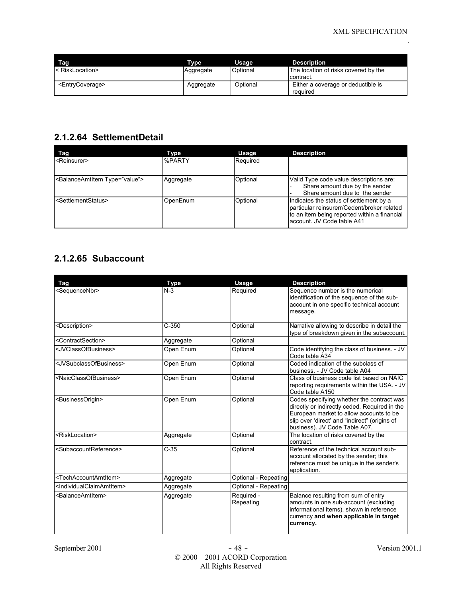| Tag                             | Tvpe      | Usage    | <b>Description</b>                                |
|---------------------------------|-----------|----------|---------------------------------------------------|
| I< RiskLocation>                | Aggregate | Optional | The location of risks covered by the<br>contract. |
| <entrycoverage></entrycoverage> | Aggregate | Optional | Either a coverage or deductible is<br>required    |

#### **2.1.2.64 SettlementDetail**

| Tag                                            | Type          | <b>Usage</b> | <b>Description</b>                                                                                                                                                    |
|------------------------------------------------|---------------|--------------|-----------------------------------------------------------------------------------------------------------------------------------------------------------------------|
| <reinsurer></reinsurer>                        | <b>%PARTY</b> | Required     |                                                                                                                                                                       |
| <balanceamtitem type="value"></balanceamtitem> | Aggregate     | Optional     | Valid Type code value descriptions are:<br>Share amount due by the sender<br>Share amount due to the sender                                                           |
| <settlementstatus></settlementstatus>          | OpenEnum      | Optional     | Indicates the status of settlement by a<br>particular reinsurerr/Cedent/broker related<br>to an item being reported within a financial<br>laccount. JV Code table A41 |

### **2.1.2.65 Subaccount**

| <b>Tag</b>                                        | <b>Type</b> | <b>Usage</b>            | <b>Description</b>                                                                                                                                                                                                      |
|---------------------------------------------------|-------------|-------------------------|-------------------------------------------------------------------------------------------------------------------------------------------------------------------------------------------------------------------------|
| <sequencenbr></sequencenbr>                       | $N-3$       | Required                | Sequence number is the numerical<br>identification of the sequence of the sub-<br>account in one specific technical account<br>message.                                                                                 |
| <description></description>                       | $C-350$     | Optional                | Narrative allowing to describe in detail the<br>type of breakdown given in the subaccount.                                                                                                                              |
| <contractsection></contractsection>               | Aggregate   | Optional                |                                                                                                                                                                                                                         |
| <jvclassofbusiness></jvclassofbusiness>           | Open Enum   | Optional                | Code identifying the class of business. - JV<br>Code table A34                                                                                                                                                          |
| <jvsubclassofbusiness></jvsubclassofbusiness>     | Open Enum   | Optional                | Coded indication of the subclass of<br>business. - JV Code table A04                                                                                                                                                    |
| <naicclassofbusiness></naicclassofbusiness>       | Open Enum   | Optional                | Class of business code list based on NAIC<br>reporting requirements within the USA. - JV<br>Code table A150                                                                                                             |
| <businessorigin></businessorigin>                 | Open Enum   | Optional                | Codes specifying whether the contract was<br>directly or indirectly ceded. Required in the<br>European market to allow accounts to be<br>slip over 'direct' and "indirect" (origins of<br>business). JV Code Table A07. |
| <risklocation></risklocation>                     | Aggregate   | Optional                | The location of risks covered by the<br>contract.                                                                                                                                                                       |
| <subaccountreference></subaccountreference>       | $C-35$      | Optional                | Reference of the technical account sub-<br>account allocated by the sender; this<br>reference must be unique in the sender's<br>application.                                                                            |
| <techaccountamtitem></techaccountamtitem>         | Aggregate   | Optional - Repeating    |                                                                                                                                                                                                                         |
| <individualclaimamtitem></individualclaimamtitem> | Aggregate   | Optional - Repeating    |                                                                                                                                                                                                                         |
| <balanceamtitem></balanceamtitem>                 | Aggregate   | Required -<br>Repeating | Balance resulting from sum of entry<br>amounts in one sub-account (excluding<br>informational items), shown in reference<br>currency and when applicable in target<br>currency.                                         |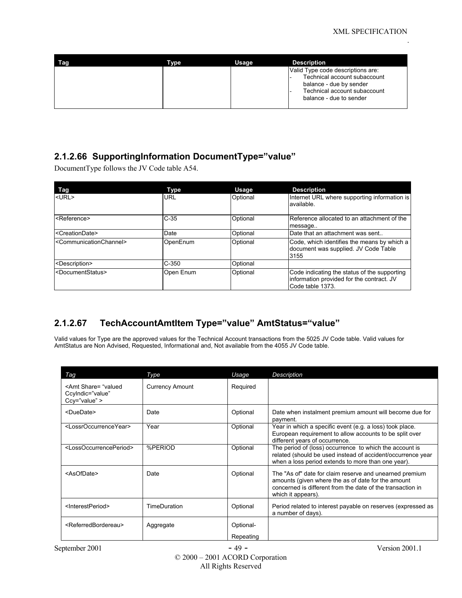| Tag | Type | Usage | <b>Description</b>                                                                                                                                      |
|-----|------|-------|---------------------------------------------------------------------------------------------------------------------------------------------------------|
|     |      |       | Valid Type code descriptions are:<br>Technical account subaccount<br>balance - due by sender<br>Technical account subaccount<br>balance - due to sender |

#### **2.1.2.66 SupportingInformation DocumentType="value"**

DocumentType follows the JV Code table A54.

| Tag                                           | Type      | Usage    | <b>Description</b>                                                                                            |
|-----------------------------------------------|-----------|----------|---------------------------------------------------------------------------------------------------------------|
| $<$ URL $>$                                   | URL       | Optional | Internet URL where supporting information is<br>available.                                                    |
| <reference></reference>                       | $C-35$    | Optional | Reference allocated to an attachment of the<br>message                                                        |
| <creationdate></creationdate>                 | Date      | Optional | Date that an attachment was sent                                                                              |
| <communicationchannel></communicationchannel> | OpenEnum  | Optional | Code, which identifies the means by which a<br>document was supplied. JV Code Table<br>3155                   |
| <description></description>                   | $C-350$   | Optional |                                                                                                               |
| <documentstatus></documentstatus>             | Open Enum | Optional | Code indicating the status of the supporting<br>information provided for the contract. JV<br>Code table 1373. |

### **2.1.2.67 TechAccountAmtItem Type="value" AmtStatus="value"**

Valid values for Type are the approved values for the Technical Account transactions from the 5025 JV Code table. Valid values for AmtStatus are Non Advised, Requested, Informational and, Not available from the 4055 JV Code table.

| Tag                                                                                | Type                   | Usage     | <b>Description</b>                                                                                                                                                                                |
|------------------------------------------------------------------------------------|------------------------|-----------|---------------------------------------------------------------------------------------------------------------------------------------------------------------------------------------------------|
| <amt share="valued&lt;br&gt;Ccylndic=" value"<br=""><math>Ccv="value"</math></amt> | <b>Currency Amount</b> | Required  |                                                                                                                                                                                                   |
| <duedate></duedate>                                                                | Date                   | Optional  | Date when instalment premium amount will become due for<br>payment.                                                                                                                               |
| <lossroccurrenceyear></lossroccurrenceyear>                                        | Year                   | Optional  | Year in which a specific event (e.g. a loss) took place.<br>European requirement to allow accounts to be split over<br>different years of occurrence.                                             |
| <lossoccurrenceperiod></lossoccurrenceperiod>                                      | %PERIOD                | Optional  | The period of (loss) occurrence to which the account is<br>related (should be used instead of accident/occurrence year<br>when a loss period extends to more than one year).                      |
| <asofdate></asofdate>                                                              | Date                   | Optional  | The "As of" date for claim reserve and unearned premium<br>amounts (given where the as of date for the amount<br>concerned is different from the date of the transaction in<br>which it appears). |
| <interestperiod></interestperiod>                                                  | TimeDuration           | Optional  | Period related to interest payable on reserves (expressed as<br>a number of days).                                                                                                                |
| <referredbordereau></referredbordereau>                                            | Aggregate              | Optional- |                                                                                                                                                                                                   |
|                                                                                    |                        | Repeating |                                                                                                                                                                                                   |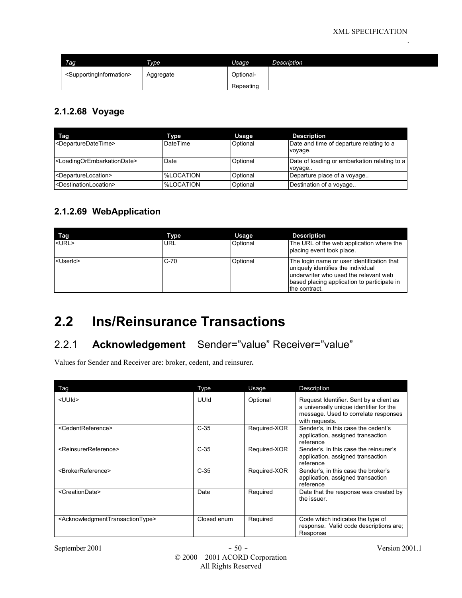| Tag <sub>1</sub>                                | Type      | Usage     | Description |
|-------------------------------------------------|-----------|-----------|-------------|
| <supportinginformation></supportinginformation> | Aggregate | Optional- |             |
|                                                 |           | Repeating |             |

#### **2.1.2.68 Voyage**

| Tag                                                   | Type             | Usage    | <b>Description</b>                                     |
|-------------------------------------------------------|------------------|----------|--------------------------------------------------------|
| <departuredatetime></departuredatetime>               | DateTime         | Optional | Date and time of departure relating to a<br>voyage.    |
| <loadingorembarkationdate></loadingorembarkationdate> | Date             | Optional | Date of loading or embarkation relating to a<br>voyage |
| <departurelocation></departurelocation>               | <b>%LOCATION</b> | Optional | Departure place of a voyage                            |
| <destinationlocation></destinationlocation>           | %LOCATION        | Optional | Destination of a voyage                                |

#### **2.1.2.69 WebApplication**

| Tag               | Type       | Usage    | <b>Description</b>                                                                                                                                                                        |
|-------------------|------------|----------|-------------------------------------------------------------------------------------------------------------------------------------------------------------------------------------------|
| $<$ URL $>$       | <b>URL</b> | Optional | The URL of the web application where the<br>placing event took place.                                                                                                                     |
| <userid></userid> | $C-70$     | Optional | The login name or user identification that<br>uniquely identifies the individual<br>underwriter who used the relevant web<br>based placing application to participate in<br>the contract. |

# **2.2 Ins/Reinsurance Transactions**

## 2.2.1 **Acknowledgement** Sender="value" Receiver="value"

Values for Sender and Receiver are: broker, cedent, and reinsurer**.**

| Tag                                                             | Type        | Usage        | Description                                                                                                                                  |
|-----------------------------------------------------------------|-------------|--------------|----------------------------------------------------------------------------------------------------------------------------------------------|
| <uuid></uuid>                                                   | UUId        | Optional     | Request Identifier. Sent by a client as<br>a universally unique identifier for the<br>message. Used to correlate responses<br>with requests. |
| <cedentreference></cedentreference>                             | $C-35$      | Required-XOR | Sender's, in this case the cedent's<br>application, assigned transaction<br>reference                                                        |
| <reinsurerreference></reinsurerreference>                       | $C-35$      | Required-XOR | Sender's, in this case the reinsurer's<br>application, assigned transaction<br>reference                                                     |
| <brokerreference></brokerreference>                             | $C-35$      | Required-XOR | Sender's, in this case the broker's<br>application, assigned transaction<br>reference                                                        |
| <creationdate></creationdate>                                   | Date        | Required     | Date that the response was created by<br>the issuer.                                                                                         |
| <acknowledgmenttransactiontype></acknowledgmenttransactiontype> | Closed enum | Required     | Code which indicates the type of<br>response. Valid code descriptions are:<br>Response                                                       |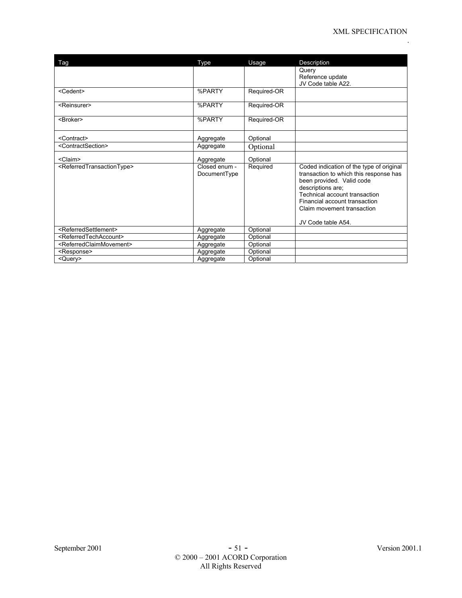| Tag                                                 | Type                          | Usage       | Description                                                                                                                                                                                                                                                |
|-----------------------------------------------------|-------------------------------|-------------|------------------------------------------------------------------------------------------------------------------------------------------------------------------------------------------------------------------------------------------------------------|
|                                                     |                               |             | Query<br>Reference update<br>JV Code table A22.                                                                                                                                                                                                            |
| <cedent></cedent>                                   | %PARTY                        | Required-OR |                                                                                                                                                                                                                                                            |
| <reinsurer></reinsurer>                             | %PARTY                        | Required-OR |                                                                                                                                                                                                                                                            |
| <broker></broker>                                   | %PARTY                        | Required-OR |                                                                                                                                                                                                                                                            |
| <contract></contract>                               | Aggregate                     | Optional    |                                                                                                                                                                                                                                                            |
| <contractsection></contractsection>                 | Aggregate                     | Optional    |                                                                                                                                                                                                                                                            |
| <claim></claim>                                     | Aggregate                     | Optional    |                                                                                                                                                                                                                                                            |
| <referredtransactiontype></referredtransactiontype> | Closed enum -<br>DocumentType | Required    | Coded indication of the type of original<br>transaction to which this response has<br>been provided. Valid code<br>descriptions are;<br>Technical account transaction<br>Financial account transaction<br>Claim movement transaction<br>JV Code table A54. |
| <referredsettlement></referredsettlement>           | Aggregate                     | Optional    |                                                                                                                                                                                                                                                            |
| <referredtechaccount></referredtechaccount>         | Aggregate                     | Optional    |                                                                                                                                                                                                                                                            |
| <referredclaimmovement></referredclaimmovement>     | Aggregate                     | Optional    |                                                                                                                                                                                                                                                            |
| <response></response>                               | Aggregate                     | Optional    |                                                                                                                                                                                                                                                            |
| <query></query>                                     | Aggregate                     | Optional    |                                                                                                                                                                                                                                                            |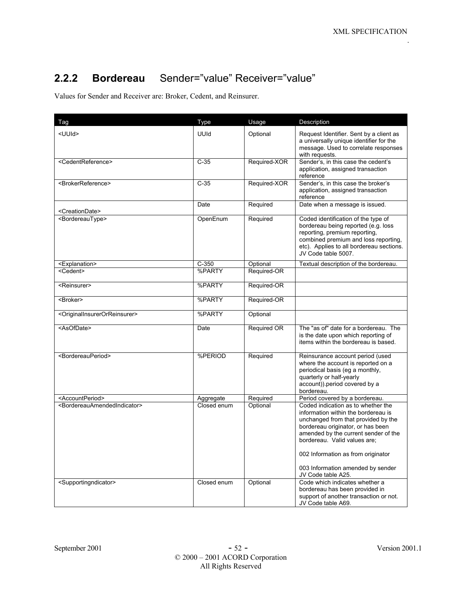## **2.2.2 Bordereau** Sender="value" Receiver="value"

Values for Sender and Receiver are: Broker, Cedent, and Reinsurer.

| Tag                                                       | Type        | Usage        | Description                                                                                                                                                                                                                                                                                                                    |
|-----------------------------------------------------------|-------------|--------------|--------------------------------------------------------------------------------------------------------------------------------------------------------------------------------------------------------------------------------------------------------------------------------------------------------------------------------|
| <uuid></uuid>                                             | UUId        | Optional     | Request Identifier. Sent by a client as<br>a universally unique identifier for the<br>message. Used to correlate responses<br>with requests.                                                                                                                                                                                   |
| <cedentreference></cedentreference>                       | $C-35$      | Required-XOR | Sender's, in this case the cedent's<br>application, assigned transaction<br>reference                                                                                                                                                                                                                                          |
| <brokerreference></brokerreference>                       | $C-35$      | Required-XOR | Sender's, in this case the broker's<br>application, assigned transaction<br>reference                                                                                                                                                                                                                                          |
| <creationdate></creationdate>                             | Date        | Required     | Date when a message is issued.                                                                                                                                                                                                                                                                                                 |
| <bordereautype></bordereautype>                           | OpenEnum    | Required     | Coded identification of the type of<br>bordereau being reported (e.g. loss<br>reporting, premium reporting,<br>combined premium and loss reporting.<br>etc). Applies to all bordereau sections.<br>JV Code table 5007.                                                                                                         |
| <explanation></explanation>                               | $C-350$     | Optional     | Textual description of the bordereau.                                                                                                                                                                                                                                                                                          |
| <cedent></cedent>                                         | %PARTY      | Required-OR  |                                                                                                                                                                                                                                                                                                                                |
| <reinsurer></reinsurer>                                   | %PARTY      | Required-OR  |                                                                                                                                                                                                                                                                                                                                |
| <broker></broker>                                         | %PARTY      | Required-OR  |                                                                                                                                                                                                                                                                                                                                |
| <originalinsurerorreinsurer></originalinsurerorreinsurer> | %PARTY      | Optional     |                                                                                                                                                                                                                                                                                                                                |
| <asofdate></asofdate>                                     | Date        | Required OR  | The "as of" date for a bordereau. The<br>is the date upon which reporting of<br>items within the bordereau is based.                                                                                                                                                                                                           |
| <bordereauperiod></bordereauperiod>                       | %PERIOD     | Required     | Reinsurance account period (used<br>where the account is reported on a<br>periodical basis (eg a monthly,<br>quarterly or half-yearly<br>account)) period covered by a<br>bordereau.                                                                                                                                           |
| <accountperiod></accountperiod>                           | Aggregate   | Required     | Period covered by a bordereau.                                                                                                                                                                                                                                                                                                 |
| <bordereauamendedindicator></bordereauamendedindicator>   | Closed enum | Optional     | Coded indication as to whether the<br>information within the bordereau is<br>unchanged from that provided by the<br>bordereau originator, or has been<br>amended by the current sender of the<br>bordereau. Valid values are;<br>002 Information as from originator<br>003 Information amended by sender<br>JV Code table A25. |
| <supportingndicator></supportingndicator>                 | Closed enum | Optional     | Code which indicates whether a<br>bordereau has been provided in<br>support of another transaction or not.<br>JV Code table A69.                                                                                                                                                                                               |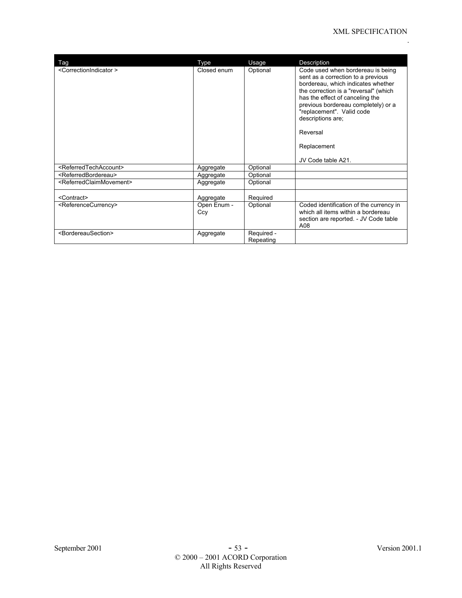| Tag                                             | Type               | Usage                   | Description                                                                                                                                                                                                                                                                                                                         |
|-------------------------------------------------|--------------------|-------------------------|-------------------------------------------------------------------------------------------------------------------------------------------------------------------------------------------------------------------------------------------------------------------------------------------------------------------------------------|
| <correctionindicator></correctionindicator>     | Closed enum        | Optional                | Code used when bordereau is being<br>sent as a correction to a previous<br>bordereau, which indicates whether<br>the correction is a "reversal" (which<br>has the effect of canceling the<br>previous bordereau completely) or a<br>"replacement". Valid code<br>descriptions are;<br>Reversal<br>Replacement<br>JV Code table A21. |
| <referredtechaccount></referredtechaccount>     | Aggregate          | Optional                |                                                                                                                                                                                                                                                                                                                                     |
| <referredbordereau></referredbordereau>         | Aggregate          | Optional                |                                                                                                                                                                                                                                                                                                                                     |
| <referredclaimmovement></referredclaimmovement> | Aggregate          | Optional                |                                                                                                                                                                                                                                                                                                                                     |
| <contract></contract>                           | Aggregate          | Required                |                                                                                                                                                                                                                                                                                                                                     |
| <referencecurrency></referencecurrency>         | Open Enum -<br>Ccy | Optional                | Coded identification of the currency in<br>which all items within a bordereau<br>section are reported. - JV Code table<br>A08                                                                                                                                                                                                       |
| <bordereausection></bordereausection>           | Aggregate          | Required -<br>Repeating |                                                                                                                                                                                                                                                                                                                                     |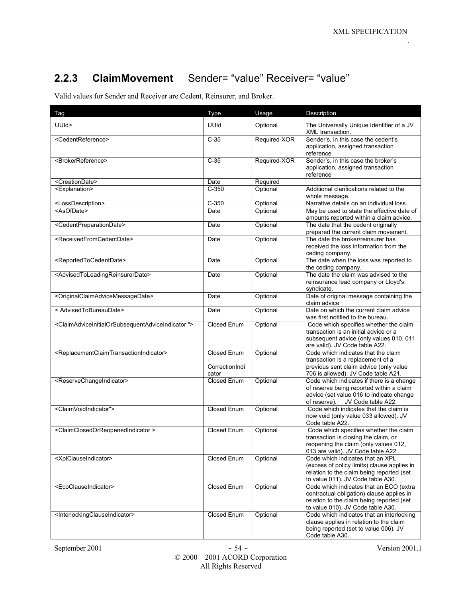## **2.2.3 ClaimMovement** Sender= "value" Receiver= "value"

Valid values for Sender and Receiver are Cedent, Reinsurer, and Broker.

| Tag                                                                                               | Type                                          | Usage        | Description                                                                                                                                                            |
|---------------------------------------------------------------------------------------------------|-----------------------------------------------|--------------|------------------------------------------------------------------------------------------------------------------------------------------------------------------------|
| UUId>                                                                                             | UUId                                          | Optional     | The Universally Unique Identifier of a JV<br>XML transaction.                                                                                                          |
| <cedentreference></cedentreference>                                                               | $C-35$                                        | Required-XOR | Sender's, in this case the cedent's<br>application, assigned transaction<br>reference                                                                                  |
| <brokerreference></brokerreference>                                                               | $C-35$                                        | Required-XOR | Sender's, in this case the broker's<br>application, assigned transaction<br>reference                                                                                  |
| <creationdate></creationdate>                                                                     | Date                                          | Required     |                                                                                                                                                                        |
| <explanation></explanation>                                                                       | $C-350$                                       | Optional     | Additional clarifications related to the<br>whole message.                                                                                                             |
| <lossdescription></lossdescription>                                                               | $C-350$                                       | Optional     | Narrative details on an individual loss.                                                                                                                               |
| <asofdate></asofdate>                                                                             | Date                                          | Optional     | May be used to state the effective date of<br>amounts reported within a claim advice.                                                                                  |
| <cedentpreparationdate></cedentpreparationdate>                                                   | Date                                          | Optional     | The date that the cedent originally<br>prepared the current claim movement.                                                                                            |
| <receivedfromcedentdate></receivedfromcedentdate>                                                 | Date                                          | Optional     | The date the broker/reinsurer has<br>received the loss information from the<br>ceding company.                                                                         |
| <reportedtocedentdate></reportedtocedentdate>                                                     | Date                                          | Optional     | The date when the loss was reported to<br>the ceding company.                                                                                                          |
| <advisedtoleadingreinsurerdate></advisedtoleadingreinsurerdate>                                   | Date                                          | Optional     | The date the claim was advised to the<br>reinsurance lead company or Lloyd's<br>syndicate.                                                                             |
| <originalclaimadvicemessagedate></originalclaimadvicemessagedate>                                 | Date                                          | Optional     | Date of original message containing the<br>claim advice                                                                                                                |
| < AdvisedToBureauDate>                                                                            | Date                                          | Optional     | Date on which the current claim advice<br>was first notified to the bureau.                                                                                            |
| <claimadviceinitialorsubsequentadviceindicator"></claimadviceinitialorsubsequentadviceindicator"> | Closed Enum                                   | Optional     | Code which specifies whether the claim<br>transaction is an initial advice or a<br>subsequent advice (only values 010, 011<br>are valid). JV Code table A22.           |
| <replacementclaimtransactionindicator></replacementclaimtransactionindicator>                     | <b>Closed Enum</b><br>CorrectionIndi<br>cator | Optional     | Code which indicates that the claim<br>transaction is a replacement of a<br>previous sent claim advice (only value<br>706 is allowed). JV Code table A21.              |
| <reservechangeindicator></reservechangeindicator>                                                 | Closed Enum                                   | Optional     | Code which indicates if there is a change<br>of reserve being reported within a claim<br>advice (set value 016 to indicate change<br>of reserve). JV Code table A22.   |
| <claimvoidindicator"></claimvoidindicator">                                                       | Closed Enum                                   | Optional     | Code which indicates that the claim is<br>now void (only value 033 allowed). JV<br>Code table A22.                                                                     |
| <claimclosedorreopenedindicator></claimclosedorreopenedindicator>                                 | Closed Enum                                   | Optional     | Code which specifies whether the claim<br>transaction is closing the claim, or<br>reopening the claim (only values 012<br>013 are valid). JV Code table A22.           |
| <xplclauseindicator></xplclauseindicator>                                                         | Closed Enum                                   | Optional     | Code which indicates that an XPL<br>(excess of policy limits) clause applies in<br>relation to the claim being reported (set<br>to value 011). JV Code table A30.      |
| <ecoclauseindicator></ecoclauseindicator>                                                         | Closed Enum                                   | Optional     | Code which indicates that an ECO (extra<br>contractual obligation) clause applies in<br>relation to the claim being reported (set<br>to value 010). JV Code table A30. |
| <interlockingclauseindicator></interlockingclauseindicator>                                       | <b>Closed Enum</b>                            | Optional     | Code which indicates that an interlocking<br>clause applies in relation to the claim<br>being reported (set to value 006). JV<br>Code table A30.                       |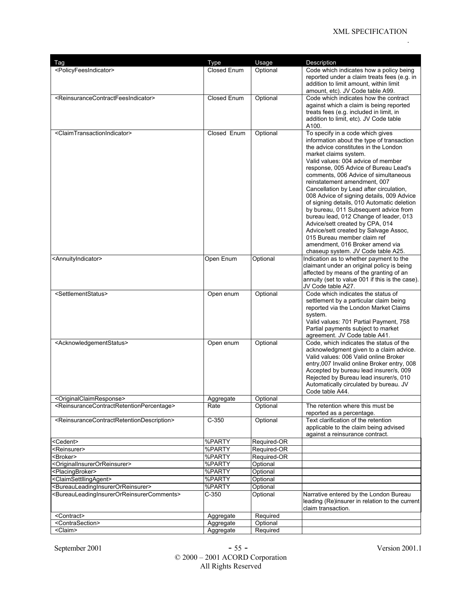| Tag                                                                                                                                   | Type                   | Usage                      | Description                                                                                |
|---------------------------------------------------------------------------------------------------------------------------------------|------------------------|----------------------------|--------------------------------------------------------------------------------------------|
| <policyfeesindicator></policyfeesindicator>                                                                                           | Closed Enum            | Optional                   | Code which indicates how a policy being                                                    |
|                                                                                                                                       |                        |                            | reported under a claim treats fees (e.g. in                                                |
|                                                                                                                                       |                        |                            | addition to limit amount, within limit                                                     |
| <reinsurancecontractfeesindicator></reinsurancecontractfeesindicator>                                                                 | Closed Enum            |                            | amount, etc). JV Code table A99.<br>Code which indicates how the contract                  |
|                                                                                                                                       |                        | Optional                   | against which a claim is being reported                                                    |
|                                                                                                                                       |                        |                            | treats fees (e.g. included in limit, in                                                    |
|                                                                                                                                       |                        |                            | addition to limit, etc). JV Code table                                                     |
|                                                                                                                                       |                        |                            | A100.                                                                                      |
| <claimtransactionindicator></claimtransactionindicator>                                                                               | Closed Enum            | Optional                   | To specify in a code which gives                                                           |
|                                                                                                                                       |                        |                            | information about the type of transaction                                                  |
|                                                                                                                                       |                        |                            | the advice constitutes in the London<br>market claims system.                              |
|                                                                                                                                       |                        |                            | Valid values: 004 advice of member                                                         |
|                                                                                                                                       |                        |                            | response, 005 Advice of Bureau Lead's                                                      |
|                                                                                                                                       |                        |                            | comments, 006 Advice of simultaneous                                                       |
|                                                                                                                                       |                        |                            | reinstatement amendment, 007                                                               |
|                                                                                                                                       |                        |                            | Cancellation by Lead after circulation,<br>008 Advice of signing details, 009 Advice       |
|                                                                                                                                       |                        |                            | of signing details, 010 Automatic deletion                                                 |
|                                                                                                                                       |                        |                            | by bureau, 011 Subsequent advice from                                                      |
|                                                                                                                                       |                        |                            | bureau lead, 012 Change of leader, 013                                                     |
|                                                                                                                                       |                        |                            | Advice/sett created by CPA, 014                                                            |
|                                                                                                                                       |                        |                            | Advice/sett created by Salvage Assoc,<br>015 Bureau member claim ref                       |
|                                                                                                                                       |                        |                            | amendment. 016 Broker amend via                                                            |
|                                                                                                                                       |                        |                            | chaseup system. JV Code table A25.                                                         |
| <annuityindicator></annuityindicator>                                                                                                 | Open Enum              | Optional                   | Indication as to whether payment to the                                                    |
|                                                                                                                                       |                        |                            | claimant under an original policy is being                                                 |
|                                                                                                                                       |                        |                            | affected by means of the granting of an<br>annuity (set to value 001 if this is the case). |
|                                                                                                                                       |                        |                            | JV Code table A27.                                                                         |
| <settlementstatus></settlementstatus>                                                                                                 | Open enum              | Optional                   | Code which indicates the status of                                                         |
|                                                                                                                                       |                        |                            | settlement by a particular claim being                                                     |
|                                                                                                                                       |                        |                            | reported via the London Market Claims                                                      |
|                                                                                                                                       |                        |                            | system.<br>Valid values: 701 Partial Payment, 758                                          |
|                                                                                                                                       |                        |                            | Partial payments subject to market                                                         |
|                                                                                                                                       |                        |                            | agreement. JV Code table A41.                                                              |
| <acknowledgementstatus></acknowledgementstatus>                                                                                       | Open enum              | Optional                   | Code, which indicates the status of the                                                    |
|                                                                                                                                       |                        |                            | acknowledgment given to a claim advice.                                                    |
|                                                                                                                                       |                        |                            | Valid values: 006 Valid online Broker<br>entry,007 Invalid online Broker entry, 008        |
|                                                                                                                                       |                        |                            | Accepted by bureau lead insurer/s, 009                                                     |
|                                                                                                                                       |                        |                            | Rejected by Bureau lead insurer/s, 010                                                     |
|                                                                                                                                       |                        |                            | Automatically circulated by bureau. JV                                                     |
|                                                                                                                                       |                        |                            | Code table A44.                                                                            |
| <originalclaimresponse><br/><reinsurancecontractretentionpercentage></reinsurancecontractretentionpercentage></originalclaimresponse> | Aggregate<br>Rate      | Optional<br>Optional       | The retention where this must be                                                           |
|                                                                                                                                       |                        |                            | reported as a percentage.                                                                  |
| <reinsurancecontractretentiondescription></reinsurancecontractretentiondescription>                                                   | $C-350$                | Optional                   | Text clarification of the retention                                                        |
|                                                                                                                                       |                        |                            | applicable to the claim being advised                                                      |
|                                                                                                                                       |                        |                            | against a reinsurance contract.                                                            |
| <cedent></cedent>                                                                                                                     | %PARTY                 | Required-OR                |                                                                                            |
| <reinsurer><br/><broker></broker></reinsurer>                                                                                         | %PARTY<br>%PARTY       | Required-OR<br>Required-OR |                                                                                            |
| <originalinsurerorreinsurer></originalinsurerorreinsurer>                                                                             | %PARTY                 | Optional                   |                                                                                            |
| <placingbroker></placingbroker>                                                                                                       | %PARTY                 | Optional                   |                                                                                            |
| <claimsettllingagent></claimsettllingagent>                                                                                           | %PARTY                 | Optional                   |                                                                                            |
| <bureauleadinginsurerorreinsurer></bureauleadinginsurerorreinsurer>                                                                   | %PARTY                 | Optional                   |                                                                                            |
| <bureauleadinginsurerorreinsurercomments></bureauleadinginsurerorreinsurercomments>                                                   | C-350                  | Optional                   | Narrative entered by the London Bureau                                                     |
|                                                                                                                                       |                        |                            | leading (Re)insurer in relation to the current                                             |
|                                                                                                                                       |                        |                            | claim transaction.                                                                         |
| <contract><br/><contrasection></contrasection></contract>                                                                             | Aggregate<br>Aggregate | Required<br>Optional       |                                                                                            |
|                                                                                                                                       | Aggregate              | Required                   |                                                                                            |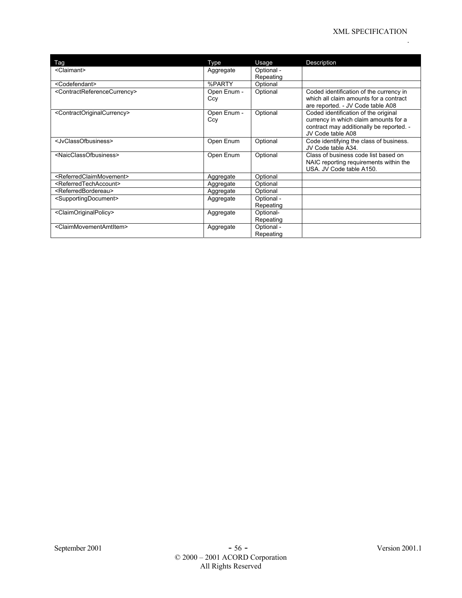| Tag                                                     | Type               | Usage                   | Description                                                                                                               |
|---------------------------------------------------------|--------------------|-------------------------|---------------------------------------------------------------------------------------------------------------------------|
| <claimant></claimant>                                   | Aggregate          | Optional -              |                                                                                                                           |
|                                                         |                    | Repeating               |                                                                                                                           |
| <codefendant></codefendant>                             | %PARTY             | Optional                |                                                                                                                           |
| <contractreferencecurrency></contractreferencecurrency> | Open Enum -<br>Ccy | Optional                | Coded identification of the currency in<br>which all claim amounts for a contract<br>are reported. - JV Code table A08    |
| <contractoriginalcurrency></contractoriginalcurrency>   | Open Enum -<br>Ccy | Optional                | Coded identification of the original<br>currency in which claim amounts for a<br>contract may additionally be reported. - |
| <jvclassofbusiness></jvclassofbusiness>                 | Open Enum          | Optional                | JV Code table A08<br>Code identifying the class of business.<br>JV Code table A34.                                        |
| <naicclassofbusiness></naicclassofbusiness>             | Open Enum          | Optional                | Class of business code list based on<br>NAIC reporting requirements within the<br>USA. JV Code table A150.                |
| <referredclaimmovement></referredclaimmovement>         | Aggregate          | Optional                |                                                                                                                           |
| <referredtechaccount></referredtechaccount>             | Aggregate          | Optional                |                                                                                                                           |
| <referredbordereau></referredbordereau>                 | Aggregate          | Optional                |                                                                                                                           |
| <supportingdocument></supportingdocument>               | Aggregate          | Optional -<br>Repeating |                                                                                                                           |
| <claimoriginalpolicy></claimoriginalpolicy>             | Aggregate          | Optional-<br>Repeating  |                                                                                                                           |
| <claimmovementamtitem></claimmovementamtitem>           | Aggregate          | Optional -<br>Repeating |                                                                                                                           |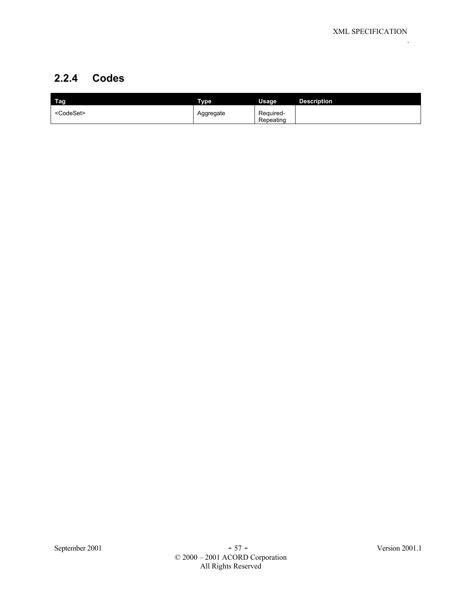## **2.2.4 Codes**

| Tag                 | <b>Type</b> | Usage                  | <b>Description</b> |
|---------------------|-------------|------------------------|--------------------|
| <codeset></codeset> | Aggregate   | Required-<br>Repeating |                    |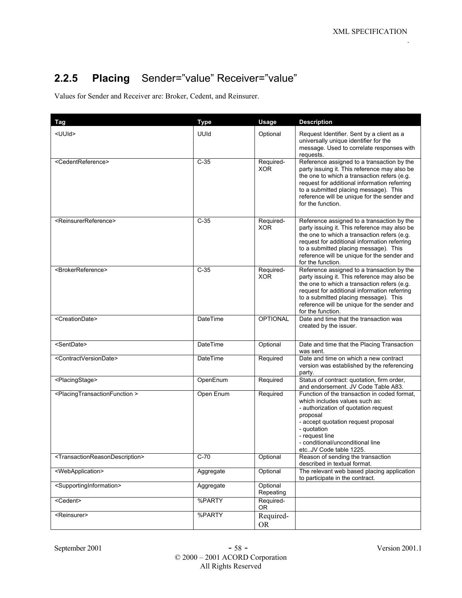## **2.2.5 Placing** Sender="value" Receiver="value"

Values for Sender and Receiver are: Broker, Cedent, and Reinsurer.

| <b>Tag</b>                                                    | <b>Type</b>     | Usage                   | <b>Description</b>                                                                                                                                                                                                                                                                                     |
|---------------------------------------------------------------|-----------------|-------------------------|--------------------------------------------------------------------------------------------------------------------------------------------------------------------------------------------------------------------------------------------------------------------------------------------------------|
| <uuid></uuid>                                                 | UUId            | Optional                | Request Identifier. Sent by a client as a<br>universally unique identifier for the<br>message. Used to correlate responses with<br>requests.                                                                                                                                                           |
| <cedentreference></cedentreference>                           | $C-35$          | Required-<br><b>XOR</b> | Reference assigned to a transaction by the<br>party issuing it. This reference may also be<br>the one to which a transaction refers (e.g.<br>request for additional information referring<br>to a submitted placing message). This<br>reference will be unique for the sender and<br>for the function. |
| <reinsurerreference></reinsurerreference>                     | $C-35$          | Required-<br><b>XOR</b> | Reference assigned to a transaction by the<br>party issuing it. This reference may also be<br>the one to which a transaction refers (e.g.<br>request for additional information referring<br>to a submitted placing message). This<br>reference will be unique for the sender and<br>for the function. |
| <brokerreference></brokerreference>                           | $C-35$          | Required-<br><b>XOR</b> | Reference assigned to a transaction by the<br>party issuing it. This reference may also be<br>the one to which a transaction refers (e.g.<br>request for additional information referring<br>to a submitted placing message). This<br>reference will be unique for the sender and<br>for the function. |
| <creationdate></creationdate>                                 | <b>DateTime</b> | <b>OPTIONAL</b>         | Date and time that the transaction was<br>created by the issuer.                                                                                                                                                                                                                                       |
| <sentdate></sentdate>                                         | DateTime        | Optional                | Date and time that the Placing Transaction<br>was sent.                                                                                                                                                                                                                                                |
| <contractversiondate></contractversiondate>                   | <b>DateTime</b> | Required                | Date and time on which a new contract<br>version was established by the referencing<br>party.                                                                                                                                                                                                          |
| <placingstage></placingstage>                                 | OpenEnum        | Required                | Status of contract: quotation, firm order,<br>and endorsement. JV Code Table A83.                                                                                                                                                                                                                      |
| <placingtransactionfunction></placingtransactionfunction>     | Open Enum       | Required                | Function of the transaction in coded format,<br>which includes values such as:<br>- authorization of quotation request<br>proposal<br>- accept quotation request proposal<br>- quotation<br>- request line<br>- conditional/unconditional line<br>etcJV Code table 1225.                               |
| <transactionreasondescription></transactionreasondescription> | $C-70$          | Optional                | Reason of sending the transaction<br>described in textual format.                                                                                                                                                                                                                                      |
| <webapplication></webapplication>                             | Aggregate       | Optional                | The relevant web based placing application<br>to participate in the contract.                                                                                                                                                                                                                          |
| <supportinginformation></supportinginformation>               | Aggregate       | Optional<br>Repeating   |                                                                                                                                                                                                                                                                                                        |
| $<$ Cedent>                                                   | %PARTY          | Required-<br><b>OR</b>  |                                                                                                                                                                                                                                                                                                        |
| <reinsurer></reinsurer>                                       | %PARTY          | Required-<br><b>OR</b>  |                                                                                                                                                                                                                                                                                                        |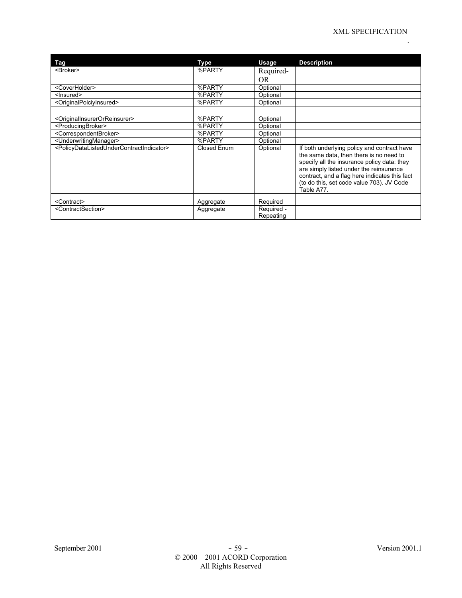| Tag                                                                               | Type        | Usage                   | <b>Description</b>                                                                                                                                                                                                                                                                           |
|-----------------------------------------------------------------------------------|-------------|-------------------------|----------------------------------------------------------------------------------------------------------------------------------------------------------------------------------------------------------------------------------------------------------------------------------------------|
| <broker></broker>                                                                 | %PARTY      | Required-               |                                                                                                                                                                                                                                                                                              |
|                                                                                   |             | <b>OR</b>               |                                                                                                                                                                                                                                                                                              |
| <coverholder></coverholder>                                                       | %PARTY      | Optional                |                                                                                                                                                                                                                                                                                              |
| <lnsured></lnsured>                                                               | %PARTY      | Optional                |                                                                                                                                                                                                                                                                                              |
| <originalpolciyinsured></originalpolciyinsured>                                   | %PARTY      | Optional                |                                                                                                                                                                                                                                                                                              |
|                                                                                   |             |                         |                                                                                                                                                                                                                                                                                              |
| <originalinsurerorreinsurer></originalinsurerorreinsurer>                         | %PARTY      | Optional                |                                                                                                                                                                                                                                                                                              |
| <producingbroker></producingbroker>                                               | %PARTY      | Optional                |                                                                                                                                                                                                                                                                                              |
| <correspondentbroker></correspondentbroker>                                       | %PARTY      | Optional                |                                                                                                                                                                                                                                                                                              |
| <underwritingmanager></underwritingmanager>                                       | %PARTY      | Optional                |                                                                                                                                                                                                                                                                                              |
| <policydatalistedundercontractindicator></policydatalistedundercontractindicator> | Closed Enum | Optional                | If both underlying policy and contract have<br>the same data, then there is no need to<br>specify all the insurance policy data: they<br>are simply listed under the reinsurance<br>contract, and a flag here indicates this fact<br>(to do this, set code value 703). JV Code<br>Table A77. |
| <contract></contract>                                                             | Aggregate   | Required                |                                                                                                                                                                                                                                                                                              |
| <contractsection></contractsection>                                               | Aggregate   | Required -<br>Repeating |                                                                                                                                                                                                                                                                                              |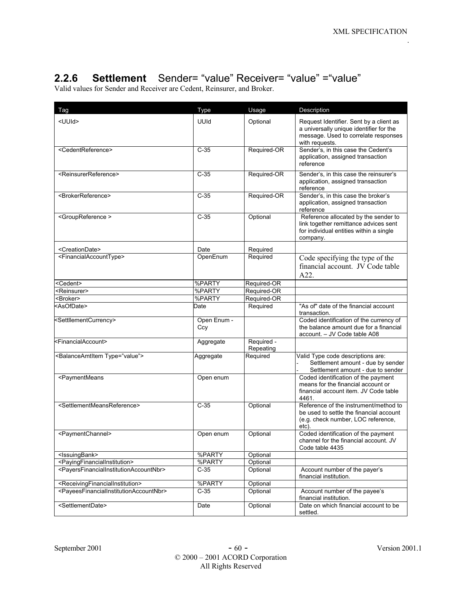## **2.2.6 Settlement** Sender= "value" Receiver= "value" ="value"

Valid values for Sender and Receiver are Cedent, Reinsurer, and Broker.

| Tag                                                                                                                                                                                                     | Type               | Usage                   | Description                                                                                                                                  |
|---------------------------------------------------------------------------------------------------------------------------------------------------------------------------------------------------------|--------------------|-------------------------|----------------------------------------------------------------------------------------------------------------------------------------------|
| <uuid></uuid>                                                                                                                                                                                           | UUId               | Optional                | Request Identifier. Sent by a client as<br>a universally unique identifier for the<br>message. Used to correlate responses<br>with requests. |
| <cedentreference></cedentreference>                                                                                                                                                                     | $C-35$             | Required-OR             | Sender's, in this case the Cedent's<br>application, assigned transaction<br>reference                                                        |
| <reinsurerreference></reinsurerreference>                                                                                                                                                               | $C-35$             | Required-OR             | Sender's, in this case the reinsurer's<br>application, assigned transaction<br>reference                                                     |
| <brokerreference></brokerreference>                                                                                                                                                                     | $C-35$             | Required-OR             | Sender's, in this case the broker's<br>application, assigned transaction<br>reference                                                        |
| <groupreference></groupreference>                                                                                                                                                                       | $C-35$             | Optional                | Reference allocated by the sender to<br>link together remittance advices sent<br>for individual entities within a single<br>company.         |
| <creationdate></creationdate>                                                                                                                                                                           | Date               | Required                |                                                                                                                                              |
| <financialaccounttype></financialaccounttype>                                                                                                                                                           | OpenEnum           | Required                | Code specifying the type of the<br>financial account. JV Code table<br>A22.                                                                  |
| <cedent></cedent>                                                                                                                                                                                       | %PARTY             | Required-OR             |                                                                                                                                              |
| <reinsurer></reinsurer>                                                                                                                                                                                 | %PARTY             | Required-OR             |                                                                                                                                              |
| <broker></broker>                                                                                                                                                                                       | %PARTY             | Required-OR             |                                                                                                                                              |
| <asofdate></asofdate>                                                                                                                                                                                   | Date               | Required                | "As of" date of the financial account<br>transaction.                                                                                        |
| <settllementcurrency></settllementcurrency>                                                                                                                                                             | Open Enum -<br>Ccy |                         | Coded identification of the currency of<br>the balance amount due for a financial<br>account. - JV Code table A08                            |
| <financialaccount></financialaccount>                                                                                                                                                                   | Aggregate          | Required -<br>Repeating |                                                                                                                                              |
| <balanceamtitem type="value"></balanceamtitem>                                                                                                                                                          | Aggregate          | Required                | Valid Type code descriptions are:<br>Settlement amount - due by sender<br>Settlement amount - due to sender                                  |
| <paymentmeans< td=""><td>Open enum</td><td></td><td>Coded identification of the payment<br/>means for the financial account or<br/>financial account item. JV Code table<br/>4461.</td></paymentmeans<> | Open enum          |                         | Coded identification of the payment<br>means for the financial account or<br>financial account item. JV Code table<br>4461.                  |
| <settlementmeansreference></settlementmeansreference>                                                                                                                                                   | $C-35$             | Optional                | Reference of the instrument/method to<br>be used to settle the financial account<br>(e.g. check number, LOC reference,<br>etc).              |
| <paymentchannel></paymentchannel>                                                                                                                                                                       | Open enum          | Optional                | Coded identification of the payment<br>channel for the financial account. JV<br>Code table 4435                                              |
| <lssuingbank></lssuingbank>                                                                                                                                                                             | %PARTY             | Optional                |                                                                                                                                              |
| <payingfinancialinstitution></payingfinancialinstitution>                                                                                                                                               | %PARTY             | Optional                |                                                                                                                                              |
| <payersfinancialinstitutionaccountnbr></payersfinancialinstitutionaccountnbr>                                                                                                                           | $C-35$             | Optional                | Account number of the payer's<br>financial institution.                                                                                      |
| <receivingfinancialinstitution></receivingfinancialinstitution>                                                                                                                                         | %PARTY             | Optional                |                                                                                                                                              |
| <payeesfinancialinstitutionaccountnbr></payeesfinancialinstitutionaccountnbr>                                                                                                                           | $C-35$             | Optional                | Account number of the payee's<br>financial institution.                                                                                      |
| <settlementdate></settlementdate>                                                                                                                                                                       | Date               | Optional                | Date on which financial account to be<br>settled.                                                                                            |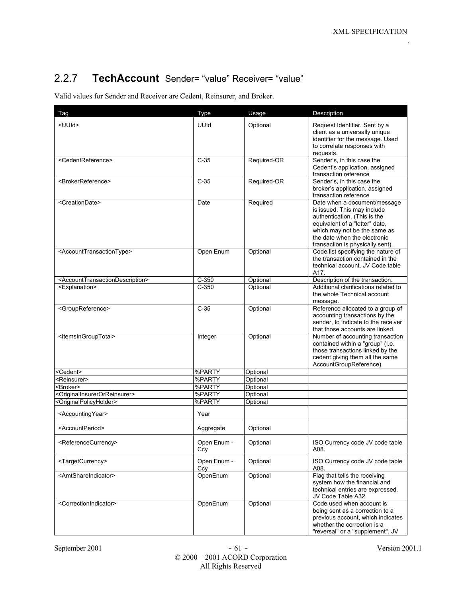## 2.2.7 **TechAccount** Sender= "value" Receiver= "value"

Valid values for Sender and Receiver are Cedent, Reinsurer, and Broker.

| Tag                                                             | <b>Type</b>        | Usage       | Description                                                                                                                                                                                                                       |
|-----------------------------------------------------------------|--------------------|-------------|-----------------------------------------------------------------------------------------------------------------------------------------------------------------------------------------------------------------------------------|
| <uuid></uuid>                                                   | UUId               | Optional    | Request Identifier. Sent by a<br>client as a universally unique<br>identifier for the message. Used<br>to correlate responses with<br>requests.                                                                                   |
| <cedentreference></cedentreference>                             | $C-35$             | Required-OR | Sender's, in this case the<br>Cedent's application, assigned<br>transaction reference                                                                                                                                             |
| <brokerreference></brokerreference>                             | $C-35$             | Required-OR | Sender's, in this case the<br>broker's application, assigned<br>transaction reference                                                                                                                                             |
| <creationdate></creationdate>                                   | Date               | Required    | Date when a document/message<br>is issued. This may include<br>authentication. (This is the<br>equivalent of a "letter" date,<br>which may not be the same as<br>the date when the electronic<br>transaction is physically sent). |
| <accounttransactiontype></accounttransactiontype>               | Open Enum          | Optional    | Code list specifying the nature of<br>the transaction contained in the<br>technical account. JV Code table<br>A17.                                                                                                                |
| <accounttransactiondescription></accounttransactiondescription> | $C-350$            | Optional    | Description of the transaction.                                                                                                                                                                                                   |
| <explanation></explanation>                                     | $C-350$            | Optional    | Additional clarifications related to<br>the whole Technical account<br>message.                                                                                                                                                   |
| <groupreference></groupreference>                               | $C-35$             | Optional    | Reference allocated to a group of<br>accounting transactions by the<br>sender, to indicate to the receiver<br>that those accounts are linked.                                                                                     |
| <ltemsingrouptotal></ltemsingrouptotal>                         | Integer            | Optional    | Number of accounting transaction<br>contained within a "group" (I.e.<br>those transactions linked by the<br>cedent giving them all the same<br>AccountGroupReference).                                                            |
| <cedent></cedent>                                               | %PARTY             | Optional    |                                                                                                                                                                                                                                   |
| <reinsurer></reinsurer>                                         | %PARTY             | Optional    |                                                                                                                                                                                                                                   |
| <broker></broker>                                               | %PARTY             | Optional    |                                                                                                                                                                                                                                   |
| <originalinsurerorreinsurer></originalinsurerorreinsurer>       | %PARTY             | Optional    |                                                                                                                                                                                                                                   |
| <originalpolicyholder></originalpolicyholder>                   | %PARTY             | Optional    |                                                                                                                                                                                                                                   |
| <accountingyear></accountingyear>                               | Year               |             |                                                                                                                                                                                                                                   |
| <accountperiod></accountperiod>                                 | Aggregate          | Optional    |                                                                                                                                                                                                                                   |
| <referencecurrency></referencecurrency>                         | Open Enum -<br>Ccy | Optional    | ISO Currency code JV code table<br>A08.                                                                                                                                                                                           |
| <targetcurrency></targetcurrency>                               | Open Enum -<br>Ccy | Optional    | ISO Currency code JV code table<br>A08.                                                                                                                                                                                           |
| <amtshareindicator></amtshareindicator>                         | OpenEnum           | Optional    | Flag that tells the receiving<br>system how the financial and<br>technical entries are expressed.<br>JV Code Table A32.                                                                                                           |
| <correctionindicator></correctionindicator>                     | OpenEnum           | Optional    | Code used when account is<br>being sent as a correction to a<br>previous account, which indicates<br>whether the correction is a<br>"reversal" or a "supplement". JV                                                              |